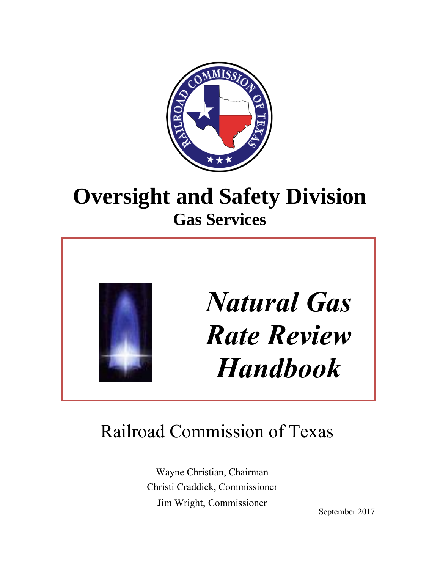

# **Oversight and Safety Division Gas Services**



# *Natural Gas Rate Review Handbook*

# Railroad Commission of Texas

Wayne Christian, Chairman Christi Craddick, Commissioner Jim Wright, Commissioner

September 2017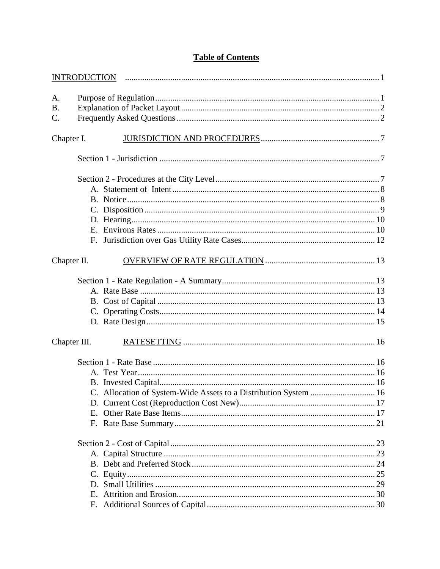| A <sub>1</sub> |                                                                  |  |
|----------------|------------------------------------------------------------------|--|
| <b>B.</b>      |                                                                  |  |
| C.             |                                                                  |  |
| Chapter I.     |                                                                  |  |
|                |                                                                  |  |
|                |                                                                  |  |
|                |                                                                  |  |
|                |                                                                  |  |
|                |                                                                  |  |
|                |                                                                  |  |
|                |                                                                  |  |
|                |                                                                  |  |
| Chapter II.    |                                                                  |  |
|                |                                                                  |  |
|                |                                                                  |  |
|                |                                                                  |  |
|                |                                                                  |  |
|                |                                                                  |  |
| Chapter III.   |                                                                  |  |
|                |                                                                  |  |
|                |                                                                  |  |
|                |                                                                  |  |
|                | C. Allocation of System-Wide Assets to a Distribution System  16 |  |
|                |                                                                  |  |
|                |                                                                  |  |
|                |                                                                  |  |
|                |                                                                  |  |
|                |                                                                  |  |
|                |                                                                  |  |
|                |                                                                  |  |
|                |                                                                  |  |
|                |                                                                  |  |
|                |                                                                  |  |

# **Table of Contents**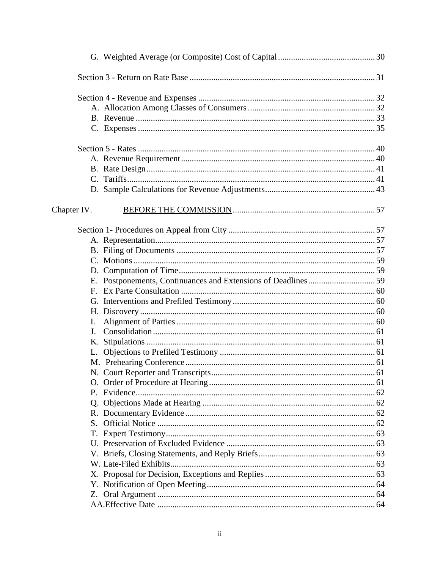| Chapter IV.    |  |
|----------------|--|
|                |  |
|                |  |
|                |  |
|                |  |
|                |  |
|                |  |
|                |  |
|                |  |
|                |  |
| $\mathbf{I}$ . |  |
| J.             |  |
|                |  |
|                |  |
|                |  |
|                |  |
|                |  |
|                |  |
|                |  |
|                |  |
| S.             |  |
| T.             |  |
|                |  |
|                |  |
|                |  |
|                |  |
|                |  |
|                |  |
|                |  |
|                |  |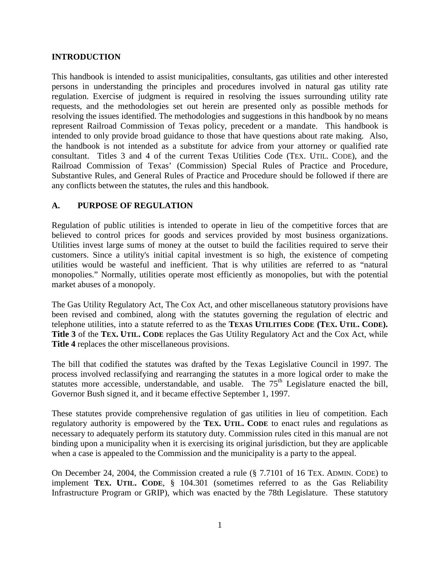#### **INTRODUCTION**

This handbook is intended to assist municipalities, consultants, gas utilities and other interested persons in understanding the principles and procedures involved in natural gas utility rate regulation. Exercise of judgment is required in resolving the issues surrounding utility rate requests, and the methodologies set out herein are presented only as possible methods for resolving the issues identified. The methodologies and suggestions in this handbook by no means represent Railroad Commission of Texas policy, precedent or a mandate. This handbook is intended to only provide broad guidance to those that have questions about rate making. Also, the handbook is not intended as a substitute for advice from your attorney or qualified rate consultant. Titles 3 and 4 of the current Texas Utilities Code (TEX. UTIL. CODE), and the Railroad Commission of Texas' (Commission) Special Rules of Practice and Procedure, Substantive Rules, and General Rules of Practice and Procedure should be followed if there are any conflicts between the statutes, the rules and this handbook.

#### **A. PURPOSE OF REGULATION**

Regulation of public utilities is intended to operate in lieu of the competitive forces that are believed to control prices for goods and services provided by most business organizations. Utilities invest large sums of money at the outset to build the facilities required to serve their customers. Since a utility's initial capital investment is so high, the existence of competing utilities would be wasteful and inefficient. That is why utilities are referred to as "natural monopolies." Normally, utilities operate most efficiently as monopolies, but with the potential market abuses of a monopoly.

The Gas Utility Regulatory Act, The Cox Act, and other miscellaneous statutory provisions have been revised and combined, along with the statutes governing the regulation of electric and telephone utilities, into a statute referred to as the **TEXAS UTILITIES CODE (TEX. UTIL. CODE). Title 3** of the **TEX. UTIL. CODE** replaces the Gas Utility Regulatory Act and the Cox Act, while **Title 4** replaces the other miscellaneous provisions.

The bill that codified the statutes was drafted by the Texas Legislative Council in 1997. The process involved reclassifying and rearranging the statutes in a more logical order to make the statutes more accessible, understandable, and usable. The  $75<sup>th</sup>$  Legislature enacted the bill, Governor Bush signed it, and it became effective September 1, 1997.

These statutes provide comprehensive regulation of gas utilities in lieu of competition. Each regulatory authority is empowered by the **TEX. UTIL. CODE** to enact rules and regulations as necessary to adequately perform its statutory duty. Commission rules cited in this manual are not binding upon a municipality when it is exercising its original jurisdiction, but they are applicable when a case is appealed to the Commission and the municipality is a party to the appeal.

On December 24, 2004, the Commission created a rule (§ 7.7101 of 16 TEX. ADMIN. CODE) to implement **TEX. UTIL. CODE**, § 104.301 (sometimes referred to as the Gas Reliability Infrastructure Program or GRIP), which was enacted by the 78th Legislature. These statutory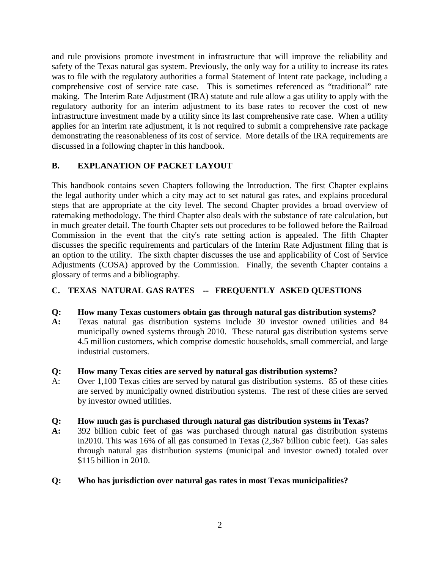and rule provisions promote investment in infrastructure that will improve the reliability and safety of the Texas natural gas system. Previously, the only way for a utility to increase its rates was to file with the regulatory authorities a formal Statement of Intent rate package, including a comprehensive cost of service rate case. This is sometimes referenced as "traditional" rate making. The Interim Rate Adjustment (IRA) statute and rule allow a gas utility to apply with the regulatory authority for an interim adjustment to its base rates to recover the cost of new infrastructure investment made by a utility since its last comprehensive rate case. When a utility applies for an interim rate adjustment, it is not required to submit a comprehensive rate package demonstrating the reasonableness of its cost of service. More details of the IRA requirements are discussed in a following chapter in this handbook.

# **B. EXPLANATION OF PACKET LAYOUT**

This handbook contains seven Chapters following the Introduction. The first Chapter explains the legal authority under which a city may act to set natural gas rates, and explains procedural steps that are appropriate at the city level. The second Chapter provides a broad overview of ratemaking methodology. The third Chapter also deals with the substance of rate calculation, but in much greater detail. The fourth Chapter sets out procedures to be followed before the Railroad Commission in the event that the city's rate setting action is appealed. The fifth Chapter discusses the specific requirements and particulars of the Interim Rate Adjustment filing that is an option to the utility. The sixth chapter discusses the use and applicability of Cost of Service Adjustments (COSA) approved by the Commission. Finally, the seventh Chapter contains a glossary of terms and a bibliography.

# **C. TEXAS NATURAL GAS RATES -- FREQUENTLY ASKED QUESTIONS**

# **Q: How many Texas customers obtain gas through natural gas distribution systems?**

**A:** Texas natural gas distribution systems include 30 investor owned utilities and 84 municipally owned systems through 2010. These natural gas distribution systems serve 4.5 million customers, which comprise domestic households, small commercial, and large industrial customers.

# **Q: How many Texas cities are served by natural gas distribution systems?**

A: Over 1,100 Texas cities are served by natural gas distribution systems. 85 of these cities are served by municipally owned distribution systems. The rest of these cities are served by investor owned utilities.

# **Q: How much gas is purchased through natural gas distribution systems in Texas?**

**A:** 392 billion cubic feet of gas was purchased through natural gas distribution systems in2010. This was 16% of all gas consumed in Texas (2,367 billion cubic feet). Gas sales through natural gas distribution systems (municipal and investor owned) totaled over \$115 billion in 2010.

# **Q: Who has jurisdiction over natural gas rates in most Texas municipalities?**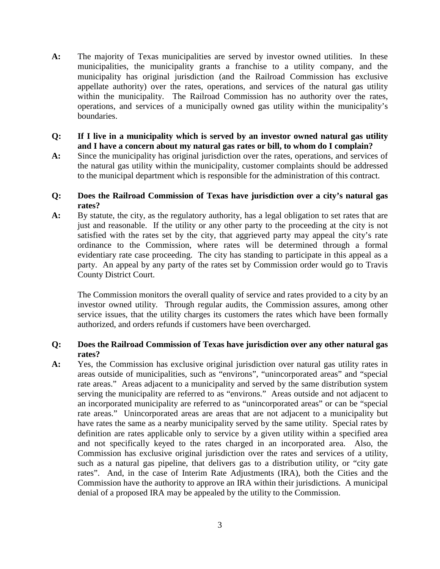**A:** The majority of Texas municipalities are served by investor owned utilities. In these municipalities, the municipality grants a franchise to a utility company, and the municipality has original jurisdiction (and the Railroad Commission has exclusive appellate authority) over the rates, operations, and services of the natural gas utility within the municipality. The Railroad Commission has no authority over the rates, operations, and services of a municipally owned gas utility within the municipality's boundaries.

#### **Q: If I live in a municipality which is served by an investor owned natural gas utility and I have a concern about my natural gas rates or bill, to whom do I complain?**

**A:** Since the municipality has original jurisdiction over the rates, operations, and services of the natural gas utility within the municipality, customer complaints should be addressed to the municipal department which is responsible for the administration of this contract.

# **Q: Does the Railroad Commission of Texas have jurisdiction over a city's natural gas rates?**

**A:** By statute, the city, as the regulatory authority, has a legal obligation to set rates that are just and reasonable. If the utility or any other party to the proceeding at the city is not satisfied with the rates set by the city, that aggrieved party may appeal the city's rate ordinance to the Commission, where rates will be determined through a formal evidentiary rate case proceeding. The city has standing to participate in this appeal as a party. An appeal by any party of the rates set by Commission order would go to Travis County District Court.

The Commission monitors the overall quality of service and rates provided to a city by an investor owned utility. Through regular audits, the Commission assures, among other service issues, that the utility charges its customers the rates which have been formally authorized, and orders refunds if customers have been overcharged.

# **Q: Does the Railroad Commission of Texas have jurisdiction over any other natural gas rates?**

**A:** Yes, the Commission has exclusive original jurisdiction over natural gas utility rates in areas outside of municipalities, such as "environs", "unincorporated areas" and "special rate areas." Areas adjacent to a municipality and served by the same distribution system serving the municipality are referred to as "environs." Areas outside and not adjacent to an incorporated municipality are referred to as "unincorporated areas" or can be "special rate areas." Unincorporated areas are areas that are not adjacent to a municipality but have rates the same as a nearby municipality served by the same utility. Special rates by definition are rates applicable only to service by a given utility within a specified area and not specifically keyed to the rates charged in an incorporated area. Also, the Commission has exclusive original jurisdiction over the rates and services of a utility, such as a natural gas pipeline, that delivers gas to a distribution utility, or "city gate rates". And, in the case of Interim Rate Adjustments (IRA), both the Cities and the Commission have the authority to approve an IRA within their jurisdictions. A municipal denial of a proposed IRA may be appealed by the utility to the Commission.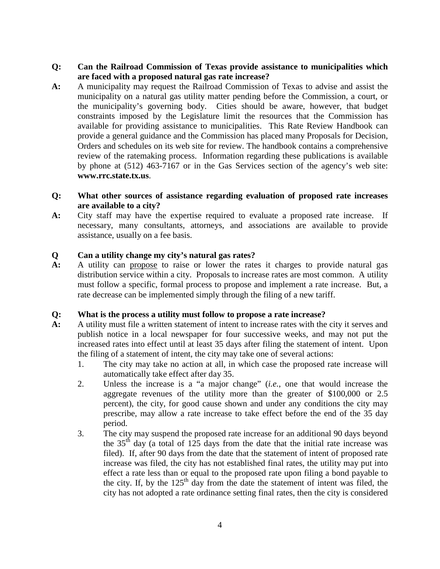- **Q: Can the Railroad Commission of Texas provide assistance to municipalities which are faced with a proposed natural gas rate increase?**
- **A:** A municipality may request the Railroad Commission of Texas to advise and assist the municipality on a natural gas utility matter pending before the Commission, a court, or the municipality's governing body. Cities should be aware, however, that budget constraints imposed by the Legislature limit the resources that the Commission has available for providing assistance to municipalities. This Rate Review Handbook can provide a general guidance and the Commission has placed many Proposals for Decision, Orders and schedules on its web site for review. The handbook contains a comprehensive review of the ratemaking process. Information regarding these publications is available by phone at (512) 463-7167 or in the Gas Services section of the agency's web site: **www.rrc.state.tx.us**.

# **Q: What other sources of assistance regarding evaluation of proposed rate increases are available to a city?**

**A:** City staff may have the expertise required to evaluate a proposed rate increase. If necessary, many consultants, attorneys, and associations are available to provide assistance, usually on a fee basis.

# **Q Can a utility change my city's natural gas rates?**

**A:** A utility can propose to raise or lower the rates it charges to provide natural gas distribution service within a city. Proposals to increase rates are most common. A utility must follow a specific, formal process to propose and implement a rate increase. But, a rate decrease can be implemented simply through the filing of a new tariff.

# **Q: What is the process a utility must follow to propose a rate increase?**

- **A:** A utility must file a written statement of intent to increase rates with the city it serves and publish notice in a local newspaper for four successive weeks, and may not put the increased rates into effect until at least 35 days after filing the statement of intent. Upon the filing of a statement of intent, the city may take one of several actions:
	- 1. The city may take no action at all, in which case the proposed rate increase will automatically take effect after day 35.
	- 2. Unless the increase is a "a major change" (*i.e.*, one that would increase the aggregate revenues of the utility more than the greater of \$100,000 or 2.5 percent), the city, for good cause shown and under any conditions the city may prescribe, may allow a rate increase to take effect before the end of the 35 day period.
	- 3. The city may suspend the proposed rate increase for an additional 90 days beyond the  $35<sup>th</sup>$  day (a total of 125 days from the date that the initial rate increase was filed). If, after 90 days from the date that the statement of intent of proposed rate increase was filed, the city has not established final rates, the utility may put into effect a rate less than or equal to the proposed rate upon filing a bond payable to the city. If, by the  $125<sup>th</sup>$  day from the date the statement of intent was filed, the city has not adopted a rate ordinance setting final rates, then the city is considered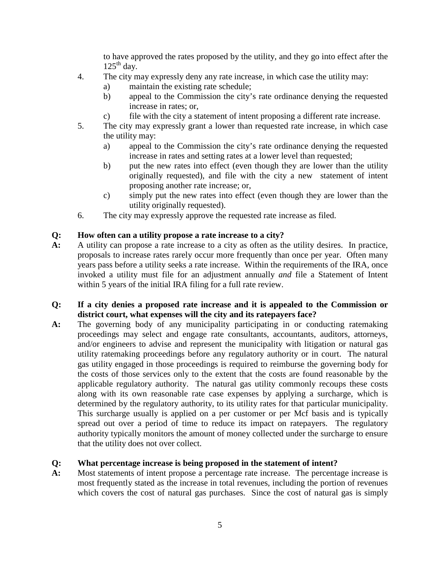to have approved the rates proposed by the utility, and they go into effect after the  $125<sup>th</sup>$  day.

- 4. The city may expressly deny any rate increase, in which case the utility may:
	- a) maintain the existing rate schedule;
	- b) appeal to the Commission the city's rate ordinance denying the requested increase in rates; or,
	- c) file with the city a statement of intent proposing a different rate increase.
- 5. The city may expressly grant a lower than requested rate increase, in which case the utility may:
	- a) appeal to the Commission the city's rate ordinance denying the requested increase in rates and setting rates at a lower level than requested;
	- b) put the new rates into effect (even though they are lower than the utility originally requested), and file with the city a new statement of intent proposing another rate increase; or,
	- c) simply put the new rates into effect (even though they are lower than the utility originally requested).
- 6. The city may expressly approve the requested rate increase as filed.

# **Q: How often can a utility propose a rate increase to a city?**

**A:** A utility can propose a rate increase to a city as often as the utility desires. In practice, proposals to increase rates rarely occur more frequently than once per year. Often many years pass before a utility seeks a rate increase. Within the requirements of the IRA, once invoked a utility must file for an adjustment annually *and* file a Statement of Intent within 5 years of the initial IRA filing for a full rate review.

#### **Q: If a city denies a proposed rate increase and it is appealed to the Commission or district court, what expenses will the city and its ratepayers face?**

**A:** The governing body of any municipality participating in or conducting ratemaking proceedings may select and engage rate consultants, accountants, auditors, attorneys, and/or engineers to advise and represent the municipality with litigation or natural gas utility ratemaking proceedings before any regulatory authority or in court. The natural gas utility engaged in those proceedings is required to reimburse the governing body for the costs of those services only to the extent that the costs are found reasonable by the applicable regulatory authority. The natural gas utility commonly recoups these costs along with its own reasonable rate case expenses by applying a surcharge, which is determined by the regulatory authority, to its utility rates for that particular municipality. This surcharge usually is applied on a per customer or per Mcf basis and is typically spread out over a period of time to reduce its impact on ratepayers. The regulatory authority typically monitors the amount of money collected under the surcharge to ensure that the utility does not over collect.

# **Q: What percentage increase is being proposed in the statement of intent?**

**A:** Most statements of intent propose a percentage rate increase. The percentage increase is most frequently stated as the increase in total revenues, including the portion of revenues which covers the cost of natural gas purchases. Since the cost of natural gas is simply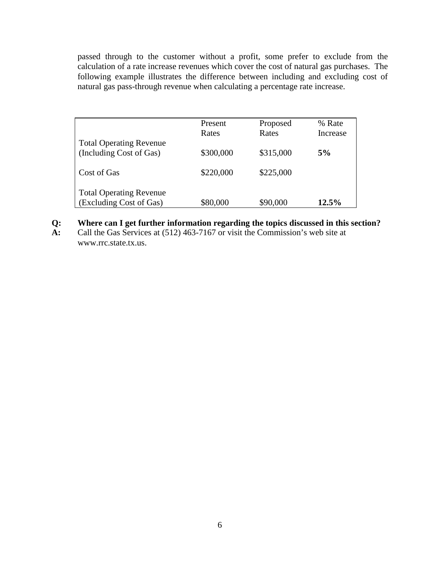passed through to the customer without a profit, some prefer to exclude from the calculation of a rate increase revenues which cover the cost of natural gas purchases. The following example illustrates the difference between including and excluding cost of natural gas pass-through revenue when calculating a percentage rate increase.

|                                                           | <b>Present</b><br>Rates | Proposed<br>Rates | % Rate<br>Increase |
|-----------------------------------------------------------|-------------------------|-------------------|--------------------|
| <b>Total Operating Revenue</b><br>(Including Cost of Gas) | \$300,000               | \$315,000         | 5%                 |
| Cost of Gas                                               | \$220,000               | \$225,000         |                    |
| <b>Total Operating Revenue</b><br>(Excluding Cost of Gas) | \$80,000                | \$90,000          | 12.5%              |

- **Q: Where can I get further information regarding the topics discussed in this section?**
- **A:** Call the Gas Services at (512) 463-7167 or visit the Commission's web site at www.rrc.state.tx.us.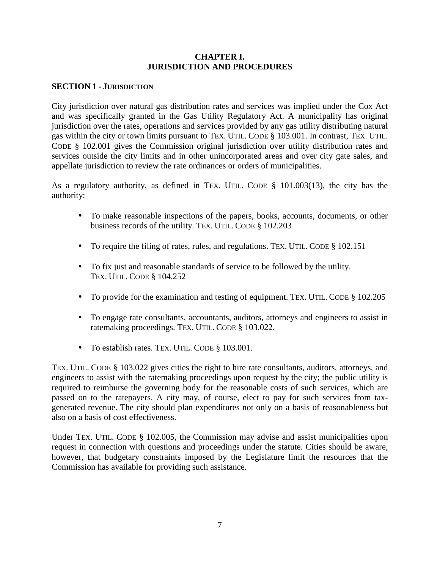#### **CHAPTER I. JURISDICTION AND PROCEDURES**

#### **SECTION 1 - JURISDICTION**

City jurisdiction over natural gas distribution rates and services was implied under the Cox Act and was specifically granted in the Gas Utility Regulatory Act. A municipality has original jurisdiction over the rates, operations and services provided by any gas utility distributing natural gas within the city or town limits pursuant to TEX. UTIL. CODE § 103.001. In contrast, TEX. UTIL. CODE § 102.001 gives the Commission original jurisdiction over utility distribution rates and services outside the city limits and in other unincorporated areas and over city gate sales, and appellate jurisdiction to review the rate ordinances or orders of municipalities.

As a regulatory authority, as defined in TEX. UTIL. CODE § 101.003(13), the city has the authority:

- To make reasonable inspections of the papers, books, accounts, documents, or other business records of the utility. TEX. UTIL. CODE § 102.203
- To require the filing of rates, rules, and regulations. TEX. UTIL. CODE § 102.151
- To fix just and reasonable standards of service to be followed by the utility. TEX. UTIL. CODE § 104.252
- To provide for the examination and testing of equipment. TEX. UTIL. CODE § 102.205
- To engage rate consultants, accountants, auditors, attorneys and engineers to assist in ratemaking proceedings. TEX. UTIL. CODE § 103.022.
- To establish rates. TEX. UTIL. CODE § 103.001.

TEX. UTIL. CODE § 103.022 gives cities the right to hire rate consultants, auditors, attorneys, and engineers to assist with the ratemaking proceedings upon request by the city; the public utility is required to reimburse the governing body for the reasonable costs of such services, which are passed on to the ratepayers. A city may, of course, elect to pay for such services from taxgenerated revenue. The city should plan expenditures not only on a basis of reasonableness but also on a basis of cost effectiveness.

Under TEX. UTIL. CODE § 102.005, the Commission may advise and assist municipalities upon request in connection with questions and proceedings under the statute. Cities should be aware, however, that budgetary constraints imposed by the Legislature limit the resources that the Commission has available for providing such assistance.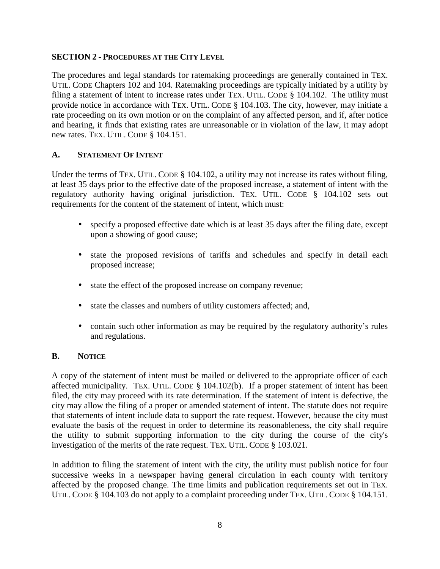#### **SECTION 2 - PROCEDURES AT THE CITY LEVEL**

The procedures and legal standards for ratemaking proceedings are generally contained in TEX. UTIL. CODE Chapters 102 and 104. Ratemaking proceedings are typically initiated by a utility by filing a statement of intent to increase rates under TEX. UTIL. CODE § 104.102. The utility must provide notice in accordance with TEX. UTIL. CODE § 104.103. The city, however, may initiate a rate proceeding on its own motion or on the complaint of any affected person, and if, after notice and hearing, it finds that existing rates are unreasonable or in violation of the law, it may adopt new rates. TEX. UTIL. CODE § 104.151.

#### **A. STATEMENT OF INTENT**

Under the terms of TEX. UTIL. CODE § 104.102, a utility may not increase its rates without filing, at least 35 days prior to the effective date of the proposed increase, a statement of intent with the regulatory authority having original jurisdiction. TEX. UTIL. CODE § 104.102 sets out requirements for the content of the statement of intent, which must:

- specify a proposed effective date which is at least 35 days after the filing date, except upon a showing of good cause;
- state the proposed revisions of tariffs and schedules and specify in detail each proposed increase;
- state the effect of the proposed increase on company revenue;
- state the classes and numbers of utility customers affected; and,
- contain such other information as may be required by the regulatory authority's rules and regulations.

# **B. NOTICE**

A copy of the statement of intent must be mailed or delivered to the appropriate officer of each affected municipality. TEX. UTIL. CODE § 104.102(b). If a proper statement of intent has been filed, the city may proceed with its rate determination. If the statement of intent is defective, the city may allow the filing of a proper or amended statement of intent. The statute does not require that statements of intent include data to support the rate request. However, because the city must evaluate the basis of the request in order to determine its reasonableness, the city shall require the utility to submit supporting information to the city during the course of the city's investigation of the merits of the rate request. TEX. UTIL. CODE § 103.021.

In addition to filing the statement of intent with the city, the utility must publish notice for four successive weeks in a newspaper having general circulation in each county with territory affected by the proposed change. The time limits and publication requirements set out in TEX. UTIL. CODE § 104.103 do not apply to a complaint proceeding under TEX. UTIL. CODE § 104.151.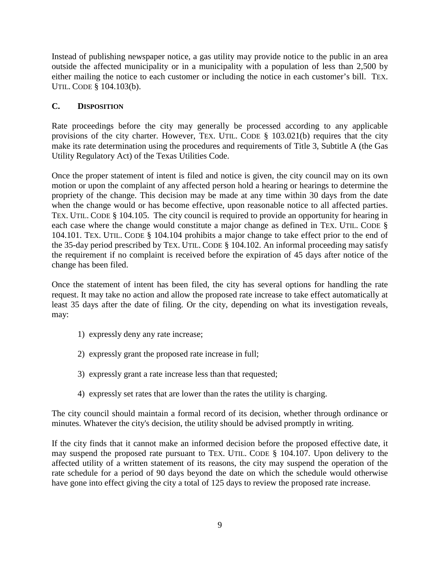Instead of publishing newspaper notice, a gas utility may provide notice to the public in an area outside the affected municipality or in a municipality with a population of less than 2,500 by either mailing the notice to each customer or including the notice in each customer's bill. TEX. UTIL. CODE § 104.103(b).

# **C. DISPOSITION**

Rate proceedings before the city may generally be processed according to any applicable provisions of the city charter. However, TEX. UTIL. CODE § 103.021(b) requires that the city make its rate determination using the procedures and requirements of Title 3, Subtitle A (the Gas Utility Regulatory Act) of the Texas Utilities Code.

Once the proper statement of intent is filed and notice is given, the city council may on its own motion or upon the complaint of any affected person hold a hearing or hearings to determine the propriety of the change. This decision may be made at any time within 30 days from the date when the change would or has become effective, upon reasonable notice to all affected parties. TEX. UTIL. CODE § 104.105. The city council is required to provide an opportunity for hearing in each case where the change would constitute a major change as defined in TEX. UTIL. CODE § 104.101. TEX. UTIL. CODE § 104.104 prohibits a major change to take effect prior to the end of the 35-day period prescribed by TEX. UTIL. CODE § 104.102. An informal proceeding may satisfy the requirement if no complaint is received before the expiration of 45 days after notice of the change has been filed.

Once the statement of intent has been filed, the city has several options for handling the rate request. It may take no action and allow the proposed rate increase to take effect automatically at least 35 days after the date of filing. Or the city, depending on what its investigation reveals, may:

- 1) expressly deny any rate increase;
- 2) expressly grant the proposed rate increase in full;
- 3) expressly grant a rate increase less than that requested;
- 4) expressly set rates that are lower than the rates the utility is charging.

The city council should maintain a formal record of its decision, whether through ordinance or minutes. Whatever the city's decision, the utility should be advised promptly in writing.

If the city finds that it cannot make an informed decision before the proposed effective date, it may suspend the proposed rate pursuant to TEX. UTIL. CODE § 104.107. Upon delivery to the affected utility of a written statement of its reasons, the city may suspend the operation of the rate schedule for a period of 90 days beyond the date on which the schedule would otherwise have gone into effect giving the city a total of 125 days to review the proposed rate increase.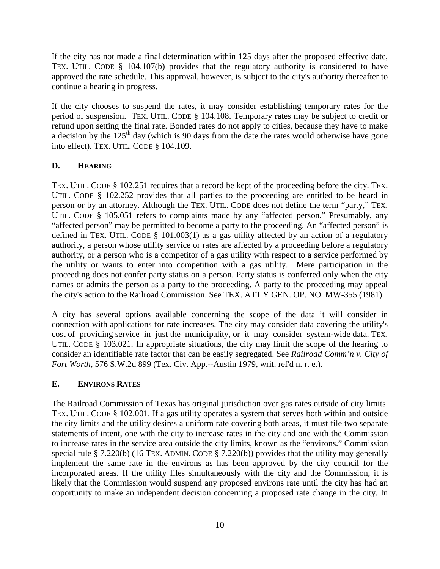If the city has not made a final determination within 125 days after the proposed effective date, TEX. UTIL. CODE § 104.107(b) provides that the regulatory authority is considered to have approved the rate schedule. This approval, however, is subject to the city's authority thereafter to continue a hearing in progress.

If the city chooses to suspend the rates, it may consider establishing temporary rates for the period of suspension. TEX. UTIL. CODE § 104.108. Temporary rates may be subject to credit or refund upon setting the final rate. Bonded rates do not apply to cities, because they have to make a decision by the  $125<sup>th</sup>$  day (which is 90 days from the date the rates would otherwise have gone into effect). TEX. UTIL. CODE § 104.109.

# **D. HEARING**

TEX. UTIL. CODE § 102.251 requires that a record be kept of the proceeding before the city. TEX. UTIL. CODE § 102.252 provides that all parties to the proceeding are entitled to be heard in person or by an attorney. Although the TEX. UTIL. CODE does not define the term "party," TEX. UTIL. CODE § 105.051 refers to complaints made by any "affected person." Presumably, any "affected person" may be permitted to become a party to the proceeding. An "affected person" is defined in TEX. UTIL. CODE  $\S$  101.003(1) as a gas utility affected by an action of a regulatory authority, a person whose utility service or rates are affected by a proceeding before a regulatory authority, or a person who is a competitor of a gas utility with respect to a service performed by the utility or wants to enter into competition with a gas utility. Mere participation in the proceeding does not confer party status on a person. Party status is conferred only when the city names or admits the person as a party to the proceeding. A party to the proceeding may appeal the city's action to the Railroad Commission. See TEX. ATT'Y GEN. OP. NO. MW-355 (1981).

A city has several options available concerning the scope of the data it will consider in connection with applications for rate increases. The city may consider data covering the utility's cost of providing service in just the municipality, or it may consider system-wide data. TEX. UTIL. CODE § 103.021. In appropriate situations, the city may limit the scope of the hearing to consider an identifiable rate factor that can be easily segregated. See *Railroad Comm'n v. City of Fort Worth*, 576 S.W.2d 899 (Tex. Civ. App.--Austin 1979, writ. ref'd n. r. e.).

# **E. ENVIRONS RATES**

The Railroad Commission of Texas has original jurisdiction over gas rates outside of city limits. TEX. UTIL. CODE § 102.001. If a gas utility operates a system that serves both within and outside the city limits and the utility desires a uniform rate covering both areas, it must file two separate statements of intent, one with the city to increase rates in the city and one with the Commission to increase rates in the service area outside the city limits, known as the "environs." Commission special rule § 7.220(b) (16 TEX. ADMIN. CODE § 7.220(b)) provides that the utility may generally implement the same rate in the environs as has been approved by the city council for the incorporated areas. If the utility files simultaneously with the city and the Commission, it is likely that the Commission would suspend any proposed environs rate until the city has had an opportunity to make an independent decision concerning a proposed rate change in the city. In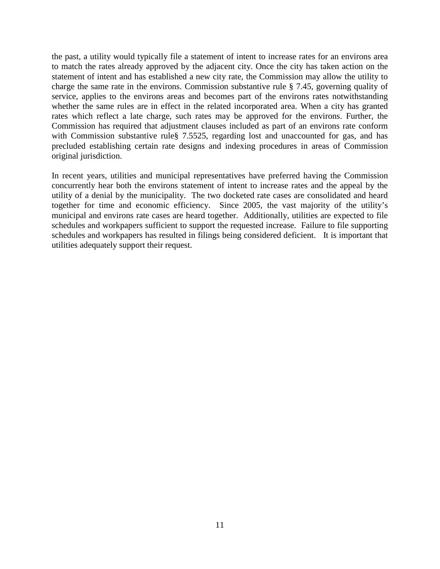the past, a utility would typically file a statement of intent to increase rates for an environs area to match the rates already approved by the adjacent city. Once the city has taken action on the statement of intent and has established a new city rate, the Commission may allow the utility to charge the same rate in the environs. Commission substantive rule § 7.45, governing quality of service, applies to the environs areas and becomes part of the environs rates notwithstanding whether the same rules are in effect in the related incorporated area. When a city has granted rates which reflect a late charge, such rates may be approved for the environs. Further, the Commission has required that adjustment clauses included as part of an environs rate conform with Commission substantive rule§ 7.5525, regarding lost and unaccounted for gas, and has precluded establishing certain rate designs and indexing procedures in areas of Commission original jurisdiction.

In recent years, utilities and municipal representatives have preferred having the Commission concurrently hear both the environs statement of intent to increase rates and the appeal by the utility of a denial by the municipality. The two docketed rate cases are consolidated and heard together for time and economic efficiency. Since 2005, the vast majority of the utility's municipal and environs rate cases are heard together. Additionally, utilities are expected to file schedules and workpapers sufficient to support the requested increase. Failure to file supporting schedules and workpapers has resulted in filings being considered deficient. It is important that utilities adequately support their request.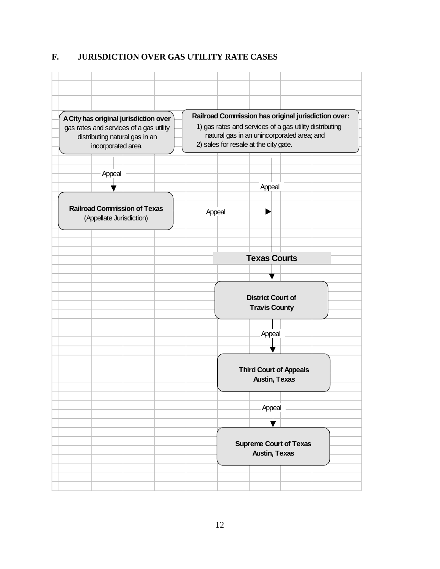# **F. JURISDICTION OVER GAS UTILITY RATE CASES**

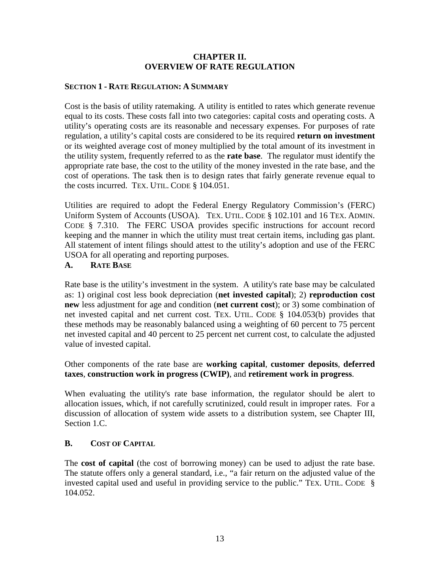#### **CHAPTER II. OVERVIEW OF RATE REGULATION**

#### **SECTION 1 - RATE REGULATION: A SUMMARY**

Cost is the basis of utility ratemaking. A utility is entitled to rates which generate revenue equal to its costs. These costs fall into two categories: capital costs and operating costs. A utility's operating costs are its reasonable and necessary expenses. For purposes of rate regulation, a utility's capital costs are considered to be its required **return on investment** or its weighted average cost of money multiplied by the total amount of its investment in the utility system, frequently referred to as the **rate base**. The regulator must identify the appropriate rate base, the cost to the utility of the money invested in the rate base, and the cost of operations. The task then is to design rates that fairly generate revenue equal to the costs incurred. TEX. UTIL. CODE § 104.051.

Utilities are required to adopt the Federal Energy Regulatory Commission's (FERC) Uniform System of Accounts (USOA). TEX. UTIL. CODE § 102.101 and 16 TEX. ADMIN. CODE § 7.310. The FERC USOA provides specific instructions for account record keeping and the manner in which the utility must treat certain items, including gas plant. All statement of intent filings should attest to the utility's adoption and use of the FERC USOA for all operating and reporting purposes.

#### **A. RATE BASE**

Rate base is the utility's investment in the system. A utility's rate base may be calculated as: 1) original cost less book depreciation (**net invested capital**); 2) **reproduction cost new** less adjustment for age and condition (**net current cost**); or 3) some combination of net invested capital and net current cost. TEX. UTIL. CODE § 104.053(b) provides that these methods may be reasonably balanced using a weighting of 60 percent to 75 percent net invested capital and 40 percent to 25 percent net current cost, to calculate the adjusted value of invested capital.

Other components of the rate base are **working capital**, **customer deposits**, **deferred taxes**, **construction work in progress (CWIP)**, and **retirement work in progress**.

When evaluating the utility's rate base information, the regulator should be alert to allocation issues, which, if not carefully scrutinized, could result in improper rates. For a discussion of allocation of system wide assets to a distribution system, see Chapter III, Section 1.C.

#### **B. COST OF CAPITAL**

The **cost of capital** (the cost of borrowing money) can be used to adjust the rate base. The statute offers only a general standard, i.e., "a fair return on the adjusted value of the invested capital used and useful in providing service to the public." TEX. UTIL. CODE § 104.052.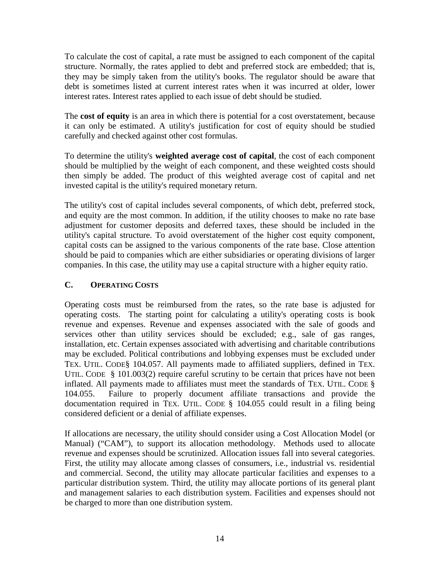To calculate the cost of capital, a rate must be assigned to each component of the capital structure. Normally, the rates applied to debt and preferred stock are embedded; that is, they may be simply taken from the utility's books. The regulator should be aware that debt is sometimes listed at current interest rates when it was incurred at older, lower interest rates. Interest rates applied to each issue of debt should be studied.

The **cost of equity** is an area in which there is potential for a cost overstatement, because it can only be estimated. A utility's justification for cost of equity should be studied carefully and checked against other cost formulas.

To determine the utility's **weighted average cost of capital**, the cost of each component should be multiplied by the weight of each component, and these weighted costs should then simply be added. The product of this weighted average cost of capital and net invested capital is the utility's required monetary return.

The utility's cost of capital includes several components, of which debt, preferred stock, and equity are the most common. In addition, if the utility chooses to make no rate base adjustment for customer deposits and deferred taxes, these should be included in the utility's capital structure. To avoid overstatement of the higher cost equity component, capital costs can be assigned to the various components of the rate base. Close attention should be paid to companies which are either subsidiaries or operating divisions of larger companies. In this case, the utility may use a capital structure with a higher equity ratio.

# **C. OPERATING COSTS**

Operating costs must be reimbursed from the rates, so the rate base is adjusted for operating costs. The starting point for calculating a utility's operating costs is book revenue and expenses. Revenue and expenses associated with the sale of goods and services other than utility services should be excluded; e.g., sale of gas ranges, installation, etc. Certain expenses associated with advertising and charitable contributions may be excluded. Political contributions and lobbying expenses must be excluded under TEX. UTIL. CODE§ 104.057. All payments made to affiliated suppliers, defined in TEX. UTIL. CODE § 101.003(2) require careful scrutiny to be certain that prices have not been inflated. All payments made to affiliates must meet the standards of TEX. UTIL. CODE § 104.055. Failure to properly document affiliate transactions and provide the documentation required in TEX. UTIL. CODE § 104.055 could result in a filing being considered deficient or a denial of affiliate expenses.

If allocations are necessary, the utility should consider using a Cost Allocation Model (or Manual) ("CAM"), to support its allocation methodology. Methods used to allocate revenue and expenses should be scrutinized. Allocation issues fall into several categories. First, the utility may allocate among classes of consumers, i.e., industrial vs. residential and commercial. Second, the utility may allocate particular facilities and expenses to a particular distribution system. Third, the utility may allocate portions of its general plant and management salaries to each distribution system. Facilities and expenses should not be charged to more than one distribution system.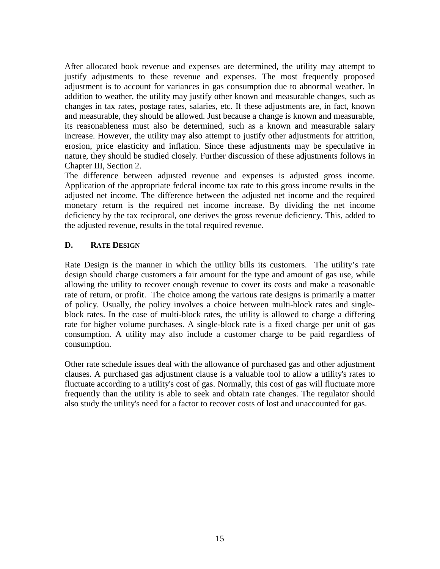After allocated book revenue and expenses are determined, the utility may attempt to justify adjustments to these revenue and expenses. The most frequently proposed adjustment is to account for variances in gas consumption due to abnormal weather. In addition to weather, the utility may justify other known and measurable changes, such as changes in tax rates, postage rates, salaries, etc. If these adjustments are, in fact, known and measurable, they should be allowed. Just because a change is known and measurable, its reasonableness must also be determined, such as a known and measurable salary increase. However, the utility may also attempt to justify other adjustments for attrition, erosion, price elasticity and inflation. Since these adjustments may be speculative in nature, they should be studied closely. Further discussion of these adjustments follows in Chapter III, Section 2.

The difference between adjusted revenue and expenses is adjusted gross income. Application of the appropriate federal income tax rate to this gross income results in the adjusted net income. The difference between the adjusted net income and the required monetary return is the required net income increase. By dividing the net income deficiency by the tax reciprocal, one derives the gross revenue deficiency. This, added to the adjusted revenue, results in the total required revenue.

# **D. RATE DESIGN**

Rate Design is the manner in which the utility bills its customers. The utility's rate design should charge customers a fair amount for the type and amount of gas use, while allowing the utility to recover enough revenue to cover its costs and make a reasonable rate of return, or profit. The choice among the various rate designs is primarily a matter of policy. Usually, the policy involves a choice between multi-block rates and singleblock rates. In the case of multi-block rates, the utility is allowed to charge a differing rate for higher volume purchases. A single-block rate is a fixed charge per unit of gas consumption. A utility may also include a customer charge to be paid regardless of consumption.

Other rate schedule issues deal with the allowance of purchased gas and other adjustment clauses. A purchased gas adjustment clause is a valuable tool to allow a utility's rates to fluctuate according to a utility's cost of gas. Normally, this cost of gas will fluctuate more frequently than the utility is able to seek and obtain rate changes. The regulator should also study the utility's need for a factor to recover costs of lost and unaccounted for gas.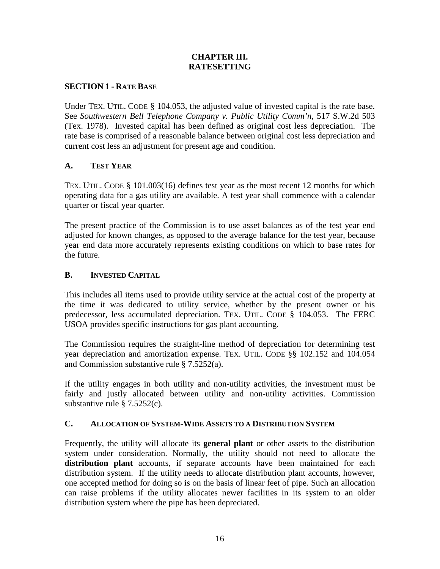#### **CHAPTER III. RATESETTING**

#### **SECTION 1 - RATE BASE**

Under TEX. UTIL. CODE § 104.053, the adjusted value of invested capital is the rate base. See *Southwestern Bell Telephone Company v. Public Utility Comm'n*, 517 S.W.2d 503 (Tex. 1978). Invested capital has been defined as original cost less depreciation. The rate base is comprised of a reasonable balance between original cost less depreciation and current cost less an adjustment for present age and condition.

# **A. TEST YEAR**

TEX. UTIL. CODE § 101.003(16) defines test year as the most recent 12 months for which operating data for a gas utility are available. A test year shall commence with a calendar quarter or fiscal year quarter.

The present practice of the Commission is to use asset balances as of the test year end adjusted for known changes, as opposed to the average balance for the test year, because year end data more accurately represents existing conditions on which to base rates for the future.

#### **B. INVESTED CAPITAL**

This includes all items used to provide utility service at the actual cost of the property at the time it was dedicated to utility service, whether by the present owner or his predecessor, less accumulated depreciation. TEX. UTIL. CODE § 104.053. The FERC USOA provides specific instructions for gas plant accounting.

The Commission requires the straight-line method of depreciation for determining test year depreciation and amortization expense. TEX. UTIL. CODE §§ 102.152 and 104.054 and Commission substantive rule § 7.5252(a).

If the utility engages in both utility and non-utility activities, the investment must be fairly and justly allocated between utility and non-utility activities. Commission substantive rule § 7.5252(c).

#### **C. ALLOCATION OF SYSTEM-WIDE ASSETS TO A DISTRIBUTION SYSTEM**

Frequently, the utility will allocate its **general plant** or other assets to the distribution system under consideration. Normally, the utility should not need to allocate the **distribution plant** accounts, if separate accounts have been maintained for each distribution system. If the utility needs to allocate distribution plant accounts, however, one accepted method for doing so is on the basis of linear feet of pipe. Such an allocation can raise problems if the utility allocates newer facilities in its system to an older distribution system where the pipe has been depreciated.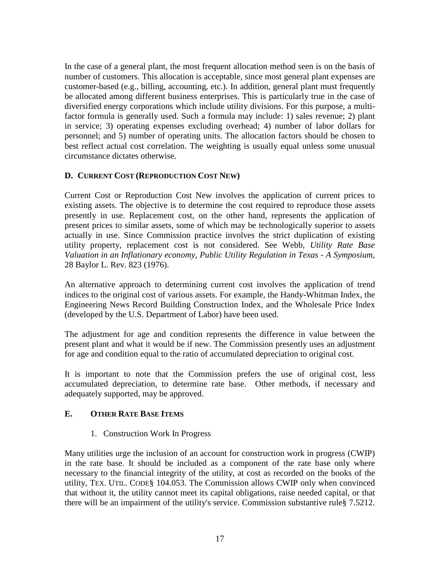In the case of a general plant, the most frequent allocation method seen is on the basis of number of customers. This allocation is acceptable, since most general plant expenses are customer-based (e.g., billing, accounting, etc.). In addition, general plant must frequently be allocated among different business enterprises. This is particularly true in the case of diversified energy corporations which include utility divisions. For this purpose, a multifactor formula is generally used. Such a formula may include: 1) sales revenue; 2) plant in service; 3) operating expenses excluding overhead; 4) number of labor dollars for personnel; and 5) number of operating units. The allocation factors should be chosen to best reflect actual cost correlation. The weighting is usually equal unless some unusual circumstance dictates otherwise.

# **D. CURRENT COST (REPRODUCTION COST NEW)**

Current Cost or Reproduction Cost New involves the application of current prices to existing assets. The objective is to determine the cost required to reproduce those assets presently in use. Replacement cost, on the other hand, represents the application of present prices to similar assets, some of which may be technologically superior to assets actually in use. Since Commission practice involves the strict duplication of existing utility property, replacement cost is not considered. See Webb*, Utility Rate Base Valuation in an Inflationary economy, Public Utility Regulation in Texas - A Symposium,* 28 Baylor L. Rev. 823 (1976).

An alternative approach to determining current cost involves the application of trend indices to the original cost of various assets. For example, the Handy-Whitman Index, the Engineering News Record Building Construction Index, and the Wholesale Price Index (developed by the U.S. Department of Labor) have been used.

The adjustment for age and condition represents the difference in value between the present plant and what it would be if new. The Commission presently uses an adjustment for age and condition equal to the ratio of accumulated depreciation to original cost.

It is important to note that the Commission prefers the use of original cost, less accumulated depreciation, to determine rate base. Other methods, if necessary and adequately supported, may be approved.

# **E. OTHER RATE BASE ITEMS**

# 1. Construction Work In Progress

Many utilities urge the inclusion of an account for construction work in progress (CWIP) in the rate base. It should be included as a component of the rate base only where necessary to the financial integrity of the utility, at cost as recorded on the books of the utility, TEX. UTIL. CODE§ 104.053. The Commission allows CWIP only when convinced that without it, the utility cannot meet its capital obligations, raise needed capital, or that there will be an impairment of the utility's service. Commission substantive rule§ 7.5212.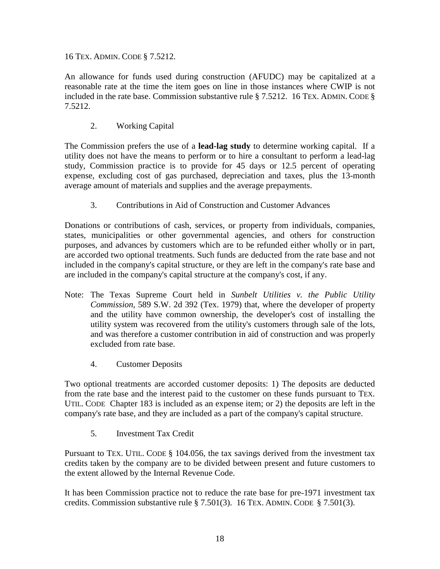16 TEX. ADMIN. CODE § 7.5212.

An allowance for funds used during construction (AFUDC) may be capitalized at a reasonable rate at the time the item goes on line in those instances where CWIP is not included in the rate base. Commission substantive rule § 7.5212. 16 TEX. ADMIN. CODE § 7.5212.

2. Working Capital

The Commission prefers the use of a **lead-lag study** to determine working capital. If a utility does not have the means to perform or to hire a consultant to perform a lead-lag study, Commission practice is to provide for 45 days or 12.5 percent of operating expense, excluding cost of gas purchased, depreciation and taxes, plus the 13-month average amount of materials and supplies and the average prepayments.

3. Contributions in Aid of Construction and Customer Advances

Donations or contributions of cash, services, or property from individuals, companies, states, municipalities or other governmental agencies, and others for construction purposes, and advances by customers which are to be refunded either wholly or in part, are accorded two optional treatments. Such funds are deducted from the rate base and not included in the company's capital structure, or they are left in the company's rate base and are included in the company's capital structure at the company's cost, if any.

- Note: The Texas Supreme Court held in *Sunbelt Utilities v. the Public Utility Commission*, 589 S.W. 2d 392 (Tex. 1979) that, where the developer of property and the utility have common ownership, the developer's cost of installing the utility system was recovered from the utility's customers through sale of the lots, and was therefore a customer contribution in aid of construction and was properly excluded from rate base.
	- 4. Customer Deposits

Two optional treatments are accorded customer deposits: 1) The deposits are deducted from the rate base and the interest paid to the customer on these funds pursuant to TEX. UTIL. CODE Chapter 183 is included as an expense item; or 2) the deposits are left in the company's rate base, and they are included as a part of the company's capital structure.

5. Investment Tax Credit

Pursuant to TEX. UTIL. CODE § 104.056, the tax savings derived from the investment tax credits taken by the company are to be divided between present and future customers to the extent allowed by the Internal Revenue Code.

It has been Commission practice not to reduce the rate base for pre-1971 investment tax credits. Commission substantive rule § 7.501(3). 16 TEX. ADMIN. CODE § 7.501(3).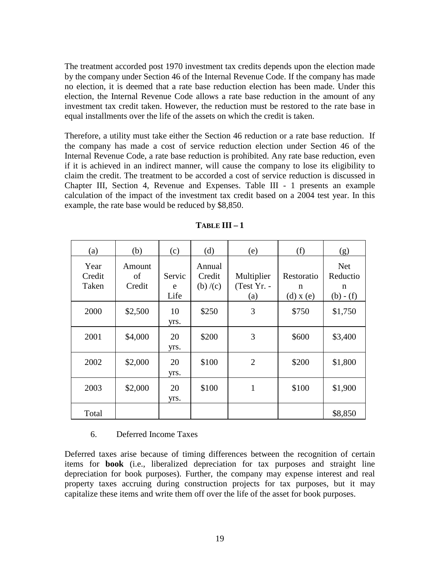The treatment accorded post 1970 investment tax credits depends upon the election made by the company under Section 46 of the Internal Revenue Code. If the company has made no election, it is deemed that a rate base reduction election has been made. Under this election, the Internal Revenue Code allows a rate base reduction in the amount of any investment tax credit taken. However, the reduction must be restored to the rate base in equal installments over the life of the assets on which the credit is taken.

Therefore, a utility must take either the Section 46 reduction or a rate base reduction. If the company has made a cost of service reduction election under Section 46 of the Internal Revenue Code, a rate base reduction is prohibited. Any rate base reduction, even if it is achieved in an indirect manner, will cause the company to lose its eligibility to claim the credit. The treatment to be accorded a cost of service reduction is discussed in Chapter III, Section 4, Revenue and Expenses. Table III - 1 presents an example calculation of the impact of the investment tax credit based on a 2004 test year. In this example, the rate base would be reduced by \$8,850.

| (a)                     | (b)                    | (c)                 | (d)                         | (e)                              | (f)                              | (g)                                        |
|-------------------------|------------------------|---------------------|-----------------------------|----------------------------------|----------------------------------|--------------------------------------------|
| Year<br>Credit<br>Taken | Amount<br>of<br>Credit | Servic<br>e<br>Life | Annual<br>Credit<br>(b)/(c) | Multiplier<br>(Test Yr. -<br>(a) | Restoratio<br>n<br>$(d)$ x $(e)$ | <b>Net</b><br>Reductio<br>n<br>$(b) - (f)$ |
| 2000                    | \$2,500                | 10<br>yrs.          | \$250                       | 3                                | \$750                            | \$1,750                                    |
| 2001                    | \$4,000                | 20<br>yrs.          | \$200                       | 3                                | \$600                            | \$3,400                                    |
| 2002                    | \$2,000                | 20<br>yrs.          | \$100                       | $\overline{2}$                   | \$200                            | \$1,800                                    |
| 2003                    | \$2,000                | 20<br>yrs.          | \$100                       | 1                                | \$100                            | \$1,900                                    |
| Total                   |                        |                     |                             |                                  |                                  | \$8,850                                    |

**TABLE III – 1** 

#### 6. Deferred Income Taxes

Deferred taxes arise because of timing differences between the recognition of certain items for **book** (i.e., liberalized depreciation for tax purposes and straight line depreciation for book purposes). Further, the company may expense interest and real property taxes accruing during construction projects for tax purposes, but it may capitalize these items and write them off over the life of the asset for book purposes.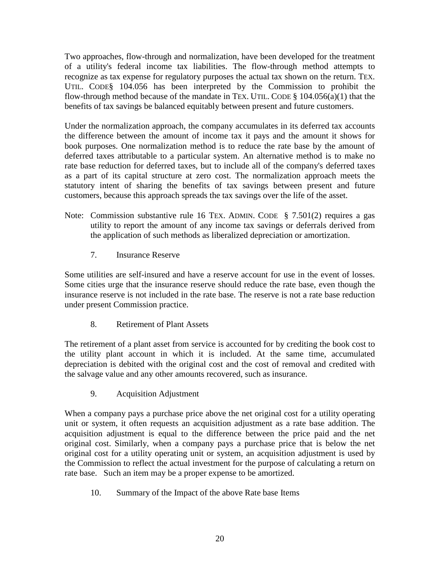Two approaches, flow-through and normalization, have been developed for the treatment of a utility's federal income tax liabilities. The flow-through method attempts to recognize as tax expense for regulatory purposes the actual tax shown on the return. TEX. UTIL. CODE§ 104.056 has been interpreted by the Commission to prohibit the flow-through method because of the mandate in TEX. UTIL. CODE  $\S$  104.056(a)(1) that the benefits of tax savings be balanced equitably between present and future customers.

Under the normalization approach, the company accumulates in its deferred tax accounts the difference between the amount of income tax it pays and the amount it shows for book purposes. One normalization method is to reduce the rate base by the amount of deferred taxes attributable to a particular system. An alternative method is to make no rate base reduction for deferred taxes, but to include all of the company's deferred taxes as a part of its capital structure at zero cost. The normalization approach meets the statutory intent of sharing the benefits of tax savings between present and future customers, because this approach spreads the tax savings over the life of the asset.

- Note: Commission substantive rule 16 TEX. ADMIN. CODE  $\S$  7.501(2) requires a gas utility to report the amount of any income tax savings or deferrals derived from the application of such methods as liberalized depreciation or amortization.
	- 7. Insurance Reserve

Some utilities are self-insured and have a reserve account for use in the event of losses. Some cities urge that the insurance reserve should reduce the rate base, even though the insurance reserve is not included in the rate base. The reserve is not a rate base reduction under present Commission practice.

8. Retirement of Plant Assets

The retirement of a plant asset from service is accounted for by crediting the book cost to the utility plant account in which it is included. At the same time, accumulated depreciation is debited with the original cost and the cost of removal and credited with the salvage value and any other amounts recovered, such as insurance.

9. Acquisition Adjustment

When a company pays a purchase price above the net original cost for a utility operating unit or system, it often requests an acquisition adjustment as a rate base addition. The acquisition adjustment is equal to the difference between the price paid and the net original cost. Similarly, when a company pays a purchase price that is below the net original cost for a utility operating unit or system, an acquisition adjustment is used by the Commission to reflect the actual investment for the purpose of calculating a return on rate base. Such an item may be a proper expense to be amortized.

10. Summary of the Impact of the above Rate base Items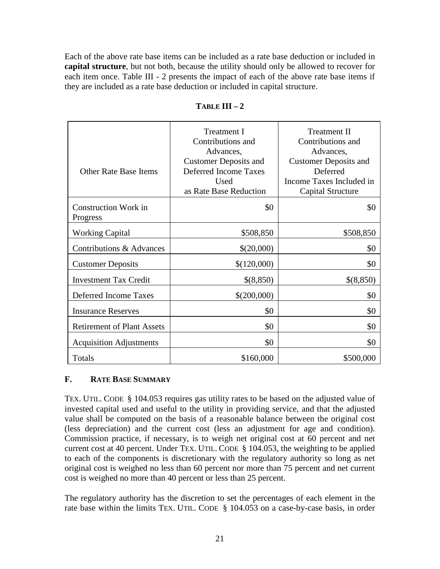Each of the above rate base items can be included as a rate base deduction or included in **capital structure**, but not both, because the utility should only be allowed to recover for each item once. Table III - 2 presents the impact of each of the above rate base items if they are included as a rate base deduction or included in capital structure.

| Other Rate Base Items                   | Treatment I<br>Contributions and<br>Advances,<br><b>Customer Deposits and</b><br>Deferred Income Taxes<br>Used<br>as Rate Base Reduction | <b>Treatment II</b><br>Contributions and<br>Advances,<br><b>Customer Deposits and</b><br>Deferred<br>Income Taxes Included in<br>Capital Structure |
|-----------------------------------------|------------------------------------------------------------------------------------------------------------------------------------------|----------------------------------------------------------------------------------------------------------------------------------------------------|
| <b>Construction Work in</b><br>Progress | \$0                                                                                                                                      | \$0                                                                                                                                                |
| <b>Working Capital</b>                  | \$508,850                                                                                                                                | \$508,850                                                                                                                                          |
| Contributions & Advances                | \$(20,000)                                                                                                                               | \$0                                                                                                                                                |
| <b>Customer Deposits</b>                | \$(120,000)                                                                                                                              | \$0                                                                                                                                                |
| <b>Investment Tax Credit</b>            | \$(8,850)                                                                                                                                | \$(8,850)                                                                                                                                          |
| Deferred Income Taxes                   | \$(200,000)                                                                                                                              | \$0                                                                                                                                                |
| <b>Insurance Reserves</b>               | \$0                                                                                                                                      | \$0                                                                                                                                                |
| <b>Retirement of Plant Assets</b>       | \$0                                                                                                                                      | \$0                                                                                                                                                |
| <b>Acquisition Adjustments</b>          | \$0                                                                                                                                      | \$0                                                                                                                                                |
| Totals                                  | \$160,000                                                                                                                                | \$500,000                                                                                                                                          |

# $T$ **ABLE**  $\Pi I - 2$

# **F. RATE BASE SUMMARY**

TEX. UTIL. CODE § 104.053 requires gas utility rates to be based on the adjusted value of invested capital used and useful to the utility in providing service, and that the adjusted value shall be computed on the basis of a reasonable balance between the original cost (less depreciation) and the current cost (less an adjustment for age and condition). Commission practice, if necessary, is to weigh net original cost at 60 percent and net current cost at 40 percent. Under TEX. UTIL. CODE § 104.053, the weighting to be applied to each of the components is discretionary with the regulatory authority so long as net original cost is weighed no less than 60 percent nor more than 75 percent and net current cost is weighed no more than 40 percent or less than 25 percent.

The regulatory authority has the discretion to set the percentages of each element in the rate base within the limits TEX. UTIL. CODE § 104.053 on a case-by-case basis, in order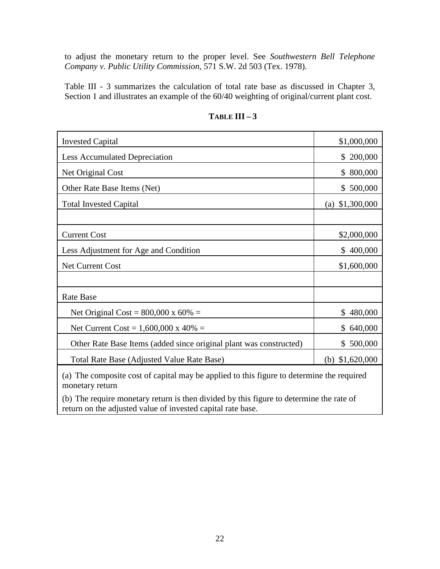to adjust the monetary return to the proper level. See *Southwestern Bell Telephone Company v. Public Utility Commission*, 571 S.W. 2d 503 (Tex. 1978).

Table III - 3 summarizes the calculation of total rate base as discussed in Chapter 3, Section 1 and illustrates an example of the 60/40 weighting of original/current plant cost.

| <b>Invested Capital</b>                                            | \$1,000,000        |
|--------------------------------------------------------------------|--------------------|
| <b>Less Accumulated Depreciation</b>                               | 200,000<br>S.      |
| Net Original Cost                                                  | 800,000<br>S.      |
| Other Rate Base Items (Net)                                        | \$500,000          |
| <b>Total Invested Capital</b>                                      | \$1,300,000<br>(a) |
|                                                                    |                    |
| <b>Current Cost</b>                                                | \$2,000,000        |
| Less Adjustment for Age and Condition                              | \$400,000          |
| <b>Net Current Cost</b>                                            | \$1,600,000        |
|                                                                    |                    |
| <b>Rate Base</b>                                                   |                    |
| Net Original Cost = $800,000 \times 60\%$ =                        | 480,000<br>\$      |
| Net Current Cost = $1,600,000 \times 40\%$ =                       | \$640,000          |
| Other Rate Base Items (added since original plant was constructed) | \$500,000          |
| Total Rate Base (Adjusted Value Rate Base)                         | \$1,620,000<br>(b) |
|                                                                    |                    |

# **TABLE III – 3**

(a) The composite cost of capital may be applied to this figure to determine the required monetary return

(b) The require monetary return is then divided by this figure to determine the rate of return on the adjusted value of invested capital rate base.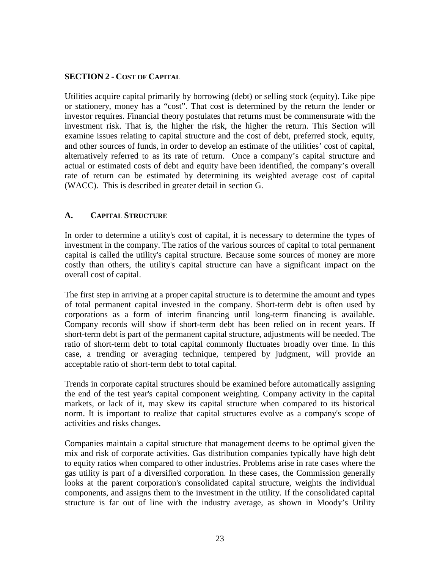#### **SECTION 2 - COST OF CAPITAL**

Utilities acquire capital primarily by borrowing (debt) or selling stock (equity). Like pipe or stationery, money has a "cost". That cost is determined by the return the lender or investor requires. Financial theory postulates that returns must be commensurate with the investment risk. That is, the higher the risk, the higher the return. This Section will examine issues relating to capital structure and the cost of debt, preferred stock, equity, and other sources of funds, in order to develop an estimate of the utilities' cost of capital, alternatively referred to as its rate of return. Once a company's capital structure and actual or estimated costs of debt and equity have been identified, the company's overall rate of return can be estimated by determining its weighted average cost of capital (WACC). This is described in greater detail in section G.

#### **A. CAPITAL STRUCTURE**

In order to determine a utility's cost of capital, it is necessary to determine the types of investment in the company. The ratios of the various sources of capital to total permanent capital is called the utility's capital structure. Because some sources of money are more costly than others, the utility's capital structure can have a significant impact on the overall cost of capital.

The first step in arriving at a proper capital structure is to determine the amount and types of total permanent capital invested in the company. Short-term debt is often used by corporations as a form of interim financing until long-term financing is available. Company records will show if short-term debt has been relied on in recent years. If short-term debt is part of the permanent capital structure, adjustments will be needed. The ratio of short-term debt to total capital commonly fluctuates broadly over time. In this case, a trending or averaging technique, tempered by judgment, will provide an acceptable ratio of short-term debt to total capital.

Trends in corporate capital structures should be examined before automatically assigning the end of the test year's capital component weighting. Company activity in the capital markets, or lack of it, may skew its capital structure when compared to its historical norm. It is important to realize that capital structures evolve as a company's scope of activities and risks changes.

Companies maintain a capital structure that management deems to be optimal given the mix and risk of corporate activities. Gas distribution companies typically have high debt to equity ratios when compared to other industries. Problems arise in rate cases where the gas utility is part of a diversified corporation. In these cases, the Commission generally looks at the parent corporation's consolidated capital structure, weights the individual components, and assigns them to the investment in the utility. If the consolidated capital structure is far out of line with the industry average, as shown in Moody's Utility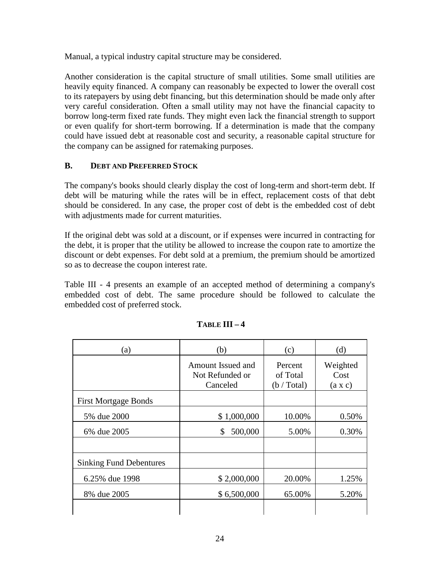Manual, a typical industry capital structure may be considered.

Another consideration is the capital structure of small utilities. Some small utilities are heavily equity financed. A company can reasonably be expected to lower the overall cost to its ratepayers by using debt financing, but this determination should be made only after very careful consideration. Often a small utility may not have the financial capacity to borrow long-term fixed rate funds. They might even lack the financial strength to support or even qualify for short-term borrowing. If a determination is made that the company could have issued debt at reasonable cost and security, a reasonable capital structure for the company can be assigned for ratemaking purposes.

# **B. DEBT AND PREFERRED STOCK**

The company's books should clearly display the cost of long-term and short-term debt. If debt will be maturing while the rates will be in effect, replacement costs of that debt should be considered. In any case, the proper cost of debt is the embedded cost of debt with adjustments made for current maturities.

If the original debt was sold at a discount, or if expenses were incurred in contracting for the debt, it is proper that the utility be allowed to increase the coupon rate to amortize the discount or debt expenses. For debt sold at a premium, the premium should be amortized so as to decrease the coupon interest rate.

Table III - 4 presents an example of an accepted method of determining a company's embedded cost of debt. The same procedure should be followed to calculate the embedded cost of preferred stock.

| (a)                            | (b)                                              | (c)                                | (d)                                |  |
|--------------------------------|--------------------------------------------------|------------------------------------|------------------------------------|--|
|                                | Amount Issued and<br>Not Refunded or<br>Canceled | Percent<br>of Total<br>(b / Total) | Weighted<br>Cost<br>$(a \times c)$ |  |
| <b>First Mortgage Bonds</b>    |                                                  |                                    |                                    |  |
| 5% due 2000                    | \$1,000,000                                      | 10.00%                             | 0.50%                              |  |
| 6% due 2005                    | 500,000<br>S.                                    | 5.00%                              | 0.30%                              |  |
|                                |                                                  |                                    |                                    |  |
| <b>Sinking Fund Debentures</b> |                                                  |                                    |                                    |  |
| 6.25% due 1998                 | \$2,000,000                                      | 20.00%                             | 1.25%                              |  |
| 8% due 2005                    | \$6,500,000                                      | 65.00%                             | 5.20%                              |  |
|                                |                                                  |                                    |                                    |  |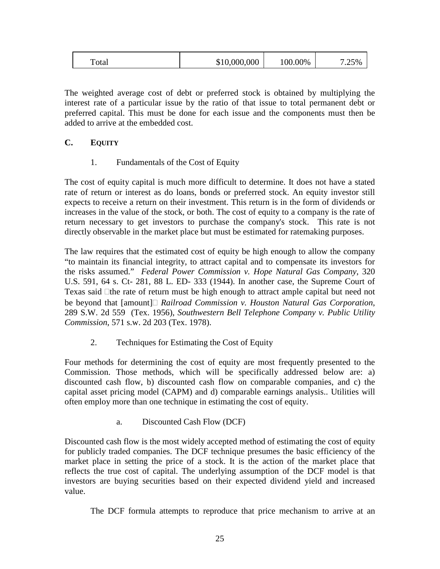| \$10,000,000<br>100.00%<br>.25%<br>Total |
|------------------------------------------|
|------------------------------------------|

The weighted average cost of debt or preferred stock is obtained by multiplying the interest rate of a particular issue by the ratio of that issue to total permanent debt or preferred capital. This must be done for each issue and the components must then be added to arrive at the embedded cost.

# **C. EQUITY**

1. Fundamentals of the Cost of Equity

The cost of equity capital is much more difficult to determine. It does not have a stated rate of return or interest as do loans, bonds or preferred stock. An equity investor still expects to receive a return on their investment. This return is in the form of dividends or increases in the value of the stock, or both. The cost of equity to a company is the rate of return necessary to get investors to purchase the company's stock. This rate is not directly observable in the market place but must be estimated for ratemaking purposes.

The law requires that the estimated cost of equity be high enough to allow the company "to maintain its financial integrity, to attract capital and to compensate its investors for the risks assumed." *Federal Power Commission v. Hope Natural Gas Company*, 320 U.S. 591, 64 s. Ct- 281, 88 L. ED- 333 (1944). In another case, the Supreme Court of Texas said the rate of return must be high enough to attract ample capital but need not be beyond that [amount] *Railroad Commission v. Houston Natural Gas Corporation*, 289 S.W. 2d 559 (Tex. 1956), *Southwestern Bell Telephone Company v. Public Utility Commission*, 571 s.w. 2d 203 (Tex. 1978).

2. Techniques for Estimating the Cost of Equity

Four methods for determining the cost of equity are most frequently presented to the Commission. Those methods, which will be specifically addressed below are: a) discounted cash flow, b) discounted cash flow on comparable companies, and c) the capital asset pricing model (CAPM) and d) comparable earnings analysis.. Utilities will often employ more than one technique in estimating the cost of equity.

a. Discounted Cash Flow (DCF)

Discounted cash flow is the most widely accepted method of estimating the cost of equity for publicly traded companies. The DCF technique presumes the basic efficiency of the market place in setting the price of a stock. It is the action of the market place that reflects the true cost of capital. The underlying assumption of the DCF model is that investors are buying securities based on their expected dividend yield and increased value.

The DCF formula attempts to reproduce that price mechanism to arrive at an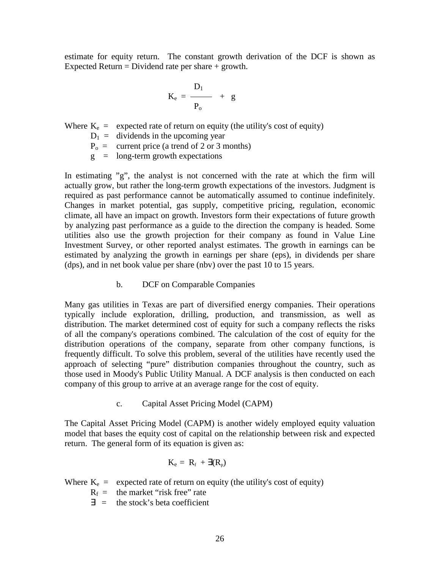estimate for equity return. The constant growth derivation of the DCF is shown as Expected Return = Dividend rate per share  $+$  growth.

$$
K_e = \frac{D_1}{P_o} + g
$$

Where  $K_e$  = expected rate of return on equity (the utility's cost of equity)

 $D_1$  = dividends in the upcoming year

 $P_0$  = current price (a trend of 2 or 3 months)

 $g =$  long-term growth expectations

In estimating  $\gamma g''$ , the analyst is not concerned with the rate at which the firm will actually grow, but rather the long-term growth expectations of the investors. Judgment is required as past performance cannot be automatically assumed to continue indefinitely. Changes in market potential, gas supply, competitive pricing, regulation, economic climate, all have an impact on growth. Investors form their expectations of future growth by analyzing past performance as a guide to the direction the company is headed. Some utilities also use the growth projection for their company as found in Value Line Investment Survey, or other reported analyst estimates. The growth in earnings can be estimated by analyzing the growth in earnings per share (eps), in dividends per share (dps), and in net book value per share (nbv) over the past 10 to 15 years.

b. DCF on Comparable Companies

Many gas utilities in Texas are part of diversified energy companies. Their operations typically include exploration, drilling, production, and transmission, as well as distribution. The market determined cost of equity for such a company reflects the risks of all the company's operations combined. The calculation of the cost of equity for the distribution operations of the company, separate from other company functions, is frequently difficult. To solve this problem, several of the utilities have recently used the approach of selecting "pure" distribution companies throughout the country, such as those used in Moody's Public Utility Manual. A DCF analysis is then conducted on each company of this group to arrive at an average range for the cost of equity.

c. Capital Asset Pricing Model (CAPM)

The Capital Asset Pricing Model (CAPM) is another widely employed equity valuation model that bases the equity cost of capital on the relationship between risk and expected return. The general form of its equation is given as:

$$
K_e = R_f + \exists (R_p)
$$

Where  $K_e$  = expected rate of return on equity (the utility's cost of equity)

 $R_f$  = the market "risk free" rate

 $\exists$  = the stock's beta coefficient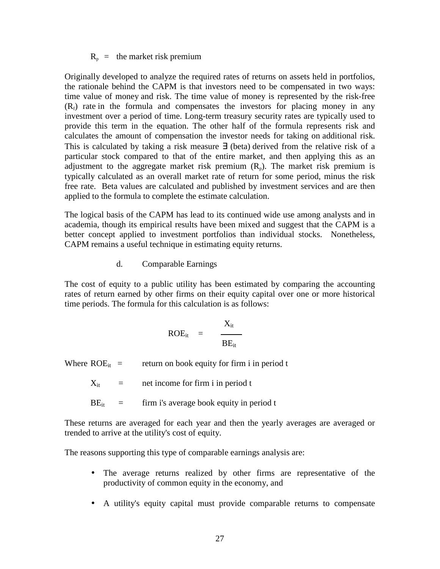$R_p$  = the market risk premium

Originally developed to analyze the required rates of returns on assets held in portfolios, the rationale behind the CAPM is that investors need to be compensated in two ways: time value of money and risk. The time value of money is represented by the risk-free  $(R<sub>f</sub>)$  rate in the formula and compensates the investors for placing money in any investment over a period of time. Long-term treasury security rates are typically used to provide this term in the equation. The other half of the formula represents risk and calculates the amount of compensation the investor needs for taking on additional risk. This is calculated by taking a risk measure ∃ (beta) derived from the relative risk of a particular stock compared to that of the entire market, and then applying this as an adjustment to the aggregate market risk premium  $(R_p)$ . The market risk premium is typically calculated as an overall market rate of return for some period, minus the risk free rate. Beta values are calculated and published by investment services and are then applied to the formula to complete the estimate calculation.

The logical basis of the CAPM has lead to its continued wide use among analysts and in academia, though its empirical results have been mixed and suggest that the CAPM is a better concept applied to investment portfolios than individual stocks. Nonetheless, CAPM remains a useful technique in estimating equity returns.

d. Comparable Earnings

The cost of equity to a public utility has been estimated by comparing the accounting rates of return earned by other firms on their equity capital over one or more historical time periods. The formula for this calculation is as follows:

$$
ROE_{it} = \frac{X_{it}}{BE_{it}}
$$

Where  $ROE_{it}$  = return on book equity for firm i in period t

 $X_{it}$  = net income for firm i in period t

 $BE_{it}$  = firm i's average book equity in period t

These returns are averaged for each year and then the yearly averages are averaged or trended to arrive at the utility's cost of equity.

The reasons supporting this type of comparable earnings analysis are:

- The average returns realized by other firms are representative of the productivity of common equity in the economy, and
- A utility's equity capital must provide comparable returns to compensate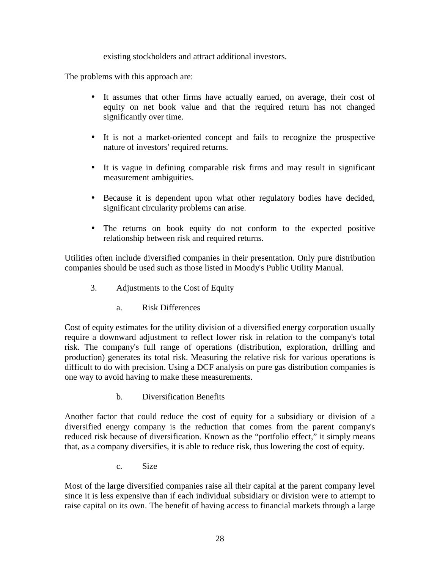existing stockholders and attract additional investors.

The problems with this approach are:

- It assumes that other firms have actually earned, on average, their cost of equity on net book value and that the required return has not changed significantly over time.
- It is not a market-oriented concept and fails to recognize the prospective nature of investors' required returns.
- It is vague in defining comparable risk firms and may result in significant measurement ambiguities.
- Because it is dependent upon what other regulatory bodies have decided, significant circularity problems can arise.
- The returns on book equity do not conform to the expected positive relationship between risk and required returns.

Utilities often include diversified companies in their presentation. Only pure distribution companies should be used such as those listed in Moody's Public Utility Manual.

- 3. Adjustments to the Cost of Equity
	- a. Risk Differences

Cost of equity estimates for the utility division of a diversified energy corporation usually require a downward adjustment to reflect lower risk in relation to the company's total risk. The company's full range of operations (distribution, exploration, drilling and production) generates its total risk. Measuring the relative risk for various operations is difficult to do with precision. Using a DCF analysis on pure gas distribution companies is one way to avoid having to make these measurements.

b. Diversification Benefits

Another factor that could reduce the cost of equity for a subsidiary or division of a diversified energy company is the reduction that comes from the parent company's reduced risk because of diversification. Known as the "portfolio effect," it simply means that, as a company diversifies, it is able to reduce risk, thus lowering the cost of equity.

c. Size

Most of the large diversified companies raise all their capital at the parent company level since it is less expensive than if each individual subsidiary or division were to attempt to raise capital on its own. The benefit of having access to financial markets through a large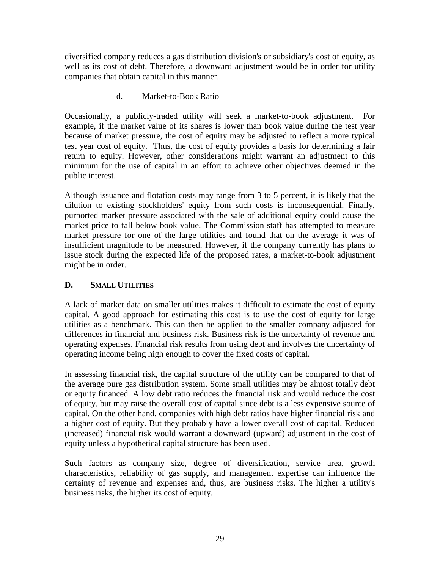diversified company reduces a gas distribution division's or subsidiary's cost of equity, as well as its cost of debt. Therefore, a downward adjustment would be in order for utility companies that obtain capital in this manner.

d. Market-to-Book Ratio

Occasionally, a publicly-traded utility will seek a market-to-book adjustment. For example, if the market value of its shares is lower than book value during the test year because of market pressure, the cost of equity may be adjusted to reflect a more typical test year cost of equity. Thus, the cost of equity provides a basis for determining a fair return to equity. However, other considerations might warrant an adjustment to this minimum for the use of capital in an effort to achieve other objectives deemed in the public interest.

Although issuance and flotation costs may range from 3 to 5 percent, it is likely that the dilution to existing stockholders' equity from such costs is inconsequential. Finally, purported market pressure associated with the sale of additional equity could cause the market price to fall below book value. The Commission staff has attempted to measure market pressure for one of the large utilities and found that on the average it was of insufficient magnitude to be measured. However, if the company currently has plans to issue stock during the expected life of the proposed rates, a market-to-book adjustment might be in order.

# **D. SMALL UTILITIES**

A lack of market data on smaller utilities makes it difficult to estimate the cost of equity capital. A good approach for estimating this cost is to use the cost of equity for large utilities as a benchmark. This can then be applied to the smaller company adjusted for differences in financial and business risk. Business risk is the uncertainty of revenue and operating expenses. Financial risk results from using debt and involves the uncertainty of operating income being high enough to cover the fixed costs of capital.

In assessing financial risk, the capital structure of the utility can be compared to that of the average pure gas distribution system. Some small utilities may be almost totally debt or equity financed. A low debt ratio reduces the financial risk and would reduce the cost of equity, but may raise the overall cost of capital since debt is a less expensive source of capital. On the other hand, companies with high debt ratios have higher financial risk and a higher cost of equity. But they probably have a lower overall cost of capital. Reduced (increased) financial risk would warrant a downward (upward) adjustment in the cost of equity unless a hypothetical capital structure has been used.

Such factors as company size, degree of diversification, service area, growth characteristics, reliability of gas supply, and management expertise can influence the certainty of revenue and expenses and, thus, are business risks. The higher a utility's business risks, the higher its cost of equity.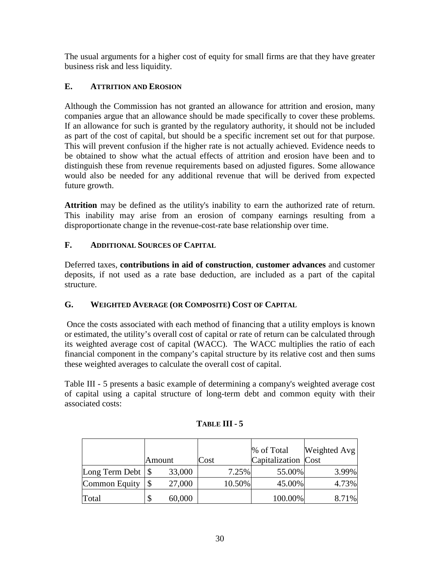The usual arguments for a higher cost of equity for small firms are that they have greater business risk and less liquidity.

# **E. ATTRITION AND EROSION**

Although the Commission has not granted an allowance for attrition and erosion, many companies argue that an allowance should be made specifically to cover these problems. If an allowance for such is granted by the regulatory authority, it should not be included as part of the cost of capital, but should be a specific increment set out for that purpose. This will prevent confusion if the higher rate is not actually achieved. Evidence needs to be obtained to show what the actual effects of attrition and erosion have been and to distinguish these from revenue requirements based on adjusted figures. Some allowance would also be needed for any additional revenue that will be derived from expected future growth.

**Attrition** may be defined as the utility's inability to earn the authorized rate of return. This inability may arise from an erosion of company earnings resulting from a disproportionate change in the revenue-cost-rate base relationship over time.

# **F. ADDITIONAL SOURCES OF CAPITAL**

Deferred taxes, **contributions in aid of construction**, **customer advances** and customer deposits, if not used as a rate base deduction, are included as a part of the capital structure.

# **G. WEIGHTED AVERAGE (OR COMPOSITE) COST OF CAPITAL**

 Once the costs associated with each method of financing that a utility employs is known or estimated, the utility's overall cost of capital or rate of return can be calculated through its weighted average cost of capital (WACC). The WACC multiplies the ratio of each financial component in the company's capital structure by its relative cost and then sums these weighted averages to calculate the overall cost of capital.

Table III - 5 presents a basic example of determining a company's weighted average cost of capital using a capital structure of long-term debt and common equity with their associated costs:

|                              |        |        |      |        | % of Total          | Weighted Avg |
|------------------------------|--------|--------|------|--------|---------------------|--------------|
|                              | Amount |        | Cost |        | Capitalization Cost |              |
| Long Term Debt $\frac{1}{s}$ |        | 33,000 |      | 7.25%  | 55.00%              | 3.99%        |
| Common Equity                |        | 27,000 |      | 10.50% | 45.00%              | 4.73%        |
| Total                        | \$     | 60,000 |      |        | 100.00%             | 8.71%        |

# **TABLE III - 5**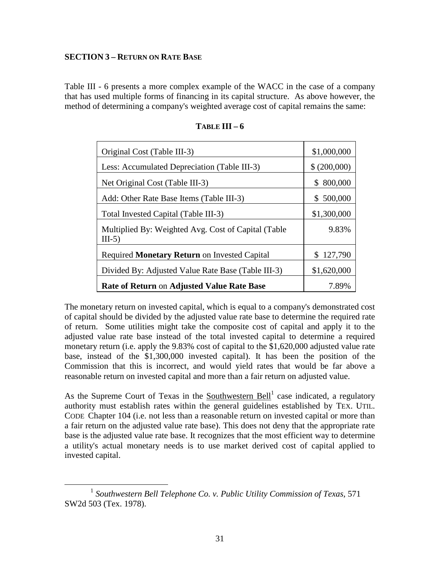#### **SECTION 3 – RETURN ON RATE BASE**

Table III - 6 presents a more complex example of the WACC in the case of a company that has used multiple forms of financing in its capital structure. As above however, the method of determining a company's weighted average cost of capital remains the same:

| Original Cost (Table III-3)                                     | \$1,000,000  |
|-----------------------------------------------------------------|--------------|
| Less: Accumulated Depreciation (Table III-3)                    | \$ (200,000) |
| Net Original Cost (Table III-3)                                 | \$800,000    |
| Add: Other Rate Base Items (Table III-3)                        | \$500,000    |
| Total Invested Capital (Table III-3)                            | \$1,300,000  |
| Multiplied By: Weighted Avg. Cost of Capital (Table<br>$III-5)$ | 9.83%        |
| Required Monetary Return on Invested Capital                    | \$127,790    |
| Divided By: Adjusted Value Rate Base (Table III-3)              | \$1,620,000  |
| Rate of Return on Adjusted Value Rate Base                      | 7.89%        |

**TABLE III – 6** 

The monetary return on invested capital, which is equal to a company's demonstrated cost of capital should be divided by the adjusted value rate base to determine the required rate of return. Some utilities might take the composite cost of capital and apply it to the adjusted value rate base instead of the total invested capital to determine a required monetary return (i.e. apply the 9.83% cost of capital to the \$1,620,000 adjusted value rate base, instead of the \$1,300,000 invested capital). It has been the position of the Commission that this is incorrect, and would yield rates that would be far above a reasonable return on invested capital and more than a fair return on adjusted value.

As the Supreme Court of Texas in the Southwestern Bell<sup>1</sup> case indicated, a regulatory authority must establish rates within the general guidelines established by TEX. UTIL. CODE Chapter 104 (i.e. not less than a reasonable return on invested capital or more than a fair return on the adjusted value rate base). This does not deny that the appropriate rate base is the adjusted value rate base. It recognizes that the most efficient way to determine a utility's actual monetary needs is to use market derived cost of capital applied to invested capital.

 $\overline{a}$ 1 *Southwestern Bell Telephone Co. v. Public Utility Commission of Texas*, 571 SW2d 503 (Tex. 1978).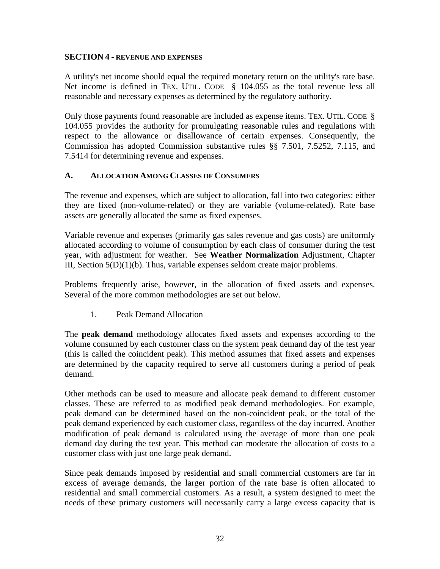#### **SECTION 4 - REVENUE AND EXPENSES**

A utility's net income should equal the required monetary return on the utility's rate base. Net income is defined in TEX. UTIL. CODE § 104.055 as the total revenue less all reasonable and necessary expenses as determined by the regulatory authority.

Only those payments found reasonable are included as expense items. TEX. UTIL. CODE § 104.055 provides the authority for promulgating reasonable rules and regulations with respect to the allowance or disallowance of certain expenses. Consequently, the Commission has adopted Commission substantive rules §§ 7.501, 7.5252, 7.115, and 7.5414 for determining revenue and expenses.

# **A. ALLOCATION AMONG CLASSES OF CONSUMERS**

The revenue and expenses, which are subject to allocation, fall into two categories: either they are fixed (non-volume-related) or they are variable (volume-related). Rate base assets are generally allocated the same as fixed expenses.

Variable revenue and expenses (primarily gas sales revenue and gas costs) are uniformly allocated according to volume of consumption by each class of consumer during the test year, with adjustment for weather. See **Weather Normalization** Adjustment, Chapter III, Section 5(D)(1)(b). Thus, variable expenses seldom create major problems.

Problems frequently arise, however, in the allocation of fixed assets and expenses. Several of the more common methodologies are set out below.

1. Peak Demand Allocation

The **peak demand** methodology allocates fixed assets and expenses according to the volume consumed by each customer class on the system peak demand day of the test year (this is called the coincident peak). This method assumes that fixed assets and expenses are determined by the capacity required to serve all customers during a period of peak demand.

Other methods can be used to measure and allocate peak demand to different customer classes. These are referred to as modified peak demand methodologies. For example, peak demand can be determined based on the non-coincident peak, or the total of the peak demand experienced by each customer class, regardless of the day incurred. Another modification of peak demand is calculated using the average of more than one peak demand day during the test year. This method can moderate the allocation of costs to a customer class with just one large peak demand.

Since peak demands imposed by residential and small commercial customers are far in excess of average demands, the larger portion of the rate base is often allocated to residential and small commercial customers. As a result, a system designed to meet the needs of these primary customers will necessarily carry a large excess capacity that is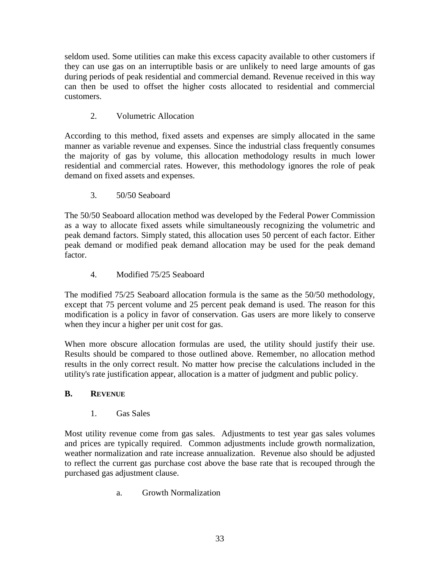seldom used. Some utilities can make this excess capacity available to other customers if they can use gas on an interruptible basis or are unlikely to need large amounts of gas during periods of peak residential and commercial demand. Revenue received in this way can then be used to offset the higher costs allocated to residential and commercial customers.

# 2. Volumetric Allocation

According to this method, fixed assets and expenses are simply allocated in the same manner as variable revenue and expenses. Since the industrial class frequently consumes the majority of gas by volume, this allocation methodology results in much lower residential and commercial rates. However, this methodology ignores the role of peak demand on fixed assets and expenses.

# 3. 50/50 Seaboard

The 50/50 Seaboard allocation method was developed by the Federal Power Commission as a way to allocate fixed assets while simultaneously recognizing the volumetric and peak demand factors. Simply stated, this allocation uses 50 percent of each factor. Either peak demand or modified peak demand allocation may be used for the peak demand factor.

# 4. Modified 75/25 Seaboard

The modified 75/25 Seaboard allocation formula is the same as the 50/50 methodology, except that 75 percent volume and 25 percent peak demand is used. The reason for this modification is a policy in favor of conservation. Gas users are more likely to conserve when they incur a higher per unit cost for gas.

When more obscure allocation formulas are used, the utility should justify their use. Results should be compared to those outlined above. Remember, no allocation method results in the only correct result. No matter how precise the calculations included in the utility's rate justification appear, allocation is a matter of judgment and public policy.

# **B. REVENUE**

1. Gas Sales

Most utility revenue come from gas sales. Adjustments to test year gas sales volumes and prices are typically required. Common adjustments include growth normalization, weather normalization and rate increase annualization. Revenue also should be adjusted to reflect the current gas purchase cost above the base rate that is recouped through the purchased gas adjustment clause.

a. Growth Normalization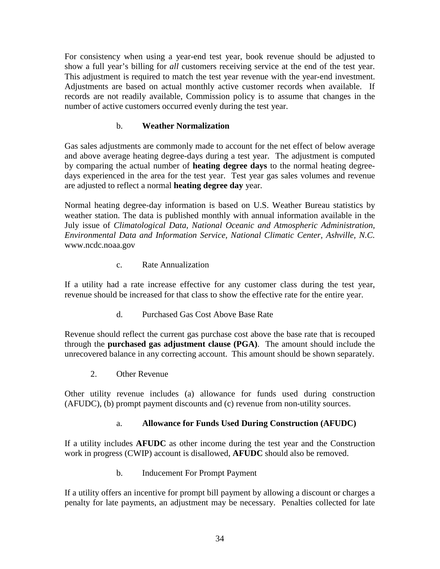For consistency when using a year-end test year, book revenue should be adjusted to show a full year's billing for *all* customers receiving service at the end of the test year. This adjustment is required to match the test year revenue with the year-end investment. Adjustments are based on actual monthly active customer records when available. If records are not readily available, Commission policy is to assume that changes in the number of active customers occurred evenly during the test year.

# b. **Weather Normalization**

Gas sales adjustments are commonly made to account for the net effect of below average and above average heating degree-days during a test year. The adjustment is computed by comparing the actual number of **heating degree days** to the normal heating degreedays experienced in the area for the test year. Test year gas sales volumes and revenue are adjusted to reflect a normal **heating degree day** year.

Normal heating degree-day information is based on U.S. Weather Bureau statistics by weather station. The data is published monthly with annual information available in the July issue of *Climatological Data, National Oceanic and Atmospheric Administration, Environmental Data and Information Service, National Climatic Center, Ashville, N.C.*  www.ncdc.noaa.gov

c. Rate Annualization

If a utility had a rate increase effective for any customer class during the test year, revenue should be increased for that class to show the effective rate for the entire year.

d. Purchased Gas Cost Above Base Rate

Revenue should reflect the current gas purchase cost above the base rate that is recouped through the **purchased gas adjustment clause (PGA)**. The amount should include the unrecovered balance in any correcting account. This amount should be shown separately.

2. Other Revenue

Other utility revenue includes (a) allowance for funds used during construction (AFUDC), (b) prompt payment discounts and (c) revenue from non-utility sources.

# a. **Allowance for Funds Used During Construction (AFUDC)**

If a utility includes **AFUDC** as other income during the test year and the Construction work in progress (CWIP) account is disallowed, **AFUDC** should also be removed.

b. Inducement For Prompt Payment

If a utility offers an incentive for prompt bill payment by allowing a discount or charges a penalty for late payments, an adjustment may be necessary. Penalties collected for late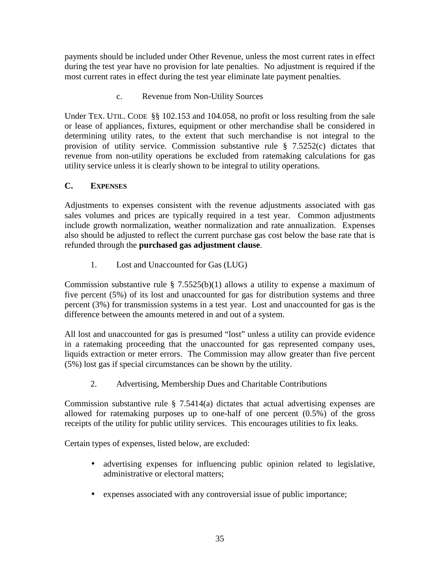payments should be included under Other Revenue, unless the most current rates in effect during the test year have no provision for late penalties. No adjustment is required if the most current rates in effect during the test year eliminate late payment penalties.

c. Revenue from Non-Utility Sources

Under TEX. UTIL. CODE §§ 102.153 and 104.058, no profit or loss resulting from the sale or lease of appliances, fixtures, equipment or other merchandise shall be considered in determining utility rates, to the extent that such merchandise is not integral to the provision of utility service. Commission substantive rule § 7.5252(c) dictates that revenue from non-utility operations be excluded from ratemaking calculations for gas utility service unless it is clearly shown to be integral to utility operations.

# **C. EXPENSES**

Adjustments to expenses consistent with the revenue adjustments associated with gas sales volumes and prices are typically required in a test year. Common adjustments include growth normalization, weather normalization and rate annualization. Expenses also should be adjusted to reflect the current purchase gas cost below the base rate that is refunded through the **purchased gas adjustment clause**.

1. Lost and Unaccounted for Gas (LUG)

Commission substantive rule  $\S$  7.5525(b)(1) allows a utility to expense a maximum of five percent (5%) of its lost and unaccounted for gas for distribution systems and three percent (3%) for transmission systems in a test year. Lost and unaccounted for gas is the difference between the amounts metered in and out of a system.

All lost and unaccounted for gas is presumed "lost" unless a utility can provide evidence in a ratemaking proceeding that the unaccounted for gas represented company uses, liquids extraction or meter errors. The Commission may allow greater than five percent (5%) lost gas if special circumstances can be shown by the utility.

2. Advertising, Membership Dues and Charitable Contributions

Commission substantive rule  $\S$  7.5414(a) dictates that actual advertising expenses are allowed for ratemaking purposes up to one-half of one percent (0.5%) of the gross receipts of the utility for public utility services. This encourages utilities to fix leaks.

Certain types of expenses, listed below, are excluded:

- advertising expenses for influencing public opinion related to legislative, administrative or electoral matters;
- expenses associated with any controversial issue of public importance;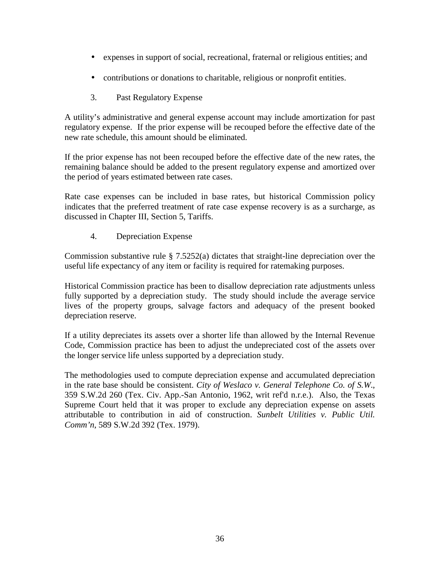- expenses in support of social, recreational, fraternal or religious entities; and
- contributions or donations to charitable, religious or nonprofit entities.
- 3. Past Regulatory Expense

A utility's administrative and general expense account may include amortization for past regulatory expense. If the prior expense will be recouped before the effective date of the new rate schedule, this amount should be eliminated.

If the prior expense has not been recouped before the effective date of the new rates, the remaining balance should be added to the present regulatory expense and amortized over the period of years estimated between rate cases.

Rate case expenses can be included in base rates, but historical Commission policy indicates that the preferred treatment of rate case expense recovery is as a surcharge, as discussed in Chapter III, Section 5, Tariffs.

4. Depreciation Expense

Commission substantive rule § 7.5252(a) dictates that straight-line depreciation over the useful life expectancy of any item or facility is required for ratemaking purposes.

Historical Commission practice has been to disallow depreciation rate adjustments unless fully supported by a depreciation study. The study should include the average service lives of the property groups, salvage factors and adequacy of the present booked depreciation reserve.

If a utility depreciates its assets over a shorter life than allowed by the Internal Revenue Code, Commission practice has been to adjust the undepreciated cost of the assets over the longer service life unless supported by a depreciation study.

The methodologies used to compute depreciation expense and accumulated depreciation in the rate base should be consistent. *City of Weslaco v. General Telephone Co. of S.W*., 359 S.W.2d 260 (Tex. Civ. App.-San Antonio, 1962, writ ref'd n.r.e.). Also, the Texas Supreme Court held that it was proper to exclude any depreciation expense on assets attributable to contribution in aid of construction. *Sunbelt Utilities v. Public Util. Comm'n*, 589 S.W.2d 392 (Tex. 1979).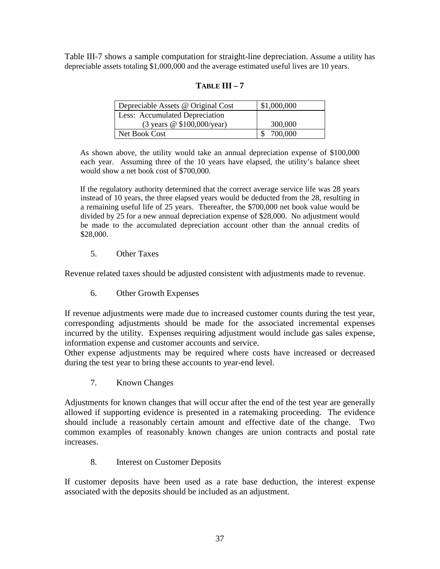Table III-7 shows a sample computation for straight-line depreciation. Assume a utility has depreciable assets totaling \$1,000,000 and the average estimated useful lives are 10 years.

# **TABLE III – 7**

| Depreciable Assets @ Original Cost | \$1,000,000 |
|------------------------------------|-------------|
| Less: Accumulated Depreciation     |             |
| (3 years @ \$100,000/year)         | 300,000     |
| Net Book Cost                      | 700,000     |

As shown above, the utility would take an annual depreciation expense of \$100,000 each year. Assuming three of the 10 years have elapsed, the utility's balance sheet would show a net book cost of \$700,000.

If the regulatory authority determined that the correct average service life was 28 years instead of 10 years, the three elapsed years would be deducted from the 28, resulting in a remaining useful life of 25 years. Thereafter, the \$700,000 net book value would be divided by 25 for a new annual depreciation expense of \$28,000. No adjustment would be made to the accumulated depreciation account other than the annual credits of \$28,000.

## 5. Other Taxes

Revenue related taxes should be adjusted consistent with adjustments made to revenue.

6. Other Growth Expenses

If revenue adjustments were made due to increased customer counts during the test year, corresponding adjustments should be made for the associated incremental expenses incurred by the utility. Expenses requiring adjustment would include gas sales expense, information expense and customer accounts and service.

Other expense adjustments may be required where costs have increased or decreased during the test year to bring these accounts to year-end level.

7. Known Changes

Adjustments for known changes that will occur after the end of the test year are generally allowed if supporting evidence is presented in a ratemaking proceeding. The evidence should include a reasonably certain amount and effective date of the change. Two common examples of reasonably known changes are union contracts and postal rate increases.

# 8. Interest on Customer Deposits

If customer deposits have been used as a rate base deduction, the interest expense associated with the deposits should be included as an adjustment.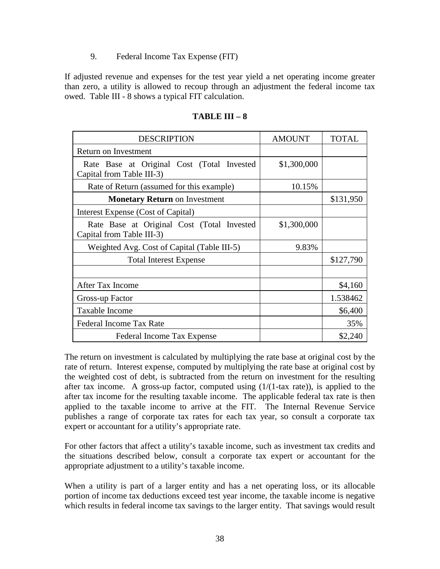#### 9. Federal Income Tax Expense (FIT)

If adjusted revenue and expenses for the test year yield a net operating income greater than zero, a utility is allowed to recoup through an adjustment the federal income tax owed. Table III - 8 shows a typical FIT calculation.

| <b>DESCRIPTION</b>                                                      | <b>AMOUNT</b> | <b>TOTAL</b> |
|-------------------------------------------------------------------------|---------------|--------------|
| Return on Investment                                                    |               |              |
| Rate Base at Original Cost (Total Invested<br>Capital from Table III-3) | \$1,300,000   |              |
| Rate of Return (assumed for this example)                               | 10.15%        |              |
| <b>Monetary Return on Investment</b>                                    |               | \$131,950    |
| Interest Expense (Cost of Capital)                                      |               |              |
| Rate Base at Original Cost (Total Invested<br>Capital from Table III-3) | \$1,300,000   |              |
| Weighted Avg. Cost of Capital (Table III-5)                             | 9.83%         |              |
| <b>Total Interest Expense</b>                                           |               | \$127,790    |
|                                                                         |               |              |
| <b>After Tax Income</b>                                                 |               | \$4,160      |
| Gross-up Factor                                                         |               | 1.538462     |
| Taxable Income                                                          |               | \$6,400      |
| <b>Federal Income Tax Rate</b>                                          |               | 35%          |
| Federal Income Tax Expense                                              |               | \$2,240      |

### **TABLE III – 8**

The return on investment is calculated by multiplying the rate base at original cost by the rate of return. Interest expense, computed by multiplying the rate base at original cost by the weighted cost of debt, is subtracted from the return on investment for the resulting after tax income. A gross-up factor, computed using  $(1/(1-ta)x)$ , is applied to the after tax income for the resulting taxable income. The applicable federal tax rate is then applied to the taxable income to arrive at the FIT. The Internal Revenue Service publishes a range of corporate tax rates for each tax year, so consult a corporate tax expert or accountant for a utility's appropriate rate.

For other factors that affect a utility's taxable income, such as investment tax credits and the situations described below, consult a corporate tax expert or accountant for the appropriate adjustment to a utility's taxable income.

When a utility is part of a larger entity and has a net operating loss, or its allocable portion of income tax deductions exceed test year income, the taxable income is negative which results in federal income tax savings to the larger entity. That savings would result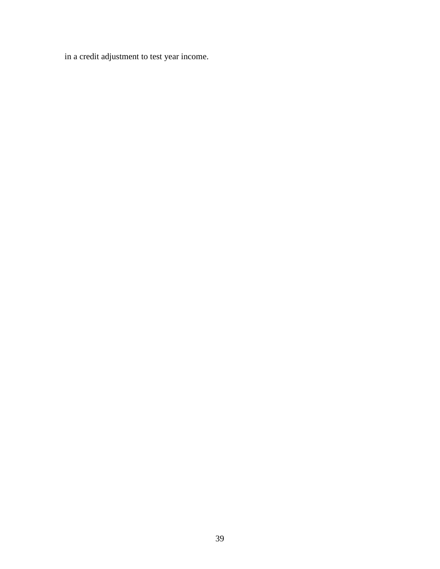in a credit adjustment to test year income.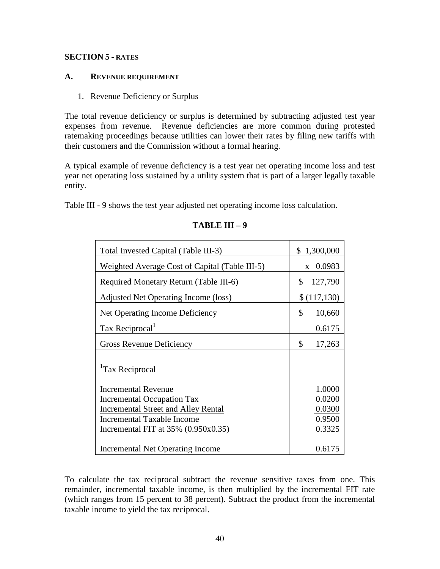## **SECTION 5 - RATES**

#### **A. REVENUE REQUIREMENT**

# 1. Revenue Deficiency or Surplus

The total revenue deficiency or surplus is determined by subtracting adjusted test year expenses from revenue. Revenue deficiencies are more common during protested ratemaking proceedings because utilities can lower their rates by filing new tariffs with their customers and the Commission without a formal hearing.

A typical example of revenue deficiency is a test year net operating income loss and test year net operating loss sustained by a utility system that is part of a larger legally taxable entity.

Table III - 9 shows the test year adjusted net operating income loss calculation.

| Total Invested Capital (Table III-3)           | \$1,300,000            |
|------------------------------------------------|------------------------|
| Weighted Average Cost of Capital (Table III-5) | 0.0983<br>$\mathbf{X}$ |
| Required Monetary Return (Table III-6)         | 127,790<br>\$          |
| Adjusted Net Operating Income (loss)           | \$(117,130)            |
| Net Operating Income Deficiency                | \$<br>10,660           |
| Tax Reciprocal <sup>1</sup>                    | 0.6175                 |
| <b>Gross Revenue Deficiency</b>                | \$<br>17,263           |
| <sup>1</sup> Tax Reciprocal                    |                        |
| <b>Incremental Revenue</b>                     | 1.0000                 |
| Incremental Occupation Tax                     | 0.0200                 |
| <b>Incremental Street and Alley Rental</b>     | 0.0300                 |
| Incremental Taxable Income                     | 0.9500                 |
| Incremental FIT at $35\%$ (0.950x0.35)         | 0.3325                 |
| <b>Incremental Net Operating Income</b>        | 0.6175                 |

# **TABLE III – 9**

To calculate the tax reciprocal subtract the revenue sensitive taxes from one. This remainder, incremental taxable income, is then multiplied by the incremental FIT rate (which ranges from 15 percent to 38 percent). Subtract the product from the incremental taxable income to yield the tax reciprocal.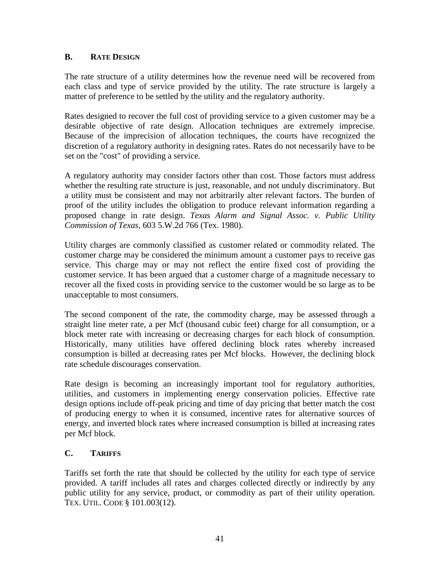# **B.** RATE DESIGN

The rate structure of a utility determines how the revenue need will be recovered from each class and type of service provided by the utility. The rate structure is largely a matter of preference to be settled by the utility and the regulatory authority.

Rates designed to recover the full cost of providing service to a given customer may be a desirable objective of rate design. Allocation techniques are extremely imprecise. Because of the imprecision of allocation techniques, the courts have recognized the discretion of a regulatory authority in designing rates. Rates do not necessarily have to be set on the "cost" of providing a service.

A regulatory authority may consider factors other than cost. Those factors must address whether the resulting rate structure is just, reasonable, and not unduly discriminatory. But a utility must be consistent and may not arbitrarily alter relevant factors. The burden of proof of the utility includes the obligation to produce relevant information regarding a proposed change in rate design. *Texas Alarm and Signal Assoc. v. Public Utility Commission of Texas*, 603 5.W.2d 766 (Tex. 1980).

Utility charges are commonly classified as customer related or commodity related. The customer charge may be considered the minimum amount a customer pays to receive gas service. This charge may or may not reflect the entire fixed cost of providing the customer service. It has been argued that a customer charge of a magnitude necessary to recover all the fixed costs in providing service to the customer would be so large as to be unacceptable to most consumers.

The second component of the rate, the commodity charge, may be assessed through a straight line meter rate, a per Mcf (thousand cubic feet) charge for all consumption, or a block meter rate with increasing or decreasing charges for each block of consumption. Historically, many utilities have offered declining block rates whereby increased consumption is billed at decreasing rates per Mcf blocks. However, the declining block rate schedule discourages conservation.

Rate design is becoming an increasingly important tool for regulatory authorities, utilities, and customers in implementing energy conservation policies. Effective rate design options include off-peak pricing and time of day pricing that better match the cost of producing energy to when it is consumed, incentive rates for alternative sources of energy, and inverted block rates where increased consumption is billed at increasing rates per Mcf block.

# **C. TARIFFS**

Tariffs set forth the rate that should be collected by the utility for each type of service provided. A tariff includes all rates and charges collected directly or indirectly by any public utility for any service, product, or commodity as part of their utility operation. TEX. UTIL. CODE § 101.003(12).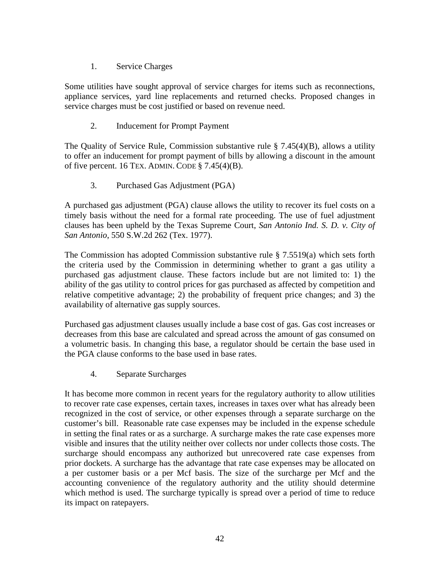# 1. Service Charges

Some utilities have sought approval of service charges for items such as reconnections, appliance services, yard line replacements and returned checks. Proposed changes in service charges must be cost justified or based on revenue need.

# 2. Inducement for Prompt Payment

The Quality of Service Rule, Commission substantive rule  $\S$  7.45(4)(B), allows a utility to offer an inducement for prompt payment of bills by allowing a discount in the amount of five percent. 16 TEX. ADMIN. CODE  $\S$  7.45(4)(B).

3. Purchased Gas Adjustment (PGA)

A purchased gas adjustment (PGA) clause allows the utility to recover its fuel costs on a timely basis without the need for a formal rate proceeding. The use of fuel adjustment clauses has been upheld by the Texas Supreme Court, *San Antonio Ind. S. D. v. City of San Antonio*, 550 S.W.2d 262 (Tex. 1977).

The Commission has adopted Commission substantive rule § 7.5519(a) which sets forth the criteria used by the Commission in determining whether to grant a gas utility a purchased gas adjustment clause. These factors include but are not limited to: 1) the ability of the gas utility to control prices for gas purchased as affected by competition and relative competitive advantage; 2) the probability of frequent price changes; and 3) the availability of alternative gas supply sources.

Purchased gas adjustment clauses usually include a base cost of gas. Gas cost increases or decreases from this base are calculated and spread across the amount of gas consumed on a volumetric basis. In changing this base, a regulator should be certain the base used in the PGA clause conforms to the base used in base rates.

4. Separate Surcharges

It has become more common in recent years for the regulatory authority to allow utilities to recover rate case expenses, certain taxes, increases in taxes over what has already been recognized in the cost of service, or other expenses through a separate surcharge on the customer's bill. Reasonable rate case expenses may be included in the expense schedule in setting the final rates or as a surcharge. A surcharge makes the rate case expenses more visible and insures that the utility neither over collects nor under collects those costs. The surcharge should encompass any authorized but unrecovered rate case expenses from prior dockets. A surcharge has the advantage that rate case expenses may be allocated on a per customer basis or a per Mcf basis. The size of the surcharge per Mcf and the accounting convenience of the regulatory authority and the utility should determine which method is used. The surcharge typically is spread over a period of time to reduce its impact on ratepayers.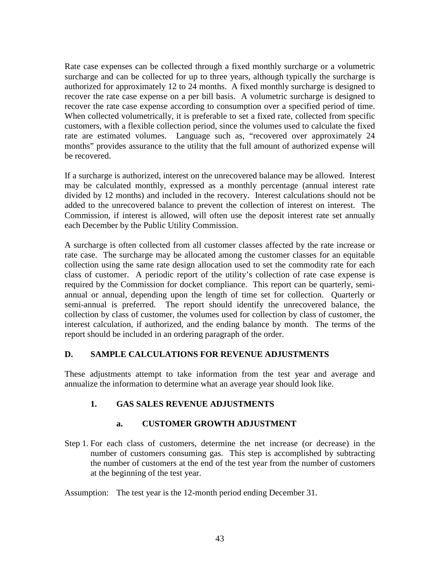Rate case expenses can be collected through a fixed monthly surcharge or a volumetric surcharge and can be collected for up to three years, although typically the surcharge is authorized for approximately 12 to 24 months. A fixed monthly surcharge is designed to recover the rate case expense on a per bill basis. A volumetric surcharge is designed to recover the rate case expense according to consumption over a specified period of time. When collected volumetrically, it is preferable to set a fixed rate, collected from specific customers, with a flexible collection period, since the volumes used to calculate the fixed rate are estimated volumes. Language such as, "recovered over approximately 24 months" provides assurance to the utility that the full amount of authorized expense will be recovered.

If a surcharge is authorized, interest on the unrecovered balance may be allowed. Interest may be calculated monthly, expressed as a monthly percentage (annual interest rate divided by 12 months) and included in the recovery. Interest calculations should not be added to the unrecovered balance to prevent the collection of interest on interest. The Commission, if interest is allowed, will often use the deposit interest rate set annually each December by the Public Utility Commission.

A surcharge is often collected from all customer classes affected by the rate increase or rate case. The surcharge may be allocated among the customer classes for an equitable collection using the same rate design allocation used to set the commodity rate for each class of customer. A periodic report of the utility's collection of rate case expense is required by the Commission for docket compliance. This report can be quarterly, semiannual or annual, depending upon the length of time set for collection. Quarterly or semi-annual is preferred. The report should identify the unrecovered balance, the collection by class of customer, the volumes used for collection by class of customer, the interest calculation, if authorized, and the ending balance by month. The terms of the report should be included in an ordering paragraph of the order.

# **D. SAMPLE CALCULATIONS FOR REVENUE ADJUSTMENTS**

These adjustments attempt to take information from the test year and average and annualize the information to determine what an average year should look like.

# **1. GAS SALES REVENUE ADJUSTMENTS**

# **a. CUSTOMER GROWTH ADJUSTMENT**

Step 1. For each class of customers, determine the net increase (or decrease) in the number of customers consuming gas. This step is accomplished by subtracting the number of customers at the end of the test year from the number of customers at the beginning of the test year.

Assumption: The test year is the 12-month period ending December 31.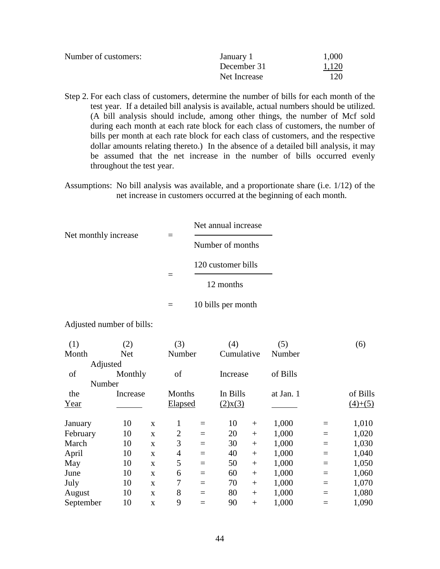| Number of customers: | January 1    | 1,000 |
|----------------------|--------------|-------|
|                      | December 31  | 1,120 |
|                      | Net Increase | 120   |

- Step 2. For each class of customers, determine the number of bills for each month of the test year. If a detailed bill analysis is available, actual numbers should be utilized. (A bill analysis should include, among other things, the number of Mcf sold during each month at each rate block for each class of customers, the number of bills per month at each rate block for each class of customers, and the respective dollar amounts relating thereto.) In the absence of a detailed bill analysis, it may be assumed that the net increase in the number of bills occurred evenly throughout the test year.
- Assumptions: No bill analysis was available, and a proportionate share (i.e. 1/12) of the net increase in customers occurred at the beginning of each month.

| Net monthly increase |  | Net annual increase |  |
|----------------------|--|---------------------|--|
|                      |  | Number of months    |  |
|                      |  | 120 customer bills  |  |
|                      |  | 12 months           |  |
|                      |  | 10 bills per month  |  |

Adjusted number of bills:

| (1)       |          | (2)        |              | (3)            |     | (4)           |     | (5)       |     | (6)       |
|-----------|----------|------------|--------------|----------------|-----|---------------|-----|-----------|-----|-----------|
| Month     |          | <b>Net</b> |              | Number         |     | Cumulative    |     | Number    |     |           |
|           | Adjusted |            |              |                |     |               |     |           |     |           |
| of        |          | Monthly    |              | of             |     | Increase      |     | of Bills  |     |           |
|           | Number   |            |              |                |     |               |     |           |     |           |
| the       |          | Increase   |              | Months         |     | In Bills      |     | at Jan. 1 |     | of Bills  |
| Year      |          |            |              | <b>Elapsed</b> |     | $(2)$ x $(3)$ |     |           |     | $(4)+(5)$ |
| January   |          | 10         | $\mathbf{x}$ | 1              | $=$ | 10            | $+$ | 1,000     | $=$ | 1,010     |
| February  |          | 10         | $\mathbf{x}$ | $\overline{2}$ | $=$ | 20            | $+$ | 1,000     | $=$ | 1,020     |
| March     |          | 10         | $\mathbf{x}$ | 3              | $=$ | 30            | $+$ | 1,000     | $=$ | 1,030     |
| April     |          | 10         | $\mathbf{x}$ | 4              | $=$ | 40            | $+$ | 1,000     | $=$ | 1,040     |
| May       |          | 10         | $\mathbf{x}$ | 5              | $=$ | 50            | $+$ | 1,000     | $=$ | 1,050     |
| June      |          | 10         | $\mathbf{x}$ | 6              | $=$ | 60            | $+$ | 1,000     | $=$ | 1,060     |
| July      |          | 10         | $\mathbf{x}$ | 7              | $=$ | 70            | $+$ | 1,000     | $=$ | 1,070     |
| August    |          | 10         | $\mathbf{x}$ | 8              | $=$ | 80            | $+$ | 1,000     | $=$ | 1,080     |
| September |          | 10         | X            | 9              |     | 90            | $+$ | 1,000     |     | 1,090     |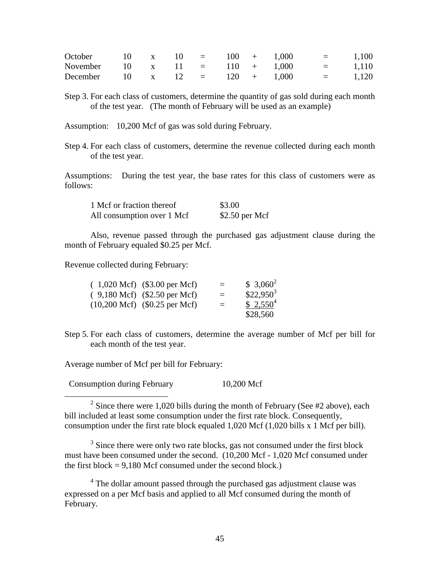| October 10 x 10 = $100 + 1,000$ |  |  |  |  | $=$ 1,100 |
|---------------------------------|--|--|--|--|-----------|
| November 10 x 11 = 110 + 1,000  |  |  |  |  | $=$ 1,110 |
| December 10 x 12 = 120 + 1,000  |  |  |  |  | $=$ 1,120 |

Step 3. For each class of customers, determine the quantity of gas sold during each month of the test year. (The month of February will be used as an example)

Assumption: 10,200 Mcf of gas was sold during February.

Step 4. For each class of customers, determine the revenue collected during each month of the test year.

Assumptions: During the test year, the base rates for this class of customers were as follows:

| 1 Mcf or fraction thereof  | \$3.00          |
|----------------------------|-----------------|
| All consumption over 1 Mcf | $$2.50$ per Mcf |

Also, revenue passed through the purchased gas adjustment clause during the month of February equaled \$0.25 per Mcf.

Revenue collected during February:

| $(1,020 \text{ Mcf})$ $(\$3.00 \text{ per Mcf})$ | $=$ | $$3,060^2$  |
|--------------------------------------------------|-----|-------------|
| $(9,180 \text{ Mcf})$ $($2.50 \text{ per Mcf})$  | $=$ | $$22,950^3$ |
| $(10,200 \text{ Mcf})$ $($0.25 \text{ per Mcf})$ | $=$ | $$2,550^4$  |
|                                                  |     | \$28,560    |

Step 5. For each class of customers, determine the average number of Mcf per bill for each month of the test year.

Average number of Mcf per bill for February:

 $\overline{a}$ 

Consumption during February 10,200 Mcf

<sup>2</sup> Since there were 1,020 bills during the month of February (See #2 above), each bill included at least some consumption under the first rate block. Consequently, consumption under the first rate block equaled 1,020 Mcf (1,020 bills x 1 Mcf per bill).

 $3$  Since there were only two rate blocks, gas not consumed under the first block must have been consumed under the second. (10,200 Mcf - 1,020 Mcf consumed under the first block  $= 9,180$  Mcf consumed under the second block.)

<sup>4</sup> The dollar amount passed through the purchased gas adjustment clause was expressed on a per Mcf basis and applied to all Mcf consumed during the month of February.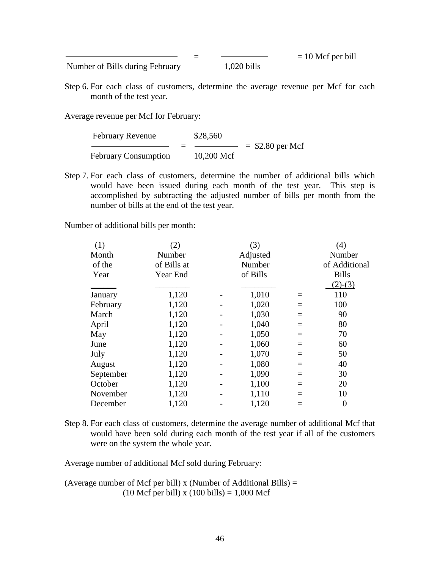Number of Bills during February 1,020 bills

 $=$   $= 10$  Mcf per bill

Step 6. For each class of customers, determine the average revenue per Mcf for each month of the test year.

Average revenue per Mcf for February:

| <b>February Revenue</b>     | \$28,560   |                    |
|-----------------------------|------------|--------------------|
|                             |            | $=$ \$2.80 per Mcf |
| <b>February Consumption</b> | 10,200 Mcf |                    |

Step 7. For each class of customers, determine the number of additional bills which would have been issued during each month of the test year. This step is accomplished by subtracting the adjusted number of bills per month from the number of bills at the end of the test year.

Number of additional bills per month:

| (1)       | (2)         | (3)      |          | (4)            |
|-----------|-------------|----------|----------|----------------|
| Month     | Number      | Adjusted |          | Number         |
| of the    | of Bills at | Number   |          | of Additional  |
| Year      | Year End    | of Bills |          | <b>Bills</b>   |
|           |             |          |          | $(2)-(3)$      |
| January   | 1,120       | 1,010    | $=$      | 110            |
| February  | 1,120       | 1,020    |          | 100            |
| March     | 1,120       | 1,030    | $=$      | 90             |
| April     | 1,120       | 1,040    | $\equiv$ | 80             |
| May       | 1,120       | 1,050    | $=$      | 70             |
| June      | 1,120       | 1,060    | $=$      | 60             |
| July      | 1,120       | 1,070    | $=$      | 50             |
| August    | 1,120       | 1,080    | $=$      | 40             |
| September | 1,120       | 1,090    | $=$      | 30             |
| October   | 1,120       | 1,100    | $=$      | 20             |
| November  | 1,120       | 1,110    | $=$      | 10             |
| December  | 1,120       | 1,120    |          | $\overline{0}$ |

Step 8. For each class of customers, determine the average number of additional Mcf that would have been sold during each month of the test year if all of the customers were on the system the whole year.

Average number of additional Mcf sold during February:

(Average number of Mcf per bill) x (Number of Additional Bills)  $=$  $(10 \text{ Mcf per bill}) \times (100 \text{ bills}) = 1,000 \text{ Mcf}$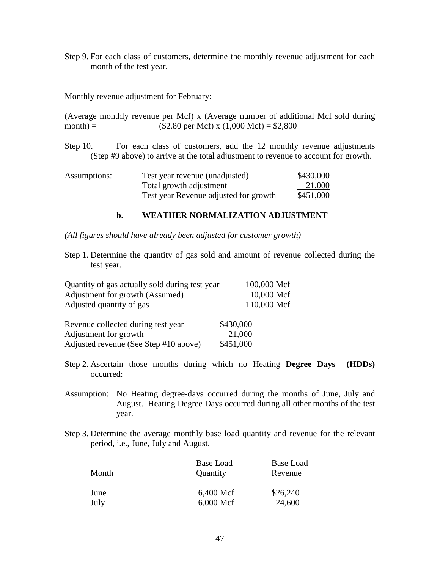Step 9. For each class of customers, determine the monthly revenue adjustment for each month of the test year.

Monthly revenue adjustment for February:

(Average monthly revenue per Mcf) x (Average number of additional Mcf sold during month) = (\$2.80 per Mcf) x (1,000 Mcf) = \$2,800

Step 10. For each class of customers, add the 12 monthly revenue adjustments (Step #9 above) to arrive at the total adjustment to revenue to account for growth.

| Assumptions: | Test year revenue (unadjusted)        | \$430,000 |
|--------------|---------------------------------------|-----------|
|              | Total growth adjustment               | 21,000    |
|              | Test year Revenue adjusted for growth | \$451,000 |

#### **b. WEATHER NORMALIZATION ADJUSTMENT**

*(All figures should have already been adjusted for customer growth)* 

Step 1. Determine the quantity of gas sold and amount of revenue collected during the test year.

| Quantity of gas actually sold during test year | 100,000 Mcf |
|------------------------------------------------|-------------|
| Adjustment for growth (Assumed)                | 10,000 Mcf  |
| Adjusted quantity of gas                       | 110,000 Mcf |
| Revenue collected during test year             | \$430,000   |
| Adjustment for growth                          | 21,000      |

Adjusted revenue (See Step #10 above) \$451,000

occurred:

| Step 2. Ascertain those months during which no Heating Degree Days (HDDs) |  |  |  |  |  |
|---------------------------------------------------------------------------|--|--|--|--|--|

- Assumption: No Heating degree-days occurred during the months of June, July and August. Heating Degree Days occurred during all other months of the test year.
- Step 3. Determine the average monthly base load quantity and revenue for the relevant period, i.e., June, July and August.

| Month | Base Load<br>Quantity | Base Load<br>Revenue |
|-------|-----------------------|----------------------|
| June  | 6,400 Mcf             | \$26,240             |
| July  | $6,000$ Mcf           | 24,600               |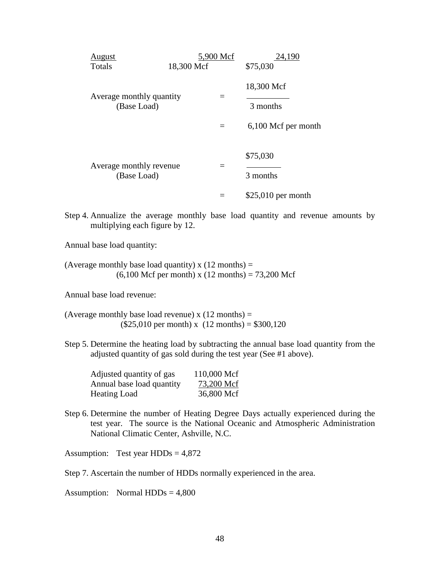| <u>August</u><br>Totals                 | 18,300 Mcf | 5,900 Mcf | 24,190<br>\$75,030                            |
|-----------------------------------------|------------|-----------|-----------------------------------------------|
| Average monthly quantity<br>(Base Load) |            | $\equiv$  | 18,300 Mcf<br>3 months<br>6,100 Mcf per month |
| Average monthly revenue<br>(Base Load)  |            |           | \$75,030<br>3 months                          |
|                                         |            |           | $$25,010$ per month                           |

Step 4. Annualize the average monthly base load quantity and revenue amounts by multiplying each figure by 12.

Annual base load quantity:

(Average monthly base load quantity) x  $(12 \text{ months}) =$  $(6,100 \text{ Mcf per month}) \times (12 \text{ months}) = 73,200 \text{ Mcf}$ 

Annual base load revenue:

(Average monthly base load revenue)  $x(12 \text{ months}) =$  $($25,010 \text{ per month}) \times (12 \text{ months}) = $300,120$ 

Step 5. Determine the heating load by subtracting the annual base load quantity from the adjusted quantity of gas sold during the test year (See #1 above).

| Adjusted quantity of gas  | 110,000 Mcf |
|---------------------------|-------------|
| Annual base load quantity | 73,200 Mcf  |
| Heating Load              | 36,800 Mcf  |

Step 6. Determine the number of Heating Degree Days actually experienced during the test year. The source is the National Oceanic and Atmospheric Administration National Climatic Center, Ashville, N.C.

Assumption: Test year  $HDDs = 4,872$ 

Step 7. Ascertain the number of HDDs normally experienced in the area.

Assumption: Normal  $HDDs = 4,800$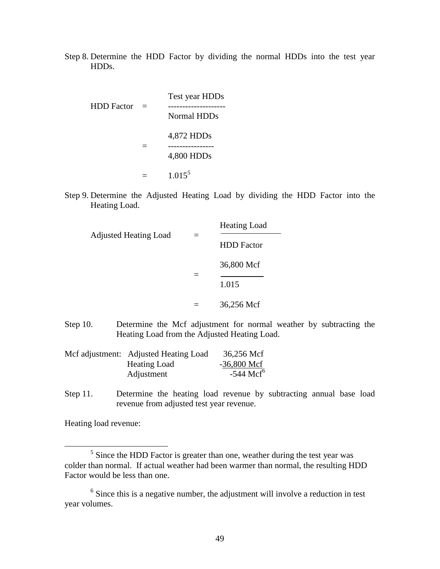Step 8. Determine the HDD Factor by dividing the normal HDDs into the test year HDDs.

| <b>HDD Factor</b> | $\equiv$ | Test year HDDs<br>Normal HDDs |
|-------------------|----------|-------------------------------|
|                   |          | 4,872 HDDs<br>4,800 HDDs      |
|                   |          | $1.015^5$                     |

Step 9. Determine the Adjusted Heating Load by dividing the HDD Factor into the Heating Load.

| <b>Adjusted Heating Load</b> |  | <b>Heating Load</b> |
|------------------------------|--|---------------------|
|                              |  | <b>HDD</b> Factor   |
|                              |  | 36,800 Mcf          |
|                              |  | 1.015               |
|                              |  | 36,256 Mcf          |

Step 10. Determine the Mcf adjustment for normal weather by subtracting the Heating Load from the Adjusted Heating Load.

| Mcf adjustment: Adjusted Heating Load | 36,256 Mcf              |
|---------------------------------------|-------------------------|
| <b>Heating Load</b>                   | $-36,800$ Mcf           |
| Adjustment                            | $-544$ Mcf <sup>6</sup> |

Step 11. Determine the heating load revenue by subtracting annual base load revenue from adjusted test year revenue.

Heating load revenue:

 $\overline{a}$ 

 $<sup>5</sup>$  Since the HDD Factor is greater than one, weather during the test year was</sup> colder than normal. If actual weather had been warmer than normal, the resulting HDD Factor would be less than one.

 $6$  Since this is a negative number, the adjustment will involve a reduction in test year volumes.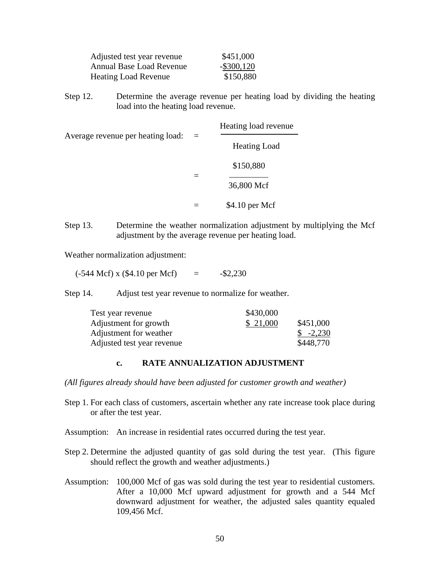| Adjusted test year revenue  | \$451,000     |
|-----------------------------|---------------|
| Annual Base Load Revenue    | $-$ \$300,120 |
| <b>Heating Load Revenue</b> | \$150,880     |

Step 12. Determine the average revenue per heating load by dividing the heating load into the heating load revenue.

|                                   |  | Heating load revenue    |  |
|-----------------------------------|--|-------------------------|--|
| Average revenue per heating load: |  | <b>Heating Load</b>     |  |
|                                   |  | \$150,880<br>36,800 Mcf |  |
|                                   |  | \$4.10 per Mcf          |  |

Step 13. Determine the weather normalization adjustment by multiplying the Mcf adjustment by the average revenue per heating load.

Weather normalization adjustment:

 $(-544 \text{ Mcf}) \times (\$4.10 \text{ per Mcf}) = -\$2,230$ 

Step 14. Adjust test year revenue to normalize for weather.

| Test year revenue          | \$430,000 |                      |
|----------------------------|-----------|----------------------|
| Adjustment for growth      | \$21,000  | \$451,000            |
| Adjustment for weather     |           | $\frac{\$}{}$ -2,230 |
| Adjusted test year revenue |           | \$448,770            |

#### **c. RATE ANNUALIZATION ADJUSTMENT**

*(All figures already should have been adjusted for customer growth and weather)* 

- Step 1. For each class of customers, ascertain whether any rate increase took place during or after the test year.
- Assumption: An increase in residential rates occurred during the test year.
- Step 2. Determine the adjusted quantity of gas sold during the test year. (This figure should reflect the growth and weather adjustments.)
- Assumption: 100,000 Mcf of gas was sold during the test year to residential customers. After a 10,000 Mcf upward adjustment for growth and a 544 Mcf downward adjustment for weather, the adjusted sales quantity equaled 109,456 Mcf.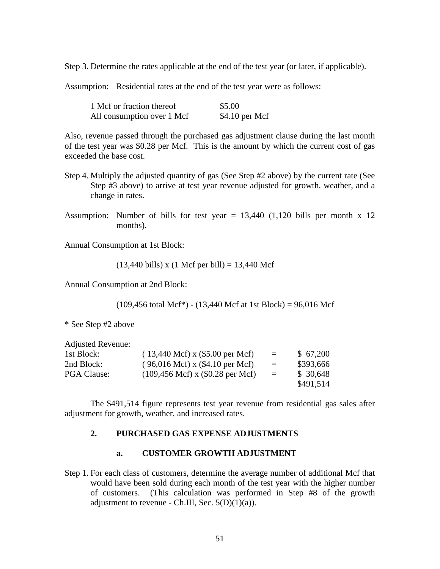Step 3. Determine the rates applicable at the end of the test year (or later, if applicable).

Assumption: Residential rates at the end of the test year were as follows:

| 1 Mcf or fraction thereof  | \$5.00          |
|----------------------------|-----------------|
| All consumption over 1 Mcf | $$4.10$ per Mcf |

Also, revenue passed through the purchased gas adjustment clause during the last month of the test year was \$0.28 per Mcf. This is the amount by which the current cost of gas exceeded the base cost.

- Step 4. Multiply the adjusted quantity of gas (See Step #2 above) by the current rate (See Step #3 above) to arrive at test year revenue adjusted for growth, weather, and a change in rates.
- Assumption: Number of bills for test year  $= 13,440$  (1,120 bills per month x 12 months).

Annual Consumption at 1st Block:

 $(13,440 \text{ bills}) \times (1 \text{ Mcf per bill}) = 13,440 \text{ Mcf}$ 

Annual Consumption at 2nd Block:

 $(109,456 \text{ total Mcf}^*)$  -  $(13,440 \text{ Mcf at 1st Block}) = 96,016 \text{ Mcf}$ 

\* See Step #2 above

| 1st Block:         | $(13,440 \text{ Mcf}) \times (\$5.00 \text{ per Mcf})$  | $=$      | \$67,200  |
|--------------------|---------------------------------------------------------|----------|-----------|
| 2nd Block:         | $(96,016 \text{ Mcf}) \times (\$4.10 \text{ per Mcf})$  | $\equiv$ | \$393,666 |
| <b>PGA Clause:</b> | $(109,456 \text{ Mcf}) \times (\$0.28 \text{ per Mcf})$ | $=$      | \$30,648  |
|                    |                                                         |          | \$491,514 |

The \$491,514 figure represents test year revenue from residential gas sales after adjustment for growth, weather, and increased rates.

#### **2. PURCHASED GAS EXPENSE ADJUSTMENTS**

#### **a. CUSTOMER GROWTH ADJUSTMENT**

Step 1. For each class of customers, determine the average number of additional Mcf that would have been sold during each month of the test year with the higher number of customers. (This calculation was performed in Step #8 of the growth adjustment to revenue - Ch.III, Sec.  $5(D)(1)(a)$ .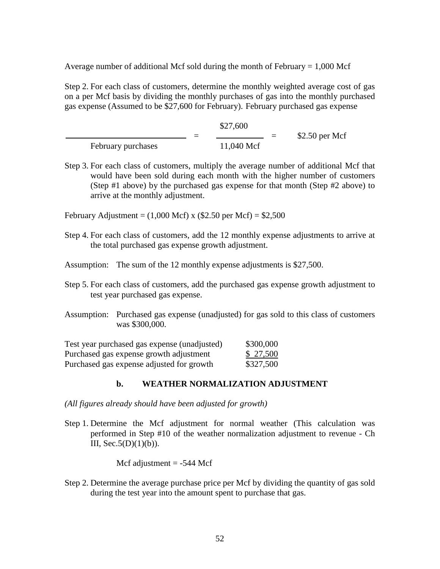Average number of additional Mcf sold during the month of February  $= 1,000$  Mcf

Step 2. For each class of customers, determine the monthly weighted average cost of gas on a per Mcf basis by dividing the monthly purchases of gas into the monthly purchased gas expense (Assumed to be \$27,600 for February). February purchased gas expense

|                    | \$27,600   |                 |
|--------------------|------------|-----------------|
|                    |            | $$2.50$ per Mcf |
| February purchases | 11,040 Mcf |                 |

- Step 3. For each class of customers, multiply the average number of additional Mcf that would have been sold during each month with the higher number of customers (Step #1 above) by the purchased gas expense for that month (Step #2 above) to arrive at the monthly adjustment.
- February Adjustment =  $(1,000 \text{ Mcf})$  x  $(\$2.50 \text{ per Mcf}) = \$2,500$
- Step 4. For each class of customers, add the 12 monthly expense adjustments to arrive at the total purchased gas expense growth adjustment.
- Assumption: The sum of the 12 monthly expense adjustments is \$27,500.
- Step 5. For each class of customers, add the purchased gas expense growth adjustment to test year purchased gas expense.
- Assumption: Purchased gas expense (unadjusted) for gas sold to this class of customers was \$300,000.

| Test year purchased gas expense (unadjusted) | \$300,000 |
|----------------------------------------------|-----------|
| Purchased gas expense growth adjustment      | \$ 27,500 |
| Purchased gas expense adjusted for growth    | \$327,500 |

### **b. WEATHER NORMALIZATION ADJUSTMENT**

- *(All figures already should have been adjusted for growth)*
- Step 1. Determine the Mcf adjustment for normal weather (This calculation was performed in Step #10 of the weather normalization adjustment to revenue - Ch III,  $Sec.5(D)(1)(b)$ ).

Mcf adjustment  $= -544$  Mcf

Step 2. Determine the average purchase price per Mcf by dividing the quantity of gas sold during the test year into the amount spent to purchase that gas.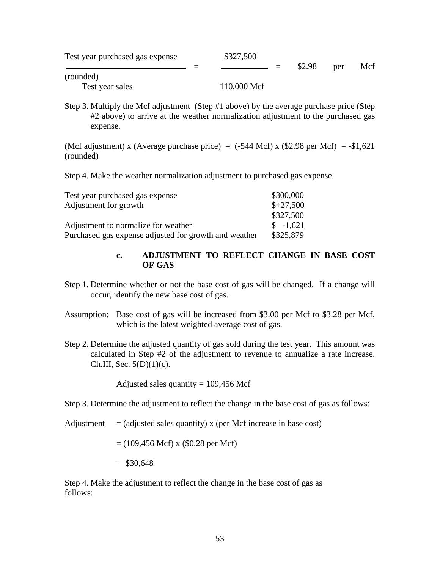| Test year purchased gas expense | \$327,500   |        |     |     |
|---------------------------------|-------------|--------|-----|-----|
|                                 |             | \$2.98 | per | Mcf |
| (rounded)                       |             |        |     |     |
| Test year sales                 | 110,000 Mcf |        |     |     |

Step 3. Multiply the Mcf adjustment (Step #1 above) by the average purchase price (Step #2 above) to arrive at the weather normalization adjustment to the purchased gas expense.

(Mcf adjustment) x (Average purchase price) =  $(-544 \text{ Mcf})$  x  $(\$2.98 \text{ per Mcf}) = -\$1,621$ (rounded)

Step 4. Make the weather normalization adjustment to purchased gas expense.

| Test year purchased gas expense                       | \$300,000  |
|-------------------------------------------------------|------------|
| Adjustment for growth                                 | $$+27,500$ |
|                                                       | \$327,500  |
| Adjustment to normalize for weather                   | $$ -1,621$ |
| Purchased gas expense adjusted for growth and weather | \$325,879  |

#### **c. ADJUSTMENT TO REFLECT CHANGE IN BASE COST OF GAS**

- Step 1. Determine whether or not the base cost of gas will be changed. If a change will occur, identify the new base cost of gas.
- Assumption: Base cost of gas will be increased from \$3.00 per Mcf to \$3.28 per Mcf, which is the latest weighted average cost of gas.
- Step 2. Determine the adjusted quantity of gas sold during the test year. This amount was calculated in Step #2 of the adjustment to revenue to annualize a rate increase. Ch.III, Sec.  $5(D)(1)(c)$ .

Adjusted sales quantity  $= 109,456$  Mcf

Step 3. Determine the adjustment to reflect the change in the base cost of gas as follows:

Adjustment  $=$  (adjusted sales quantity) x (per Mcf increase in base cost)

 $= (109, 456 \text{ Mcf}) \times (0.28 \text{ per Mcf})$ 

 $=$  \$30,648

Step 4. Make the adjustment to reflect the change in the base cost of gas as follows: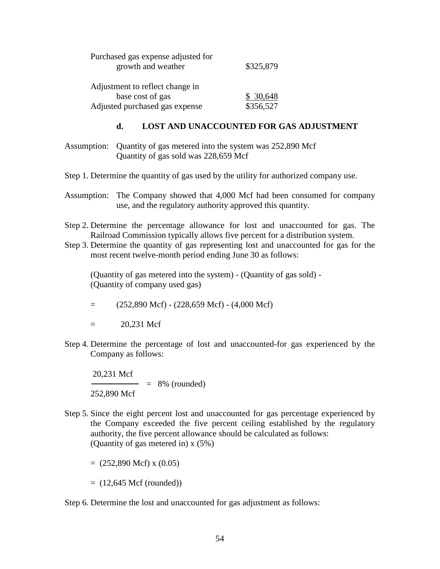| Purchased gas expense adjusted for<br>growth and weather | \$325,879 |  |  |
|----------------------------------------------------------|-----------|--|--|
| Adjustment to reflect change in                          |           |  |  |
| base cost of gas                                         | \$30,648  |  |  |
| Adjusted purchased gas expense                           | \$356,527 |  |  |

#### **d. LOST AND UNACCOUNTED FOR GAS ADJUSTMENT**

Assumption: Quantity of gas metered into the system was 252,890 Mcf Quantity of gas sold was 228,659 Mcf

Step 1. Determine the quantity of gas used by the utility for authorized company use.

- Assumption: The Company showed that 4,000 Mcf had been consumed for company use, and the regulatory authority approved this quantity.
- Step 2. Determine the percentage allowance for lost and unaccounted for gas. The Railroad Commission typically allows five percent for a distribution system.
- Step 3. Determine the quantity of gas representing lost and unaccounted for gas for the most recent twelve-month period ending June 30 as follows:

(Quantity of gas metered into the system) - (Quantity of gas sold) - (Quantity of company used gas)

- $=$  (252,890 Mcf) (228,659 Mcf) (4,000 Mcf)
- $= 20.231$  Mcf
- Step 4. Determine the percentage of lost and unaccounted-for gas experienced by the Company as follows:

 20,231 Mcf  $=$  8% (rounded) 252,890 Mcf

Step 5. Since the eight percent lost and unaccounted for gas percentage experienced by the Company exceeded the five percent ceiling established by the regulatory authority, the five percent allowance should be calculated as follows: (Quantity of gas metered in) x (5%)

 $= (252,890 \text{ Mcf}) \times (0.05)$ 

 $= (12,645 \text{ Mcf (rounded)})$ 

Step 6. Determine the lost and unaccounted for gas adjustment as follows: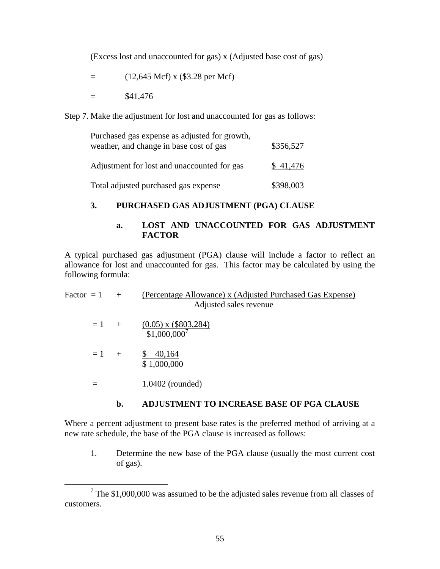(Excess lost and unaccounted for gas) x (Adjusted base cost of gas)

 $=$  (12,645 Mcf) x (\$3.28 per Mcf)

 $=$  \$41,476

<u>.</u>

Step 7. Make the adjustment for lost and unaccounted for gas as follows:

| Purchased gas expense as adjusted for growth,<br>weather, and change in base cost of gas | \$356,527 |  |
|------------------------------------------------------------------------------------------|-----------|--|
| Adjustment for lost and unaccounted for gas                                              | \$41,476  |  |
| Total adjusted purchased gas expense                                                     | \$398,003 |  |

# **3. PURCHASED GAS ADJUSTMENT (PGA) CLAUSE**

### **a. LOST AND UNACCOUNTED FOR GAS ADJUSTMENT FACTOR**

A typical purchased gas adjustment (PGA) clause will include a factor to reflect an allowance for lost and unaccounted for gas. This factor may be calculated by using the following formula:

| Factor = $1 +$ |        | (Percentage Allowance) x (Adjusted Purchased Gas Expense)<br>Adjusted sales revenue |
|----------------|--------|-------------------------------------------------------------------------------------|
|                | $=1$ + | $\frac{(0.05) \times (\$803,284)}{$1,000,000^7}$                                    |
| $= 1 +$        |        | \$40,164<br>\$1,000,000                                                             |
| $\equiv$       |        | $1.0402$ (rounded)                                                                  |
|                |        |                                                                                     |

# **b. ADJUSTMENT TO INCREASE BASE OF PGA CLAUSE**

Where a percent adjustment to present base rates is the preferred method of arriving at a new rate schedule, the base of the PGA clause is increased as follows:

1. Determine the new base of the PGA clause (usually the most current cost of gas).

 $7$  The \$1,000,000 was assumed to be the adjusted sales revenue from all classes of customers.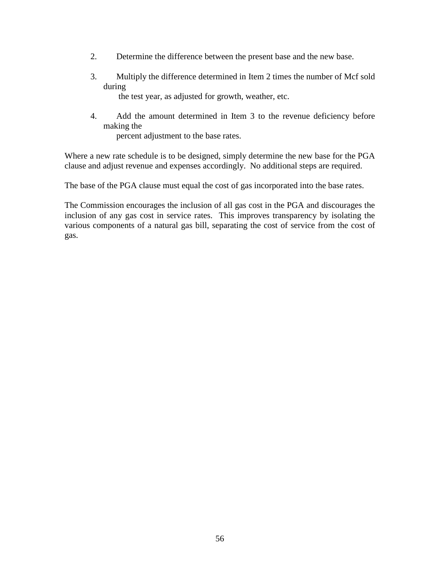- 2. Determine the difference between the present base and the new base.
- 3. Multiply the difference determined in Item 2 times the number of Mcf sold during

the test year, as adjusted for growth, weather, etc.

4. Add the amount determined in Item 3 to the revenue deficiency before making the

percent adjustment to the base rates.

Where a new rate schedule is to be designed, simply determine the new base for the PGA clause and adjust revenue and expenses accordingly. No additional steps are required.

The base of the PGA clause must equal the cost of gas incorporated into the base rates.

The Commission encourages the inclusion of all gas cost in the PGA and discourages the inclusion of any gas cost in service rates. This improves transparency by isolating the various components of a natural gas bill, separating the cost of service from the cost of gas.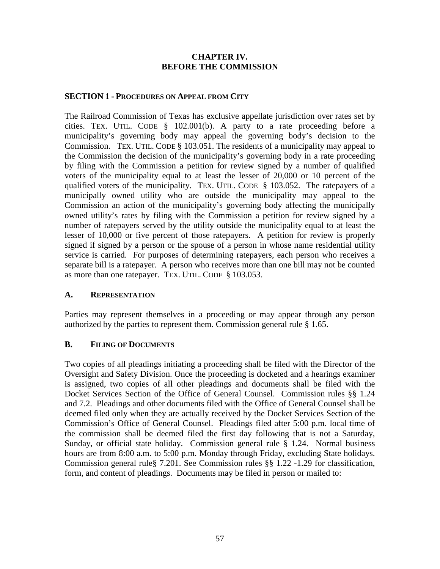## **CHAPTER IV. BEFORE THE COMMISSION**

## **SECTION 1 - PROCEDURES ON APPEAL FROM CITY**

The Railroad Commission of Texas has exclusive appellate jurisdiction over rates set by cities. TEX. UTIL. CODE § 102.001(b). A party to a rate proceeding before a municipality's governing body may appeal the governing body's decision to the Commission. TEX. UTIL. CODE § 103.051. The residents of a municipality may appeal to the Commission the decision of the municipality's governing body in a rate proceeding by filing with the Commission a petition for review signed by a number of qualified voters of the municipality equal to at least the lesser of 20,000 or 10 percent of the qualified voters of the municipality. TEX. UTIL. CODE § 103.052. The ratepayers of a municipally owned utility who are outside the municipality may appeal to the Commission an action of the municipality's governing body affecting the municipally owned utility's rates by filing with the Commission a petition for review signed by a number of ratepayers served by the utility outside the municipality equal to at least the lesser of 10,000 or five percent of those ratepayers. A petition for review is properly signed if signed by a person or the spouse of a person in whose name residential utility service is carried. For purposes of determining ratepayers, each person who receives a separate bill is a ratepayer. A person who receives more than one bill may not be counted as more than one ratepayer. TEX. UTIL. CODE § 103.053.

#### **A. REPRESENTATION**

Parties may represent themselves in a proceeding or may appear through any person authorized by the parties to represent them. Commission general rule § 1.65.

# **B. FILING OF DOCUMENTS**

Two copies of all pleadings initiating a proceeding shall be filed with the Director of the Oversight and Safety Division. Once the proceeding is docketed and a hearings examiner is assigned, two copies of all other pleadings and documents shall be filed with the Docket Services Section of the Office of General Counsel. Commission rules §§ 1.24 and 7.2. Pleadings and other documents filed with the Office of General Counsel shall be deemed filed only when they are actually received by the Docket Services Section of the Commission's Office of General Counsel. Pleadings filed after 5:00 p.m. local time of the commission shall be deemed filed the first day following that is not a Saturday, Sunday, or official state holiday. Commission general rule § 1.24. Normal business hours are from 8:00 a.m. to 5:00 p.m. Monday through Friday, excluding State holidays. Commission general rule§ 7.201. See Commission rules §§ 1.22 -1.29 for classification, form, and content of pleadings. Documents may be filed in person or mailed to: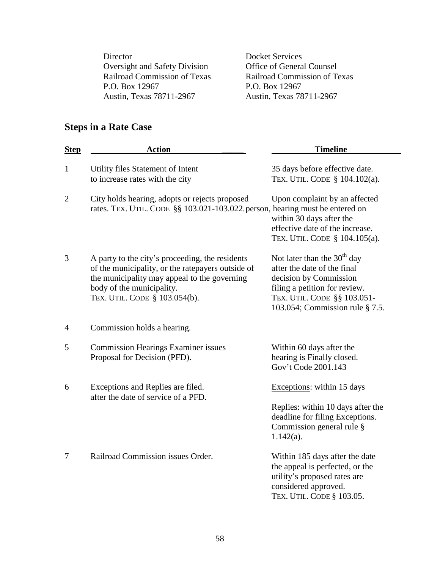Director Docket Services Oversight and Safety Division Office of General Counsel<br>
Railroad Commission of Texas Railroad Commission of To P.O. Box 12967<br>Austin, Texas 78711-2967<br>Austin, Texas 78

Railroad Commission of Texas Austin, Texas 78711-2967

# **Steps in a Rate Case**

| <b>Step</b>    | <b>Action</b>                                                                                                                                                                                                      | <b>Timeline</b>                                                                                                                                                                           |
|----------------|--------------------------------------------------------------------------------------------------------------------------------------------------------------------------------------------------------------------|-------------------------------------------------------------------------------------------------------------------------------------------------------------------------------------------|
| $\mathbf{1}$   | Utility files Statement of Intent<br>to increase rates with the city                                                                                                                                               | 35 days before effective date.<br>TEX. UTIL. CODE § 104.102(a).                                                                                                                           |
| $\overline{2}$ | City holds hearing, adopts or rejects proposed<br>rates. TEX. UTIL. CODE §§ 103.021-103.022. person, hearing must be entered on                                                                                    | Upon complaint by an affected<br>within 30 days after the<br>effective date of the increase.<br>TEX. UTIL. CODE § 104.105(a).                                                             |
| 3              | A party to the city's proceeding, the residents<br>of the municipality, or the ratepayers outside of<br>the municipality may appeal to the governing<br>body of the municipality.<br>TEX. UTIL. CODE § 103.054(b). | Not later than the $30th$ day<br>after the date of the final<br>decision by Commission<br>filing a petition for review.<br>TEX. UTIL. CODE §§ 103.051-<br>103.054; Commission rule § 7.5. |
| 4              | Commission holds a hearing.                                                                                                                                                                                        |                                                                                                                                                                                           |
| 5              | <b>Commission Hearings Examiner issues</b><br>Proposal for Decision (PFD).                                                                                                                                         | Within 60 days after the<br>hearing is Finally closed.<br>Gov't Code 2001.143                                                                                                             |
| 6              | Exceptions and Replies are filed.<br>after the date of service of a PFD.                                                                                                                                           | Exceptions: within 15 days<br>Replies: within 10 days after the<br>deadline for filing Exceptions.<br>Commission general rule §<br>$1.142(a)$ .                                           |
| 7              | Railroad Commission issues Order.                                                                                                                                                                                  | Within 185 days after the date<br>the appeal is perfected, or the<br>utility's proposed rates are<br>considered approved.<br>TEX. UTIL. CODE § 103.05.                                    |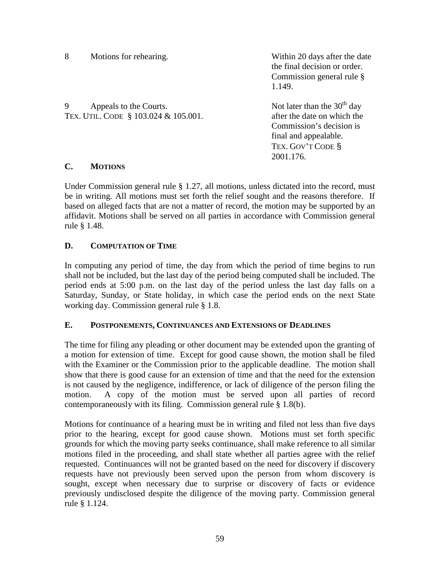8 Motions for rehearing. Within 20 days after the date

 the final decision or order. Commission general rule § 1.149.

9 Appeals to the Courts.<br>
TEX. ITTL. CODE  $\frac{8103.024 \& 105.001}{\text{.}}$  Not later than the 30<sup>th</sup> day<br>
after the date on which the TEX. UTIL. CODE  $$103.024 \& 105.001$ .

Commission's decision is final and appealable. TEX. GOV'T CODE § 2001.176.

# **C. MOTIONS**

Under Commission general rule § 1.27, all motions, unless dictated into the record, must be in writing. All motions must set forth the relief sought and the reasons therefore. If based on alleged facts that are not a matter of record, the motion may be supported by an affidavit. Motions shall be served on all parties in accordance with Commission general rule § 1.48.

# **D. COMPUTATION OF TIME**

In computing any period of time, the day from which the period of time begins to run shall not be included, but the last day of the period being computed shall be included. The period ends at 5:00 p.m. on the last day of the period unless the last day falls on a Saturday, Sunday, or State holiday, in which case the period ends on the next State working day. Commission general rule § 1.8.

# **E. POSTPONEMENTS, CONTINUANCES AND EXTENSIONS OF DEADLINES**

The time for filing any pleading or other document may be extended upon the granting of a motion for extension of time. Except for good cause shown, the motion shall be filed with the Examiner or the Commission prior to the applicable deadline. The motion shall show that there is good cause for an extension of time and that the need for the extension is not caused by the negligence, indifference, or lack of diligence of the person filing the motion. A copy of the motion must be served upon all parties of record contemporaneously with its filing. Commission general rule § 1.8(b).

Motions for continuance of a hearing must be in writing and filed not less than five days prior to the hearing, except for good cause shown. Motions must set forth specific grounds for which the moving party seeks continuance, shall make reference to all similar motions filed in the proceeding, and shall state whether all parties agree with the relief requested. Continuances will not be granted based on the need for discovery if discovery requests have not previously been served upon the person from whom discovery is sought, except when necessary due to surprise or discovery of facts or evidence previously undisclosed despite the diligence of the moving party. Commission general rule § 1.124.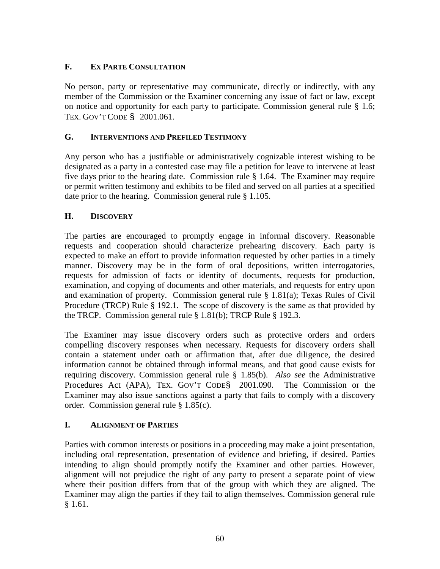# **F. EX PARTE CONSULTATION**

No person, party or representative may communicate, directly or indirectly, with any member of the Commission or the Examiner concerning any issue of fact or law, except on notice and opportunity for each party to participate. Commission general rule § 1.6; TEX. GOV'T CODE § 2001.061.

# **G. INTERVENTIONS AND PREFILED TESTIMONY**

Any person who has a justifiable or administratively cognizable interest wishing to be designated as a party in a contested case may file a petition for leave to intervene at least five days prior to the hearing date. Commission rule § 1.64. The Examiner may require or permit written testimony and exhibits to be filed and served on all parties at a specified date prior to the hearing. Commission general rule § 1.105.

## **H. DISCOVERY**

The parties are encouraged to promptly engage in informal discovery. Reasonable requests and cooperation should characterize prehearing discovery. Each party is expected to make an effort to provide information requested by other parties in a timely manner. Discovery may be in the form of oral depositions, written interrogatories, requests for admission of facts or identity of documents, requests for production, examination, and copying of documents and other materials, and requests for entry upon and examination of property. Commission general rule § 1.81(a); Texas Rules of Civil Procedure (TRCP) Rule § 192.1. The scope of discovery is the same as that provided by the TRCP. Commission general rule § 1.81(b); TRCP Rule § 192.3.

The Examiner may issue discovery orders such as protective orders and orders compelling discovery responses when necessary. Requests for discovery orders shall contain a statement under oath or affirmation that, after due diligence, the desired information cannot be obtained through informal means, and that good cause exists for requiring discovery. Commission general rule § 1.85(b). *Also see* the Administrative Procedures Act (APA), TEX. GOV'T CODE§ 2001.090. The Commission or the Examiner may also issue sanctions against a party that fails to comply with a discovery order. Commission general rule § 1.85(c).

# **I. ALIGNMENT OF PARTIES**

Parties with common interests or positions in a proceeding may make a joint presentation, including oral representation, presentation of evidence and briefing, if desired. Parties intending to align should promptly notify the Examiner and other parties. However, alignment will not prejudice the right of any party to present a separate point of view where their position differs from that of the group with which they are aligned. The Examiner may align the parties if they fail to align themselves. Commission general rule § 1.61.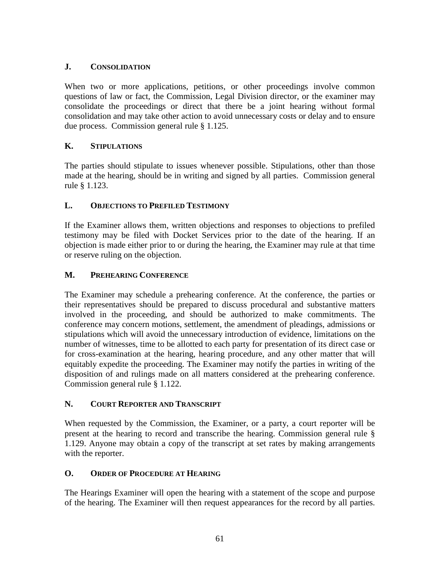# **J. CONSOLIDATION**

When two or more applications, petitions, or other proceedings involve common questions of law or fact, the Commission, Legal Division director, or the examiner may consolidate the proceedings or direct that there be a joint hearing without formal consolidation and may take other action to avoid unnecessary costs or delay and to ensure due process. Commission general rule § 1.125.

# **K. STIPULATIONS**

The parties should stipulate to issues whenever possible. Stipulations, other than those made at the hearing, should be in writing and signed by all parties. Commission general rule § 1.123.

# **L. OBJECTIONS TO PREFILED TESTIMONY**

If the Examiner allows them, written objections and responses to objections to prefiled testimony may be filed with Docket Services prior to the date of the hearing. If an objection is made either prior to or during the hearing, the Examiner may rule at that time or reserve ruling on the objection.

# **M. PREHEARING CONFERENCE**

The Examiner may schedule a prehearing conference. At the conference, the parties or their representatives should be prepared to discuss procedural and substantive matters involved in the proceeding, and should be authorized to make commitments. The conference may concern motions, settlement, the amendment of pleadings, admissions or stipulations which will avoid the unnecessary introduction of evidence, limitations on the number of witnesses, time to be allotted to each party for presentation of its direct case or for cross-examination at the hearing, hearing procedure, and any other matter that will equitably expedite the proceeding. The Examiner may notify the parties in writing of the disposition of and rulings made on all matters considered at the prehearing conference. Commission general rule § 1.122.

# **N. COURT REPORTER AND TRANSCRIPT**

When requested by the Commission, the Examiner, or a party, a court reporter will be present at the hearing to record and transcribe the hearing. Commission general rule § 1.129. Anyone may obtain a copy of the transcript at set rates by making arrangements with the reporter.

# **O. ORDER OF PROCEDURE AT HEARING**

The Hearings Examiner will open the hearing with a statement of the scope and purpose of the hearing. The Examiner will then request appearances for the record by all parties.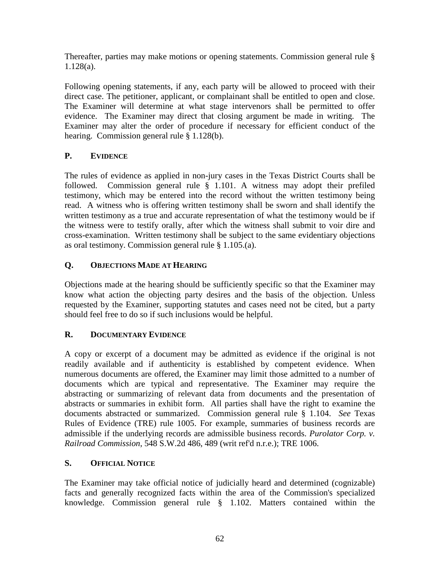Thereafter, parties may make motions or opening statements. Commission general rule § 1.128(a).

Following opening statements, if any, each party will be allowed to proceed with their direct case. The petitioner, applicant, or complainant shall be entitled to open and close. The Examiner will determine at what stage intervenors shall be permitted to offer evidence. The Examiner may direct that closing argument be made in writing. The Examiner may alter the order of procedure if necessary for efficient conduct of the hearing. Commission general rule § 1.128(b).

# **P. EVIDENCE**

The rules of evidence as applied in non-jury cases in the Texas District Courts shall be followed. Commission general rule § 1.101. A witness may adopt their prefiled testimony, which may be entered into the record without the written testimony being read. A witness who is offering written testimony shall be sworn and shall identify the written testimony as a true and accurate representation of what the testimony would be if the witness were to testify orally, after which the witness shall submit to voir dire and cross-examination. Written testimony shall be subject to the same evidentiary objections as oral testimony. Commission general rule § 1.105.(a).

# **Q. OBJECTIONS MADE AT HEARING**

Objections made at the hearing should be sufficiently specific so that the Examiner may know what action the objecting party desires and the basis of the objection. Unless requested by the Examiner, supporting statutes and cases need not be cited, but a party should feel free to do so if such inclusions would be helpful.

# **R. DOCUMENTARY EVIDENCE**

A copy or excerpt of a document may be admitted as evidence if the original is not readily available and if authenticity is established by competent evidence. When numerous documents are offered, the Examiner may limit those admitted to a number of documents which are typical and representative. The Examiner may require the abstracting or summarizing of relevant data from documents and the presentation of abstracts or summaries in exhibit form. All parties shall have the right to examine the documents abstracted or summarized. Commission general rule § 1.104. *See* Texas Rules of Evidence (TRE) rule 1005. For example, summaries of business records are admissible if the underlying records are admissible business records. *Purolator Corp. v. Railroad Commission*, 548 S.W.2d 486, 489 (writ ref'd n.r.e.); TRE 1006.

# **S. OFFICIAL NOTICE**

The Examiner may take official notice of judicially heard and determined (cognizable) facts and generally recognized facts within the area of the Commission's specialized knowledge. Commission general rule § 1.102. Matters contained within the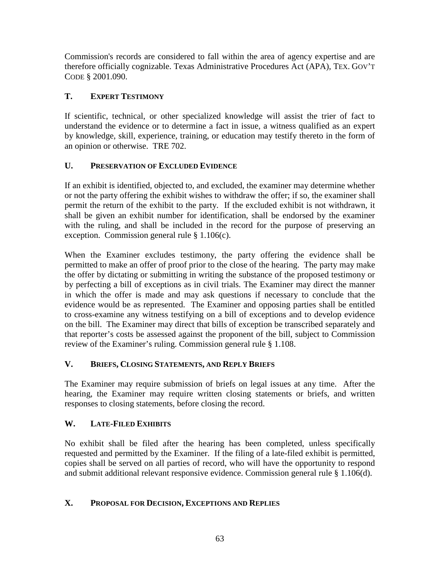Commission's records are considered to fall within the area of agency expertise and are therefore officially cognizable. Texas Administrative Procedures Act (APA), TEX. GOV'T CODE § 2001.090.

# **T. EXPERT TESTIMONY**

If scientific, technical, or other specialized knowledge will assist the trier of fact to understand the evidence or to determine a fact in issue, a witness qualified as an expert by knowledge, skill, experience, training, or education may testify thereto in the form of an opinion or otherwise. TRE 702.

# **U. PRESERVATION OF EXCLUDED EVIDENCE**

If an exhibit is identified, objected to, and excluded, the examiner may determine whether or not the party offering the exhibit wishes to withdraw the offer; if so, the examiner shall permit the return of the exhibit to the party. If the excluded exhibit is not withdrawn, it shall be given an exhibit number for identification, shall be endorsed by the examiner with the ruling, and shall be included in the record for the purpose of preserving an exception. Commission general rule § 1.106(c).

When the Examiner excludes testimony, the party offering the evidence shall be permitted to make an offer of proof prior to the close of the hearing. The party may make the offer by dictating or submitting in writing the substance of the proposed testimony or by perfecting a bill of exceptions as in civil trials. The Examiner may direct the manner in which the offer is made and may ask questions if necessary to conclude that the evidence would be as represented. The Examiner and opposing parties shall be entitled to cross-examine any witness testifying on a bill of exceptions and to develop evidence on the bill. The Examiner may direct that bills of exception be transcribed separately and that reporter's costs be assessed against the proponent of the bill, subject to Commission review of the Examiner's ruling. Commission general rule § 1.108.

# **V. BRIEFS, CLOSING STATEMENTS, AND REPLY BRIEFS**

The Examiner may require submission of briefs on legal issues at any time. After the hearing, the Examiner may require written closing statements or briefs, and written responses to closing statements, before closing the record.

# **W. LATE-FILED EXHIBITS**

No exhibit shall be filed after the hearing has been completed, unless specifically requested and permitted by the Examiner. If the filing of a late-filed exhibit is permitted, copies shall be served on all parties of record, who will have the opportunity to respond and submit additional relevant responsive evidence. Commission general rule § 1.106(d).

# **X. PROPOSAL FOR DECISION, EXCEPTIONS AND REPLIES**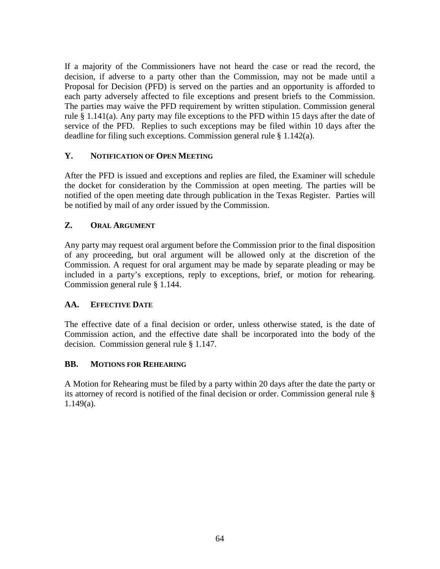If a majority of the Commissioners have not heard the case or read the record, the decision, if adverse to a party other than the Commission, may not be made until a Proposal for Decision (PFD) is served on the parties and an opportunity is afforded to each party adversely affected to file exceptions and present briefs to the Commission. The parties may waive the PFD requirement by written stipulation. Commission general rule § 1.141(a). Any party may file exceptions to the PFD within 15 days after the date of service of the PFD. Replies to such exceptions may be filed within 10 days after the deadline for filing such exceptions. Commission general rule § 1.142(a).

# **Y. NOTIFICATION OF OPEN MEETING**

After the PFD is issued and exceptions and replies are filed, the Examiner will schedule the docket for consideration by the Commission at open meeting. The parties will be notified of the open meeting date through publication in the Texas Register. Parties will be notified by mail of any order issued by the Commission.

# **Z. ORAL ARGUMENT**

Any party may request oral argument before the Commission prior to the final disposition of any proceeding, but oral argument will be allowed only at the discretion of the Commission. A request for oral argument may be made by separate pleading or may be included in a party's exceptions, reply to exceptions, brief, or motion for rehearing. Commission general rule § 1.144.

# **AA. EFFECTIVE DATE**

The effective date of a final decision or order, unless otherwise stated, is the date of Commission action, and the effective date shall be incorporated into the body of the decision. Commission general rule § 1.147.

# **BB. MOTIONS FOR REHEARING**

A Motion for Rehearing must be filed by a party within 20 days after the date the party or its attorney of record is notified of the final decision or order. Commission general rule § 1.149(a).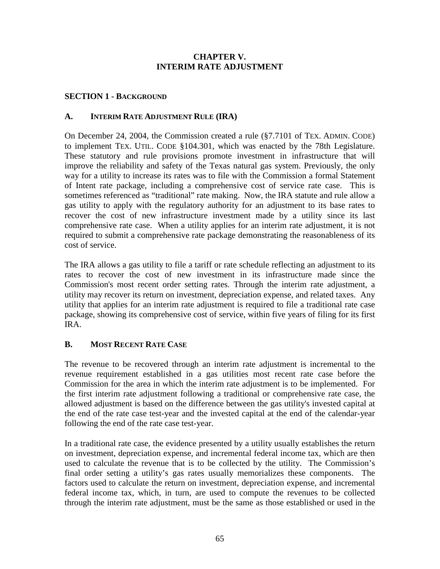## **CHAPTER V. INTERIM RATE ADJUSTMENT**

## **SECTION 1 - BACKGROUND**

### **A. INTERIM RATE ADJUSTMENT RULE (IRA)**

On December 24, 2004, the Commission created a rule (§7.7101 of TEX. ADMIN. CODE) to implement TEX. UTIL. CODE §104.301, which was enacted by the 78th Legislature. These statutory and rule provisions promote investment in infrastructure that will improve the reliability and safety of the Texas natural gas system. Previously, the only way for a utility to increase its rates was to file with the Commission a formal Statement of Intent rate package, including a comprehensive cost of service rate case. This is sometimes referenced as "traditional" rate making. Now, the IRA statute and rule allow a gas utility to apply with the regulatory authority for an adjustment to its base rates to recover the cost of new infrastructure investment made by a utility since its last comprehensive rate case. When a utility applies for an interim rate adjustment, it is not required to submit a comprehensive rate package demonstrating the reasonableness of its cost of service.

The IRA allows a gas utility to file a tariff or rate schedule reflecting an adjustment to its rates to recover the cost of new investment in its infrastructure made since the Commission's most recent order setting rates. Through the interim rate adjustment, a utility may recover its return on investment, depreciation expense, and related taxes. Any utility that applies for an interim rate adjustment is required to file a traditional rate case package, showing its comprehensive cost of service, within five years of filing for its first IRA.

# **B. MOST RECENT RATE CASE**

The revenue to be recovered through an interim rate adjustment is incremental to the revenue requirement established in a gas utilities most recent rate case before the Commission for the area in which the interim rate adjustment is to be implemented. For the first interim rate adjustment following a traditional or comprehensive rate case, the allowed adjustment is based on the difference between the gas utility's invested capital at the end of the rate case test-year and the invested capital at the end of the calendar-year following the end of the rate case test-year.

In a traditional rate case, the evidence presented by a utility usually establishes the return on investment, depreciation expense, and incremental federal income tax, which are then used to calculate the revenue that is to be collected by the utility. The Commission's final order setting a utility's gas rates usually memorializes these components. The factors used to calculate the return on investment, depreciation expense, and incremental federal income tax, which, in turn, are used to compute the revenues to be collected through the interim rate adjustment, must be the same as those established or used in the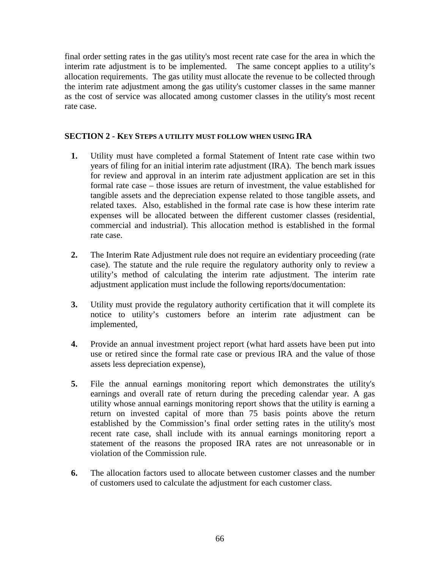final order setting rates in the gas utility's most recent rate case for the area in which the interim rate adjustment is to be implemented. The same concept applies to a utility's allocation requirements. The gas utility must allocate the revenue to be collected through the interim rate adjustment among the gas utility's customer classes in the same manner as the cost of service was allocated among customer classes in the utility's most recent rate case.

## **SECTION 2 - KEY STEPS A UTILITY MUST FOLLOW WHEN USING IRA**

- **1.** Utility must have completed a formal Statement of Intent rate case within two years of filing for an initial interim rate adjustment (IRA). The bench mark issues for review and approval in an interim rate adjustment application are set in this formal rate case – those issues are return of investment, the value established for tangible assets and the depreciation expense related to those tangible assets, and related taxes. Also, established in the formal rate case is how these interim rate expenses will be allocated between the different customer classes (residential, commercial and industrial). This allocation method is established in the formal rate case.
- **2.** The Interim Rate Adjustment rule does not require an evidentiary proceeding (rate case). The statute and the rule require the regulatory authority only to review a utility's method of calculating the interim rate adjustment. The interim rate adjustment application must include the following reports/documentation:
- **3.** Utility must provide the regulatory authority certification that it will complete its notice to utility's customers before an interim rate adjustment can be implemented,
- **4.** Provide an annual investment project report (what hard assets have been put into use or retired since the formal rate case or previous IRA and the value of those assets less depreciation expense),
- **5.** File the annual earnings monitoring report which demonstrates the utility's earnings and overall rate of return during the preceding calendar year. A gas utility whose annual earnings monitoring report shows that the utility is earning a return on invested capital of more than 75 basis points above the return established by the Commission's final order setting rates in the utility's most recent rate case, shall include with its annual earnings monitoring report a statement of the reasons the proposed IRA rates are not unreasonable or in violation of the Commission rule.
- **6.** The allocation factors used to allocate between customer classes and the number of customers used to calculate the adjustment for each customer class.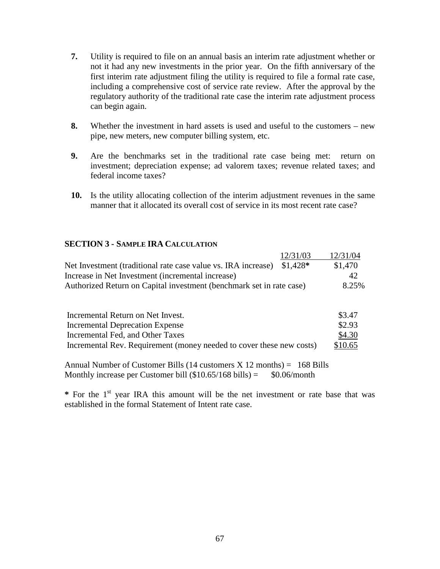- **7.** Utility is required to file on an annual basis an interim rate adjustment whether or not it had any new investments in the prior year. On the fifth anniversary of the first interim rate adjustment filing the utility is required to file a formal rate case, including a comprehensive cost of service rate review. After the approval by the regulatory authority of the traditional rate case the interim rate adjustment process can begin again.
- **8.** Whether the investment in hard assets is used and useful to the customers new pipe, new meters, new computer billing system, etc.
- **9.** Are the benchmarks set in the traditional rate case being met: return on investment; depreciation expense; ad valorem taxes; revenue related taxes; and federal income taxes?
- **10.** Is the utility allocating collection of the interim adjustment revenues in the same manner that it allocated its overall cost of service in its most recent rate case?

## **SECTION 3 - SAMPLE IRA CALCULATION**

|                                                                      | 12/31/03  | 12/31/04 |
|----------------------------------------------------------------------|-----------|----------|
| Net Investment (traditional rate case value vs. IRA increase)        | $$1,428*$ | \$1,470  |
| Increase in Net Investment (incremental increase)                    |           | 42       |
| Authorized Return on Capital investment (benchmark set in rate case) |           | 8.25%    |
|                                                                      |           |          |
| Incremental Return on Net Invest.                                    |           | \$3.47   |
| <b>Incremental Deprecation Expense</b>                               |           | \$2.93   |
| Incremental Fed, and Other Taxes                                     |           | \$4.30   |
| Incremental Rev. Requirement (money needed to cover these new costs) |           | \$10.65  |

Annual Number of Customer Bills  $(14 \text{ customers } X 12 \text{ months}) = 168 \text{ bills}$ Monthly increase per Customer bill  $(\$10.65/168$  bills) =  $\$0.06/$ month

**\*** For the 1st year IRA this amount will be the net investment or rate base that was established in the formal Statement of Intent rate case.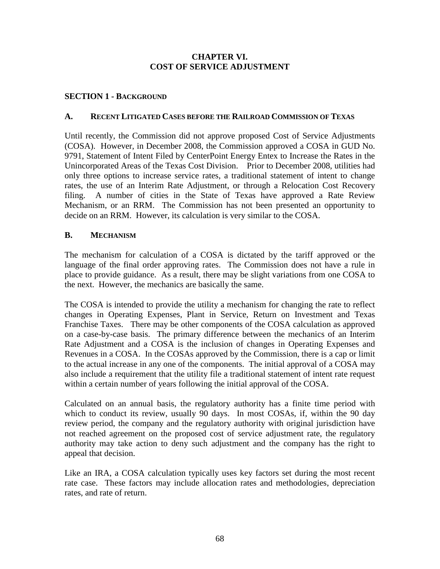## **CHAPTER VI. COST OF SERVICE ADJUSTMENT**

## **SECTION 1 - BACKGROUND**

#### **A. RECENT LITIGATED CASES BEFORE THE RAILROAD COMMISSION OF TEXAS**

Until recently, the Commission did not approve proposed Cost of Service Adjustments (COSA). However, in December 2008, the Commission approved a COSA in GUD No. 9791, Statement of Intent Filed by CenterPoint Energy Entex to Increase the Rates in the Unincorporated Areas of the Texas Cost Division. Prior to December 2008, utilities had only three options to increase service rates, a traditional statement of intent to change rates, the use of an Interim Rate Adjustment, or through a Relocation Cost Recovery filing. A number of cities in the State of Texas have approved a Rate Review Mechanism, or an RRM. The Commission has not been presented an opportunity to decide on an RRM. However, its calculation is very similar to the COSA.

## **B. MECHANISM**

The mechanism for calculation of a COSA is dictated by the tariff approved or the language of the final order approving rates. The Commission does not have a rule in place to provide guidance. As a result, there may be slight variations from one COSA to the next. However, the mechanics are basically the same.

The COSA is intended to provide the utility a mechanism for changing the rate to reflect changes in Operating Expenses, Plant in Service, Return on Investment and Texas Franchise Taxes. There may be other components of the COSA calculation as approved on a case-by-case basis. The primary difference between the mechanics of an Interim Rate Adjustment and a COSA is the inclusion of changes in Operating Expenses and Revenues in a COSA. In the COSAs approved by the Commission, there is a cap or limit to the actual increase in any one of the components. The initial approval of a COSA may also include a requirement that the utility file a traditional statement of intent rate request within a certain number of years following the initial approval of the COSA.

Calculated on an annual basis, the regulatory authority has a finite time period with which to conduct its review, usually 90 days. In most COSAs, if, within the 90 day review period, the company and the regulatory authority with original jurisdiction have not reached agreement on the proposed cost of service adjustment rate, the regulatory authority may take action to deny such adjustment and the company has the right to appeal that decision.

Like an IRA, a COSA calculation typically uses key factors set during the most recent rate case. These factors may include allocation rates and methodologies, depreciation rates, and rate of return.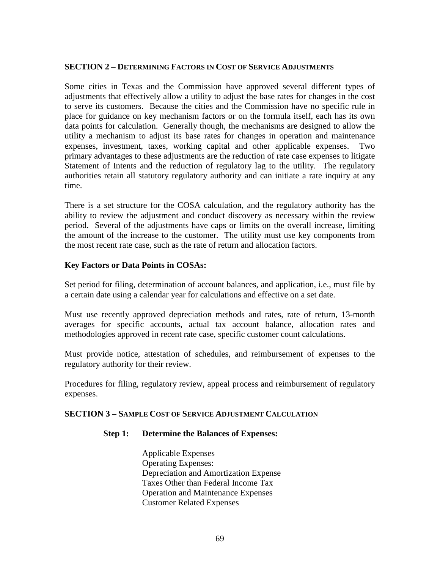#### **SECTION 2 – DETERMINING FACTORS IN COST OF SERVICE ADJUSTMENTS**

Some cities in Texas and the Commission have approved several different types of adjustments that effectively allow a utility to adjust the base rates for changes in the cost to serve its customers. Because the cities and the Commission have no specific rule in place for guidance on key mechanism factors or on the formula itself, each has its own data points for calculation. Generally though, the mechanisms are designed to allow the utility a mechanism to adjust its base rates for changes in operation and maintenance expenses, investment, taxes, working capital and other applicable expenses. Two primary advantages to these adjustments are the reduction of rate case expenses to litigate Statement of Intents and the reduction of regulatory lag to the utility. The regulatory authorities retain all statutory regulatory authority and can initiate a rate inquiry at any time.

There is a set structure for the COSA calculation, and the regulatory authority has the ability to review the adjustment and conduct discovery as necessary within the review period. Several of the adjustments have caps or limits on the overall increase, limiting the amount of the increase to the customer. The utility must use key components from the most recent rate case, such as the rate of return and allocation factors.

#### **Key Factors or Data Points in COSAs:**

Set period for filing, determination of account balances, and application, i.e., must file by a certain date using a calendar year for calculations and effective on a set date.

Must use recently approved depreciation methods and rates, rate of return, 13-month averages for specific accounts, actual tax account balance, allocation rates and methodologies approved in recent rate case, specific customer count calculations.

Must provide notice, attestation of schedules, and reimbursement of expenses to the regulatory authority for their review.

Procedures for filing, regulatory review, appeal process and reimbursement of regulatory expenses.

### **SECTION 3 – SAMPLE COST OF SERVICE ADJUSTMENT CALCULATION**

### **Step 1: Determine the Balances of Expenses:**

Applicable Expenses Operating Expenses: Depreciation and Amortization Expense Taxes Other than Federal Income Tax Operation and Maintenance Expenses Customer Related Expenses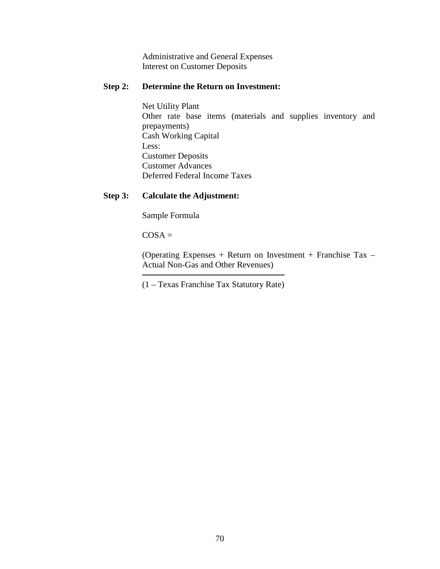Administrative and General Expenses Interest on Customer Deposits

## **Step 2: Determine the Return on Investment:**

 Net Utility Plant Other rate base items (materials and supplies inventory and prepayments) Cash Working Capital Less: Customer Deposits Customer Advances Deferred Federal Income Taxes

## **Step 3: Calculate the Adjustment:**

Sample Formula

 $COSA =$ 

(Operating Expenses + Return on Investment + Franchise Tax – Actual Non-Gas and Other Revenues)

(1 – Texas Franchise Tax Statutory Rate)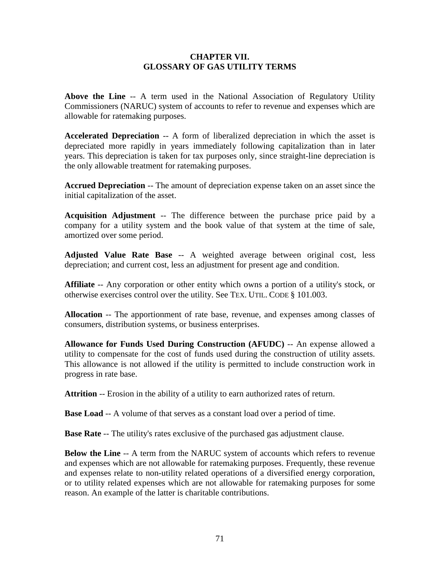### **CHAPTER VII. GLOSSARY OF GAS UTILITY TERMS**

**Above the Line** -- A term used in the National Association of Regulatory Utility Commissioners (NARUC) system of accounts to refer to revenue and expenses which are allowable for ratemaking purposes.

**Accelerated Depreciation** -- A form of liberalized depreciation in which the asset is depreciated more rapidly in years immediately following capitalization than in later years. This depreciation is taken for tax purposes only, since straight-line depreciation is the only allowable treatment for ratemaking purposes.

**Accrued Depreciation** -- The amount of depreciation expense taken on an asset since the initial capitalization of the asset.

**Acquisition Adjustment** -- The difference between the purchase price paid by a company for a utility system and the book value of that system at the time of sale, amortized over some period.

**Adjusted Value Rate Base** -- A weighted average between original cost, less depreciation; and current cost, less an adjustment for present age and condition.

**Affiliate** -- Any corporation or other entity which owns a portion of a utility's stock, or otherwise exercises control over the utility. See TEX. UTIL. CODE § 101.003.

**Allocation** -- The apportionment of rate base, revenue, and expenses among classes of consumers, distribution systems, or business enterprises.

**Allowance for Funds Used During Construction (AFUDC)** -- An expense allowed a utility to compensate for the cost of funds used during the construction of utility assets. This allowance is not allowed if the utility is permitted to include construction work in progress in rate base.

**Attrition** -- Erosion in the ability of a utility to earn authorized rates of return.

**Base Load** -- A volume of that serves as a constant load over a period of time.

**Base Rate** -- The utility's rates exclusive of the purchased gas adjustment clause.

**Below the Line** -- A term from the NARUC system of accounts which refers to revenue and expenses which are not allowable for ratemaking purposes. Frequently, these revenue and expenses relate to non-utility related operations of a diversified energy corporation, or to utility related expenses which are not allowable for ratemaking purposes for some reason. An example of the latter is charitable contributions.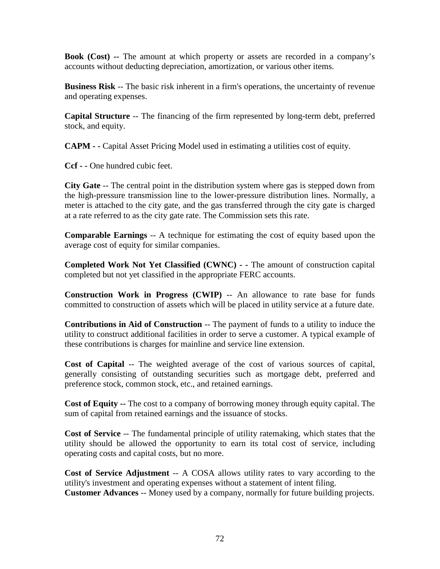**Book (Cost) --** The amount at which property or assets are recorded in a company's accounts without deducting depreciation, amortization, or various other items.

**Business Risk** -- The basic risk inherent in a firm's operations, the uncertainty of revenue and operating expenses.

**Capital Structure** -- The financing of the firm represented by long-term debt, preferred stock, and equity.

**CAPM - -** Capital Asset Pricing Model used in estimating a utilities cost of equity.

**Ccf - -** One hundred cubic feet.

**City Gate** -- The central point in the distribution system where gas is stepped down from the high-pressure transmission line to the lower-pressure distribution lines. Normally, a meter is attached to the city gate, and the gas transferred through the city gate is charged at a rate referred to as the city gate rate. The Commission sets this rate.

**Comparable Earnings** -- A technique for estimating the cost of equity based upon the average cost of equity for similar companies.

**Completed Work Not Yet Classified (CWNC) - -** The amount of construction capital completed but not yet classified in the appropriate FERC accounts.

**Construction Work in Progress (CWIP)** -- An allowance to rate base for funds committed to construction of assets which will be placed in utility service at a future date.

**Contributions in Aid of Construction** -- The payment of funds to a utility to induce the utility to construct additional facilities in order to serve a customer. A typical example of these contributions is charges for mainline and service line extension.

**Cost of Capital** -- The weighted average of the cost of various sources of capital, generally consisting of outstanding securities such as mortgage debt, preferred and preference stock, common stock, etc., and retained earnings.

**Cost of Equity --** The cost to a company of borrowing money through equity capital. The sum of capital from retained earnings and the issuance of stocks.

**Cost of Service** -- The fundamental principle of utility ratemaking, which states that the utility should be allowed the opportunity to earn its total cost of service, including operating costs and capital costs, but no more.

**Cost of Service Adjustment** -- A COSA allows utility rates to vary according to the utility's investment and operating expenses without a statement of intent filing. **Customer Advances** -- Money used by a company, normally for future building projects.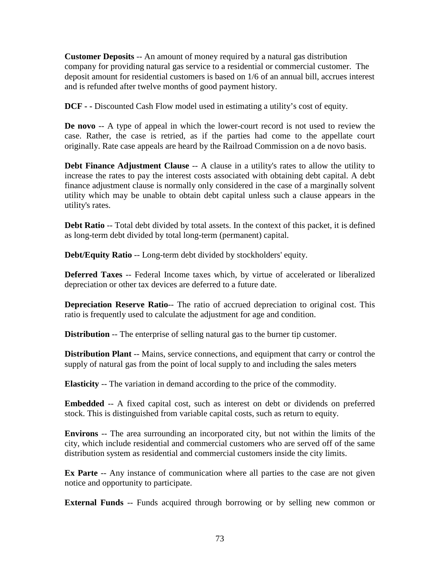**Customer Deposits** -- An amount of money required by a natural gas distribution company for providing natural gas service to a residential or commercial customer. The deposit amount for residential customers is based on 1/6 of an annual bill, accrues interest and is refunded after twelve months of good payment history.

**DCF - -** Discounted Cash Flow model used in estimating a utility's cost of equity.

**De novo** -- A type of appeal in which the lower-court record is not used to review the case. Rather, the case is retried, as if the parties had come to the appellate court originally. Rate case appeals are heard by the Railroad Commission on a de novo basis.

**Debt Finance Adjustment Clause** -- A clause in a utility's rates to allow the utility to increase the rates to pay the interest costs associated with obtaining debt capital. A debt finance adjustment clause is normally only considered in the case of a marginally solvent utility which may be unable to obtain debt capital unless such a clause appears in the utility's rates.

**Debt Ratio** -- Total debt divided by total assets. In the context of this packet, it is defined as long-term debt divided by total long-term (permanent) capital.

**Debt/Equity Ratio** -- Long-term debt divided by stockholders' equity.

**Deferred Taxes** -- Federal Income taxes which, by virtue of accelerated or liberalized depreciation or other tax devices are deferred to a future date.

**Depreciation Reserve Ratio--** The ratio of accrued depreciation to original cost. This ratio is frequently used to calculate the adjustment for age and condition.

**Distribution** -- The enterprise of selling natural gas to the burner tip customer.

**Distribution Plant** -- Mains, service connections, and equipment that carry or control the supply of natural gas from the point of local supply to and including the sales meters

**Elasticity** -- The variation in demand according to the price of the commodity.

**Embedded** -- A fixed capital cost, such as interest on debt or dividends on preferred stock. This is distinguished from variable capital costs, such as return to equity.

**Environs** -- The area surrounding an incorporated city, but not within the limits of the city, which include residential and commercial customers who are served off of the same distribution system as residential and commercial customers inside the city limits.

**Ex Parte** -- Any instance of communication where all parties to the case are not given notice and opportunity to participate.

**External Funds** -- Funds acquired through borrowing or by selling new common or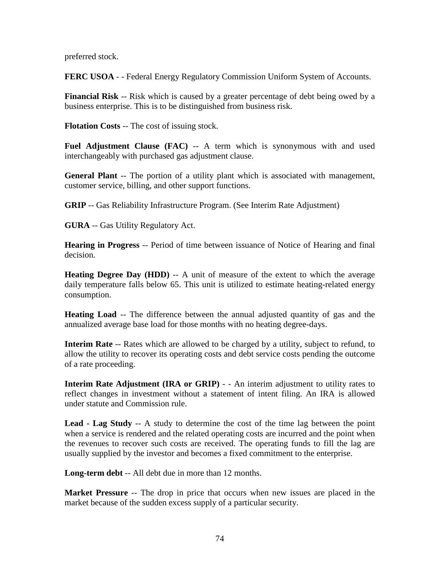preferred stock.

**FERC USOA** - - Federal Energy Regulatory Commission Uniform System of Accounts.

**Financial Risk** -- Risk which is caused by a greater percentage of debt being owed by a business enterprise. This is to be distinguished from business risk.

**Flotation Costs** -- The cost of issuing stock.

**Fuel Adjustment Clause (FAC)** -- A term which is synonymous with and used interchangeably with purchased gas adjustment clause.

**General Plant** -- The portion of a utility plant which is associated with management, customer service, billing, and other support functions.

**GRIP** -- Gas Reliability Infrastructure Program. (See Interim Rate Adjustment)

**GURA** -- Gas Utility Regulatory Act.

**Hearing in Progress** -- Period of time between issuance of Notice of Hearing and final decision.

**Heating Degree Day (HDD)** -- A unit of measure of the extent to which the average daily temperature falls below 65. This unit is utilized to estimate heating-related energy consumption.

**Heating Load** -- The difference between the annual adjusted quantity of gas and the annualized average base load for those months with no heating degree-days.

**Interim Rate** -- Rates which are allowed to be charged by a utility, subject to refund, to allow the utility to recover its operating costs and debt service costs pending the outcome of a rate proceeding.

**Interim Rate Adjustment (IRA or GRIP) - - An interim adjustment to utility rates to** reflect changes in investment without a statement of intent filing. An IRA is allowed under statute and Commission rule.

**Lead - Lag Study** -- A study to determine the cost of the time lag between the point when a service is rendered and the related operating costs are incurred and the point when the revenues to recover such costs are received. The operating funds to fill the lag are usually supplied by the investor and becomes a fixed commitment to the enterprise.

**Long-term debt** -- All debt due in more than 12 months.

**Market Pressure** -- The drop in price that occurs when new issues are placed in the market because of the sudden excess supply of a particular security.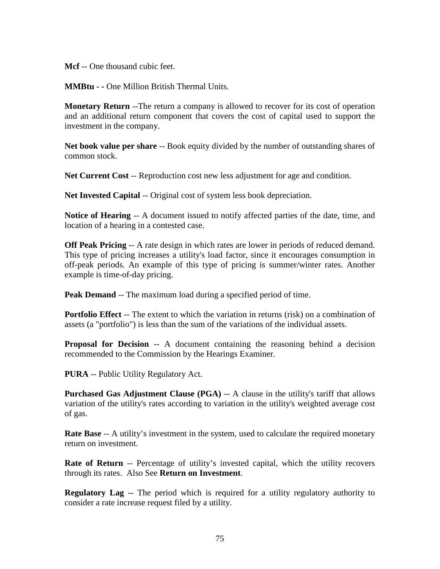**Mcf** -- One thousand cubic feet.

**MMBtu - -** One Million British Thermal Units.

**Monetary Return** --The return a company is allowed to recover for its cost of operation and an additional return component that covers the cost of capital used to support the investment in the company.

**Net book value per share** -- Book equity divided by the number of outstanding shares of common stock.

**Net Current Cost** -- Reproduction cost new less adjustment for age and condition.

**Net Invested Capital** -- Original cost of system less book depreciation.

**Notice of Hearing** -- A document issued to notify affected parties of the date, time, and location of a hearing in a contested case.

**Off Peak Pricing** -- A rate design in which rates are lower in periods of reduced demand. This type of pricing increases a utility's load factor, since it encourages consumption in off-peak periods. An example of this type of pricing is summer/winter rates. Another example is time-of-day pricing.

**Peak Demand** -- The maximum load during a specified period of time.

**Portfolio Effect** -- The extent to which the variation in returns (risk) on a combination of assets (a "portfolio") is less than the sum of the variations of the individual assets.

**Proposal for Decision** -- A document containing the reasoning behind a decision recommended to the Commission by the Hearings Examiner.

**PURA** -- Public Utility Regulatory Act.

**Purchased Gas Adjustment Clause (PGA)** -- A clause in the utility's tariff that allows variation of the utility's rates according to variation in the utility's weighted average cost of gas.

**Rate Base** -- A utility's investment in the system, used to calculate the required monetary return on investment.

**Rate of Return** -- Percentage of utility's invested capital, which the utility recovers through its rates. Also See **Return on Investment**.

**Regulatory Lag** -- The period which is required for a utility regulatory authority to consider a rate increase request filed by a utility.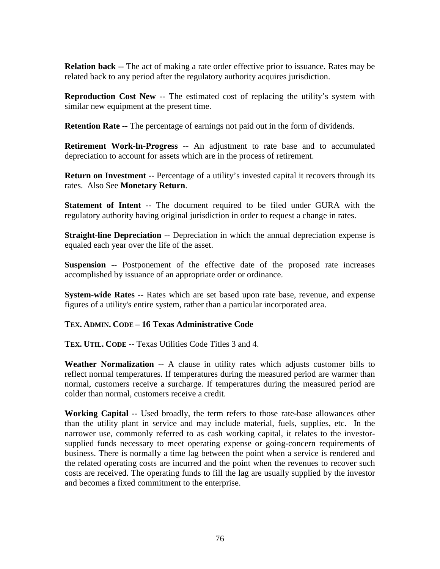**Relation back** -- The act of making a rate order effective prior to issuance. Rates may be related back to any period after the regulatory authority acquires jurisdiction.

**Reproduction Cost New** -- The estimated cost of replacing the utility's system with similar new equipment at the present time.

**Retention Rate** -- The percentage of earnings not paid out in the form of dividends.

**Retirement Work-ln-Progress** -- An adjustment to rate base and to accumulated depreciation to account for assets which are in the process of retirement.

**Return on Investment** -- Percentage of a utility's invested capital it recovers through its rates. Also See **Monetary Return**.

**Statement of Intent** -- The document required to be filed under GURA with the regulatory authority having original jurisdiction in order to request a change in rates.

**Straight-line Depreciation** -- Depreciation in which the annual depreciation expense is equaled each year over the life of the asset.

**Suspension** -- Postponement of the effective date of the proposed rate increases accomplished by issuance of an appropriate order or ordinance.

**System-wide Rates** -- Rates which are set based upon rate base, revenue, and expense figures of a utility's entire system, rather than a particular incorporated area.

## **TEX. ADMIN. CODE – 16 Texas Administrative Code**

**TEX. UTIL. CODE --** Texas Utilities Code Titles 3 and 4.

**Weather Normalization --** A clause in utility rates which adjusts customer bills to reflect normal temperatures. If temperatures during the measured period are warmer than normal, customers receive a surcharge. If temperatures during the measured period are colder than normal, customers receive a credit.

**Working Capital** -- Used broadly, the term refers to those rate-base allowances other than the utility plant in service and may include material, fuels, supplies, etc. In the narrower use, commonly referred to as cash working capital, it relates to the investorsupplied funds necessary to meet operating expense or going-concern requirements of business. There is normally a time lag between the point when a service is rendered and the related operating costs are incurred and the point when the revenues to recover such costs are received. The operating funds to fill the lag are usually supplied by the investor and becomes a fixed commitment to the enterprise.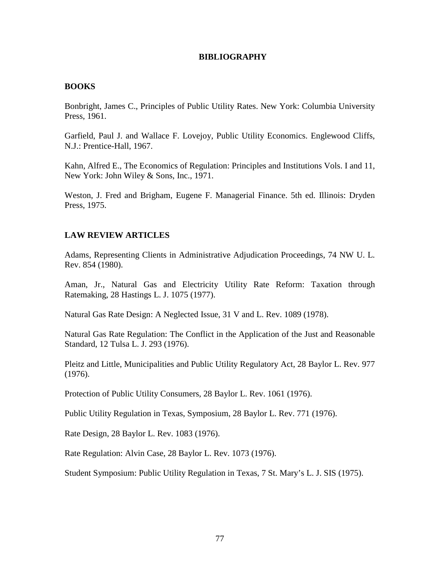### **BIBLIOGRAPHY**

### **BOOKS**

Bonbright, James C., Principles of Public Utility Rates. New York: Columbia University Press, 1961.

Garfield, Paul J. and Wallace F. Lovejoy, Public Utility Economics. Englewood Cliffs, N.J.: Prentice-Hall, 1967.

Kahn, Alfred E., The Economics of Regulation: Principles and Institutions Vols. I and 11, New York: John Wiley & Sons, Inc., 1971.

Weston, J. Fred and Brigham, Eugene F. Managerial Finance. 5th ed. Illinois: Dryden Press, 1975.

## **LAW REVIEW ARTICLES**

Adams, Representing Clients in Administrative Adjudication Proceedings, 74 NW U. L. Rev. 854 (1980).

Aman, Jr., Natural Gas and Electricity Utility Rate Reform: Taxation through Ratemaking, 28 Hastings L. J. 1075 (1977).

Natural Gas Rate Design: A Neglected Issue, 31 V and L. Rev. 1089 (1978).

Natural Gas Rate Regulation: The Conflict in the Application of the Just and Reasonable Standard, 12 Tulsa L. J. 293 (1976).

Pleitz and Little, Municipalities and Public Utility Regulatory Act, 28 Baylor L. Rev. 977 (1976).

Protection of Public Utility Consumers, 28 Baylor L. Rev. 1061 (1976).

Public Utility Regulation in Texas, Symposium, 28 Baylor L. Rev. 771 (1976).

Rate Design, 28 Baylor L. Rev. 1083 (1976).

Rate Regulation: Alvin Case, 28 Baylor L. Rev. 1073 (1976).

Student Symposium: Public Utility Regulation in Texas, 7 St. Mary's L. J. SIS (1975).